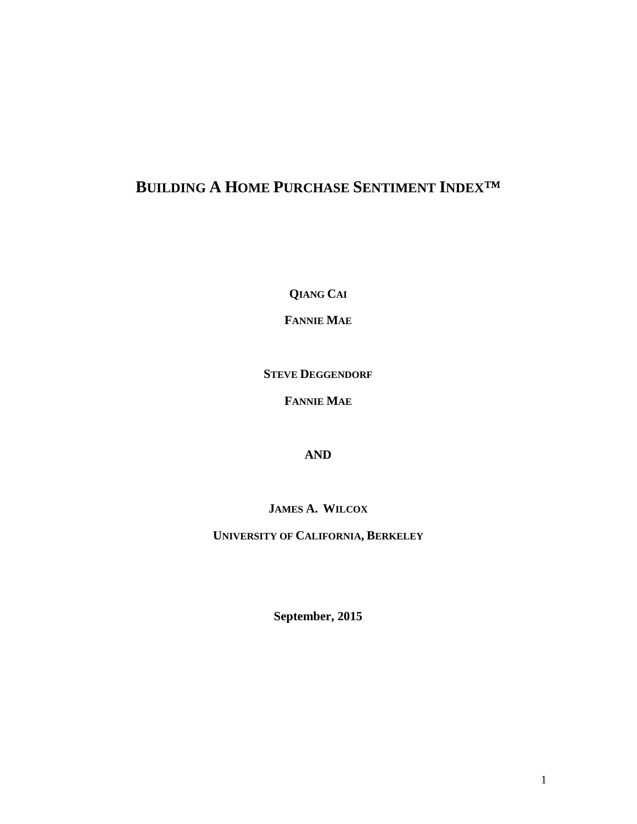# **BUILDING A HOME PURCHASE SENTIMENT INDEX™**

**QIANG CAI**

**FANNIE MAE**

**STEVE DEGGENDORF**

**FANNIE MAE**

**AND**

**JAMES A. WILCOX**

**UNIVERSITY OF CALIFORNIA, BERKELEY**

**September, 2015**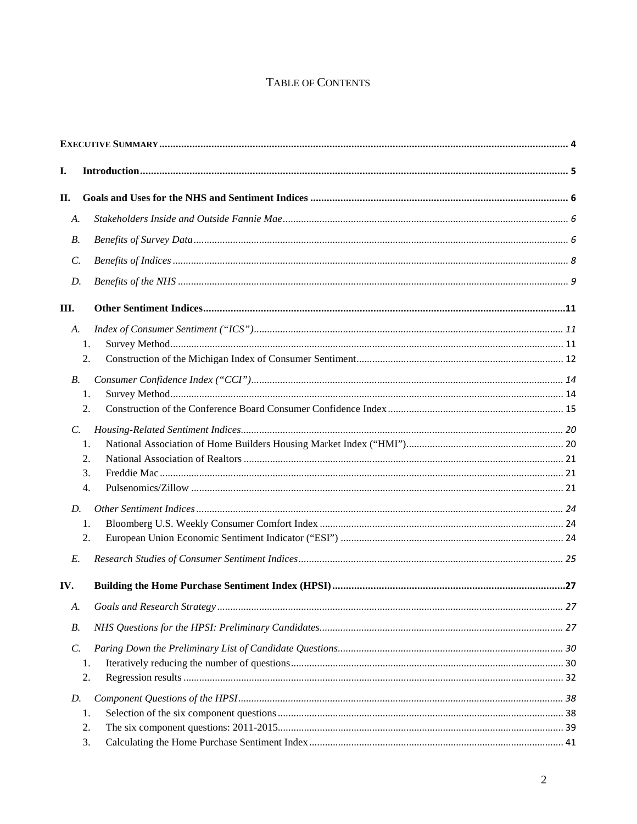# TABLE OF CONTENTS

| I.              |  |
|-----------------|--|
| П.              |  |
| A.              |  |
| <b>B.</b>       |  |
| $\mathcal{C}$ . |  |
| D.              |  |
| Ш.              |  |
| A.              |  |
| 1.              |  |
| 2.              |  |
| $B$ .           |  |
| 1.              |  |
| 2.              |  |
| C.              |  |
| 1.              |  |
| 2.              |  |
| 3.              |  |
| 4.              |  |
| D.              |  |
| 1.              |  |
| 2.              |  |
| $E$ .           |  |
| IV.             |  |
| А.              |  |
| <b>B.</b>       |  |
| $\mathcal{C}$ . |  |
| 1.              |  |
| 2.              |  |
| D.              |  |
| 1.              |  |
| 2.              |  |
| 3.              |  |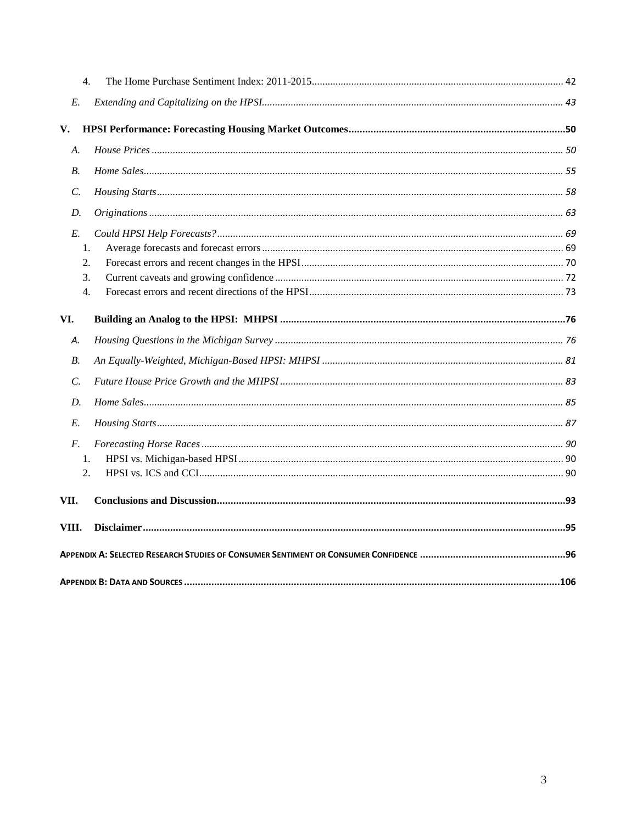| $\overline{2}$ . |  |
|------------------|--|
| 1.               |  |
|                  |  |
|                  |  |
|                  |  |
|                  |  |
|                  |  |
|                  |  |
|                  |  |
| 4.               |  |
| 3.               |  |
| 2.               |  |
| 1.               |  |
|                  |  |
|                  |  |
|                  |  |
|                  |  |
|                  |  |
|                  |  |
|                  |  |
| $\overline{4}$ . |  |
|                  |  |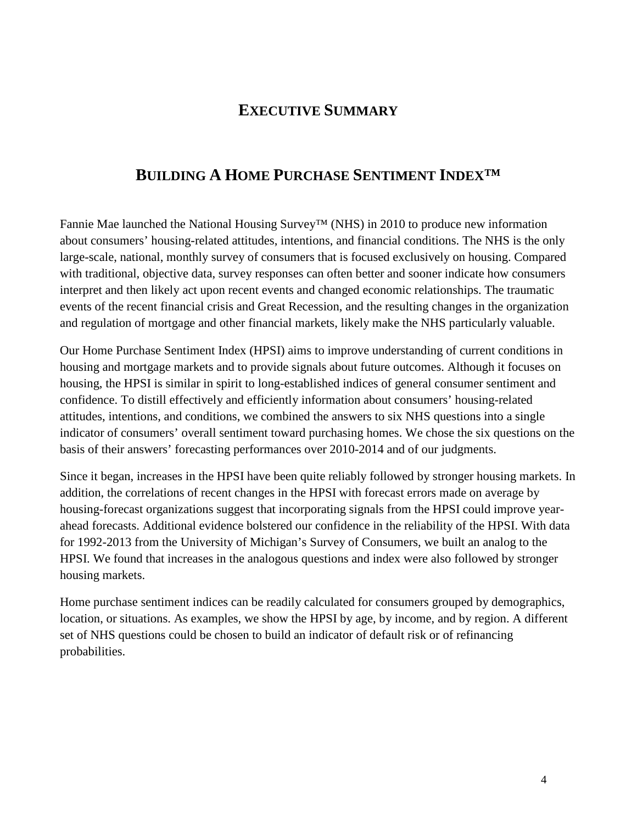# **EXECUTIVE SUMMARY**

# <span id="page-3-0"></span>**BUILDING A HOME PURCHASE SENTIMENT INDEX™**

Fannie Mae launched the National Housing Survey™ (NHS) in 2010 to produce new information about consumers' housing-related attitudes, intentions, and financial conditions. The NHS is the only large-scale, national, monthly survey of consumers that is focused exclusively on housing. Compared with traditional, objective data, survey responses can often better and sooner indicate how consumers interpret and then likely act upon recent events and changed economic relationships. The traumatic events of the recent financial crisis and Great Recession, and the resulting changes in the organization and regulation of mortgage and other financial markets, likely make the NHS particularly valuable.

Our Home Purchase Sentiment Index (HPSI) aims to improve understanding of current conditions in housing and mortgage markets and to provide signals about future outcomes. Although it focuses on housing, the HPSI is similar in spirit to long-established indices of general consumer sentiment and confidence. To distill effectively and efficiently information about consumers' housing-related attitudes, intentions, and conditions, we combined the answers to six NHS questions into a single indicator of consumers' overall sentiment toward purchasing homes. We chose the six questions on the basis of their answers' forecasting performances over 2010-2014 and of our judgments.

Since it began, increases in the HPSI have been quite reliably followed by stronger housing markets. In addition, the correlations of recent changes in the HPSI with forecast errors made on average by housing-forecast organizations suggest that incorporating signals from the HPSI could improve yearahead forecasts. Additional evidence bolstered our confidence in the reliability of the HPSI. With data for 1992-2013 from the University of Michigan's Survey of Consumers, we built an analog to the HPSI. We found that increases in the analogous questions and index were also followed by stronger housing markets.

Home purchase sentiment indices can be readily calculated for consumers grouped by demographics, location, or situations. As examples, we show the HPSI by age, by income, and by region. A different set of NHS questions could be chosen to build an indicator of default risk or of refinancing probabilities.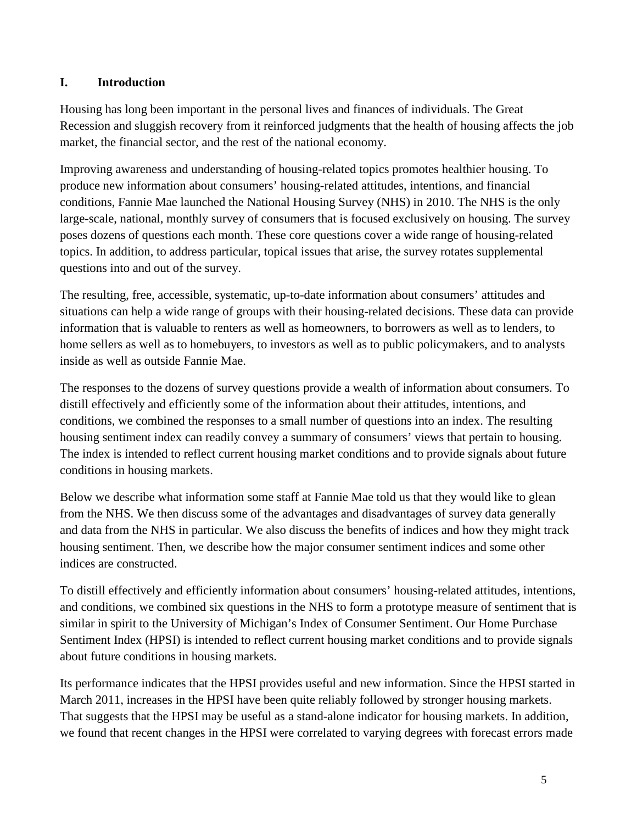# <span id="page-4-0"></span>**I. Introduction**

Housing has long been important in the personal lives and finances of individuals. The Great Recession and sluggish recovery from it reinforced judgments that the health of housing affects the job market, the financial sector, and the rest of the national economy.

Improving awareness and understanding of housing-related topics promotes healthier housing. To produce new information about consumers' housing-related attitudes, intentions, and financial conditions, Fannie Mae launched the National Housing Survey (NHS) in 2010. The NHS is the only large-scale, national, monthly survey of consumers that is focused exclusively on housing. The survey poses dozens of questions each month. These core questions cover a wide range of housing-related topics. In addition, to address particular, topical issues that arise, the survey rotates supplemental questions into and out of the survey.

The resulting, free, accessible, systematic, up-to-date information about consumers' attitudes and situations can help a wide range of groups with their housing-related decisions. These data can provide information that is valuable to renters as well as homeowners, to borrowers as well as to lenders, to home sellers as well as to homebuyers, to investors as well as to public policymakers, and to analysts inside as well as outside Fannie Mae.

The responses to the dozens of survey questions provide a wealth of information about consumers. To distill effectively and efficiently some of the information about their attitudes, intentions, and conditions, we combined the responses to a small number of questions into an index. The resulting housing sentiment index can readily convey a summary of consumers' views that pertain to housing. The index is intended to reflect current housing market conditions and to provide signals about future conditions in housing markets.

Below we describe what information some staff at Fannie Mae told us that they would like to glean from the NHS. We then discuss some of the advantages and disadvantages of survey data generally and data from the NHS in particular. We also discuss the benefits of indices and how they might track housing sentiment. Then, we describe how the major consumer sentiment indices and some other indices are constructed.

To distill effectively and efficiently information about consumers' housing-related attitudes, intentions, and conditions, we combined six questions in the NHS to form a prototype measure of sentiment that is similar in spirit to the University of Michigan's Index of Consumer Sentiment. Our Home Purchase Sentiment Index (HPSI) is intended to reflect current housing market conditions and to provide signals about future conditions in housing markets.

Its performance indicates that the HPSI provides useful and new information. Since the HPSI started in March 2011, increases in the HPSI have been quite reliably followed by stronger housing markets. That suggests that the HPSI may be useful as a stand-alone indicator for housing markets. In addition, we found that recent changes in the HPSI were correlated to varying degrees with forecast errors made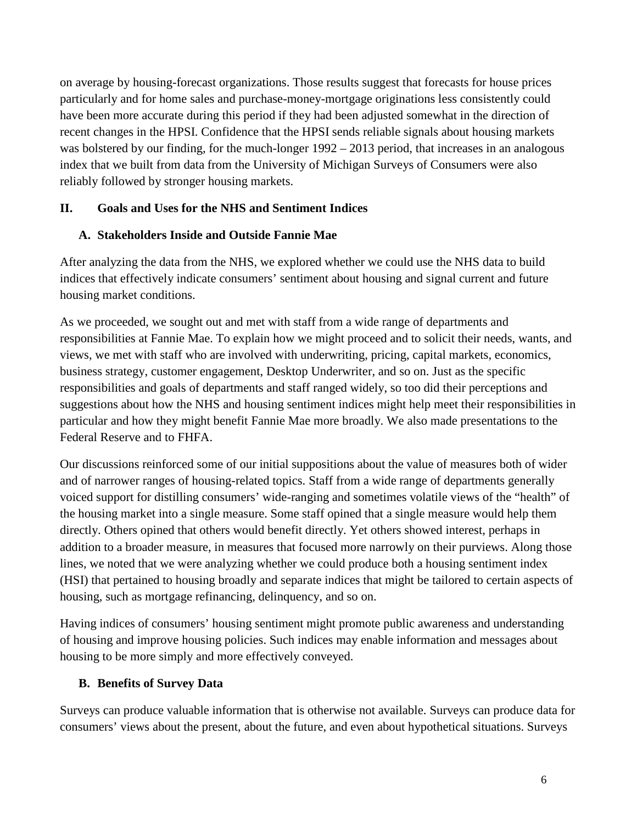on average by housing-forecast organizations. Those results suggest that forecasts for house prices particularly and for home sales and purchase-money-mortgage originations less consistently could have been more accurate during this period if they had been adjusted somewhat in the direction of recent changes in the HPSI. Confidence that the HPSI sends reliable signals about housing markets was bolstered by our finding, for the much-longer  $1992 - 2013$  period, that increases in an analogous index that we built from data from the University of Michigan Surveys of Consumers were also reliably followed by stronger housing markets.

# <span id="page-5-0"></span>**II. Goals and Uses for the NHS and Sentiment Indices**

# <span id="page-5-1"></span>**A. Stakeholders Inside and Outside Fannie Mae**

After analyzing the data from the NHS, we explored whether we could use the NHS data to build indices that effectively indicate consumers' sentiment about housing and signal current and future housing market conditions.

As we proceeded, we sought out and met with staff from a wide range of departments and responsibilities at Fannie Mae. To explain how we might proceed and to solicit their needs, wants, and views, we met with staff who are involved with underwriting, pricing, capital markets, economics, business strategy, customer engagement, Desktop Underwriter, and so on. Just as the specific responsibilities and goals of departments and staff ranged widely, so too did their perceptions and suggestions about how the NHS and housing sentiment indices might help meet their responsibilities in particular and how they might benefit Fannie Mae more broadly. We also made presentations to the Federal Reserve and to FHFA.

Our discussions reinforced some of our initial suppositions about the value of measures both of wider and of narrower ranges of housing-related topics. Staff from a wide range of departments generally voiced support for distilling consumers' wide-ranging and sometimes volatile views of the "health" of the housing market into a single measure. Some staff opined that a single measure would help them directly. Others opined that others would benefit directly. Yet others showed interest, perhaps in addition to a broader measure, in measures that focused more narrowly on their purviews. Along those lines, we noted that we were analyzing whether we could produce both a housing sentiment index (HSI) that pertained to housing broadly and separate indices that might be tailored to certain aspects of housing, such as mortgage refinancing, delinquency, and so on.

Having indices of consumers' housing sentiment might promote public awareness and understanding of housing and improve housing policies. Such indices may enable information and messages about housing to be more simply and more effectively conveyed.

# <span id="page-5-2"></span>**B. Benefits of Survey Data**

Surveys can produce valuable information that is otherwise not available. Surveys can produce data for consumers' views about the present, about the future, and even about hypothetical situations. Surveys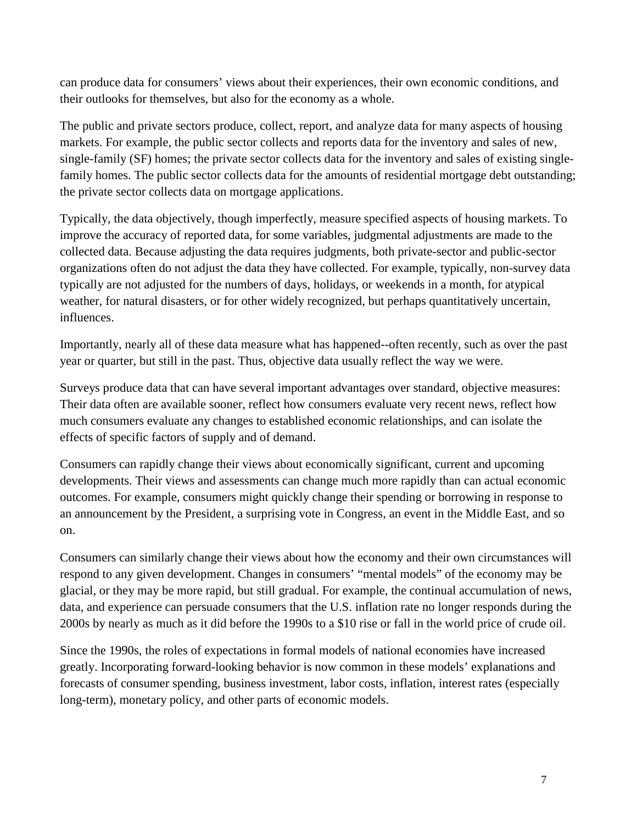can produce data for consumers' views about their experiences, their own economic conditions, and their outlooks for themselves, but also for the economy as a whole.

The public and private sectors produce, collect, report, and analyze data for many aspects of housing markets. For example, the public sector collects and reports data for the inventory and sales of new, single-family (SF) homes; the private sector collects data for the inventory and sales of existing singlefamily homes. The public sector collects data for the amounts of residential mortgage debt outstanding; the private sector collects data on mortgage applications.

Typically, the data objectively, though imperfectly, measure specified aspects of housing markets. To improve the accuracy of reported data, for some variables, judgmental adjustments are made to the collected data. Because adjusting the data requires judgments, both private-sector and public-sector organizations often do not adjust the data they have collected. For example, typically, non-survey data typically are not adjusted for the numbers of days, holidays, or weekends in a month, for atypical weather, for natural disasters, or for other widely recognized, but perhaps quantitatively uncertain, influences.

Importantly, nearly all of these data measure what has happened--often recently, such as over the past year or quarter, but still in the past. Thus, objective data usually reflect the way we were.

Surveys produce data that can have several important advantages over standard, objective measures: Their data often are available sooner, reflect how consumers evaluate very recent news, reflect how much consumers evaluate any changes to established economic relationships, and can isolate the effects of specific factors of supply and of demand.

Consumers can rapidly change their views about economically significant, current and upcoming developments. Their views and assessments can change much more rapidly than can actual economic outcomes. For example, consumers might quickly change their spending or borrowing in response to an announcement by the President, a surprising vote in Congress, an event in the Middle East, and so on.

Consumers can similarly change their views about how the economy and their own circumstances will respond to any given development. Changes in consumers' "mental models" of the economy may be glacial, or they may be more rapid, but still gradual. For example, the continual accumulation of news, data, and experience can persuade consumers that the U.S. inflation rate no longer responds during the 2000s by nearly as much as it did before the 1990s to a \$10 rise or fall in the world price of crude oil.

Since the 1990s, the roles of expectations in formal models of national economies have increased greatly. Incorporating forward-looking behavior is now common in these models' explanations and forecasts of consumer spending, business investment, labor costs, inflation, interest rates (especially long-term), monetary policy, and other parts of economic models.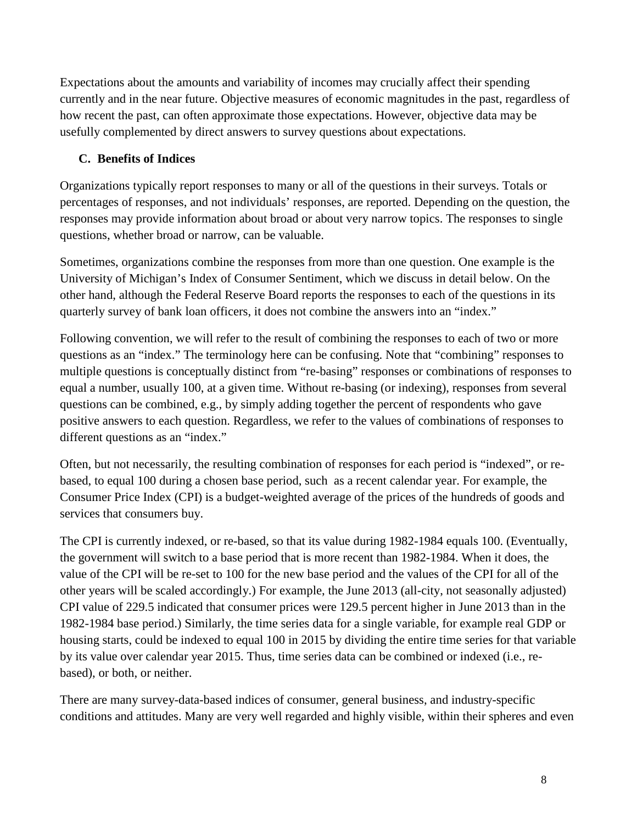Expectations about the amounts and variability of incomes may crucially affect their spending currently and in the near future. Objective measures of economic magnitudes in the past, regardless of how recent the past, can often approximate those expectations. However, objective data may be usefully complemented by direct answers to survey questions about expectations.

# <span id="page-7-0"></span>**C. Benefits of Indices**

Organizations typically report responses to many or all of the questions in their surveys. Totals or percentages of responses, and not individuals' responses, are reported. Depending on the question, the responses may provide information about broad or about very narrow topics. The responses to single questions, whether broad or narrow, can be valuable.

Sometimes, organizations combine the responses from more than one question. One example is the University of Michigan's Index of Consumer Sentiment, which we discuss in detail below. On the other hand, although the Federal Reserve Board reports the responses to each of the questions in its quarterly survey of bank loan officers, it does not combine the answers into an "index."

Following convention, we will refer to the result of combining the responses to each of two or more questions as an "index." The terminology here can be confusing. Note that "combining" responses to multiple questions is conceptually distinct from "re-basing" responses or combinations of responses to equal a number, usually 100, at a given time. Without re-basing (or indexing), responses from several questions can be combined, e.g., by simply adding together the percent of respondents who gave positive answers to each question. Regardless, we refer to the values of combinations of responses to different questions as an "index."

Often, but not necessarily, the resulting combination of responses for each period is "indexed", or rebased, to equal 100 during a chosen base period, such as a recent calendar year. For example, the Consumer Price Index (CPI) is a budget-weighted average of the prices of the hundreds of goods and services that consumers buy.

The CPI is currently indexed, or re-based, so that its value during 1982-1984 equals 100. (Eventually, the government will switch to a base period that is more recent than 1982-1984. When it does, the value of the CPI will be re-set to 100 for the new base period and the values of the CPI for all of the other years will be scaled accordingly.) For example, the June 2013 (all-city, not seasonally adjusted) CPI value of 229.5 indicated that consumer prices were 129.5 percent higher in June 2013 than in the 1982-1984 base period.) Similarly, the time series data for a single variable, for example real GDP or housing starts, could be indexed to equal 100 in 2015 by dividing the entire time series for that variable by its value over calendar year 2015. Thus, time series data can be combined or indexed (i.e., rebased), or both, or neither.

There are many survey-data-based indices of consumer, general business, and industry-specific conditions and attitudes. Many are very well regarded and highly visible, within their spheres and even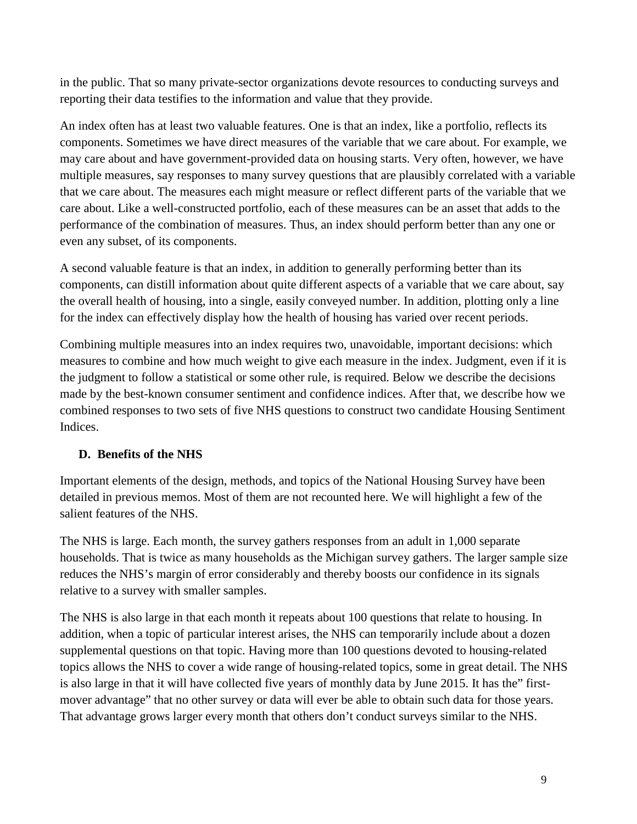in the public. That so many private-sector organizations devote resources to conducting surveys and reporting their data testifies to the information and value that they provide.

An index often has at least two valuable features. One is that an index, like a portfolio, reflects its components. Sometimes we have direct measures of the variable that we care about. For example, we may care about and have government-provided data on housing starts. Very often, however, we have multiple measures, say responses to many survey questions that are plausibly correlated with a variable that we care about. The measures each might measure or reflect different parts of the variable that we care about. Like a well-constructed portfolio, each of these measures can be an asset that adds to the performance of the combination of measures. Thus, an index should perform better than any one or even any subset, of its components.

A second valuable feature is that an index, in addition to generally performing better than its components, can distill information about quite different aspects of a variable that we care about, say the overall health of housing, into a single, easily conveyed number. In addition, plotting only a line for the index can effectively display how the health of housing has varied over recent periods.

Combining multiple measures into an index requires two, unavoidable, important decisions: which measures to combine and how much weight to give each measure in the index. Judgment, even if it is the judgment to follow a statistical or some other rule, is required. Below we describe the decisions made by the best-known consumer sentiment and confidence indices. After that, we describe how we combined responses to two sets of five NHS questions to construct two candidate Housing Sentiment Indices.

# <span id="page-8-0"></span>**D. Benefits of the NHS**

Important elements of the design, methods, and topics of the National Housing Survey have been detailed in previous memos. Most of them are not recounted here. We will highlight a few of the salient features of the NHS.

The NHS is large. Each month, the survey gathers responses from an adult in 1,000 separate households. That is twice as many households as the Michigan survey gathers. The larger sample size reduces the NHS's margin of error considerably and thereby boosts our confidence in its signals relative to a survey with smaller samples.

The NHS is also large in that each month it repeats about 100 questions that relate to housing. In addition, when a topic of particular interest arises, the NHS can temporarily include about a dozen supplemental questions on that topic. Having more than 100 questions devoted to housing-related topics allows the NHS to cover a wide range of housing-related topics, some in great detail. The NHS is also large in that it will have collected five years of monthly data by June 2015. It has the" firstmover advantage" that no other survey or data will ever be able to obtain such data for those years. That advantage grows larger every month that others don't conduct surveys similar to the NHS.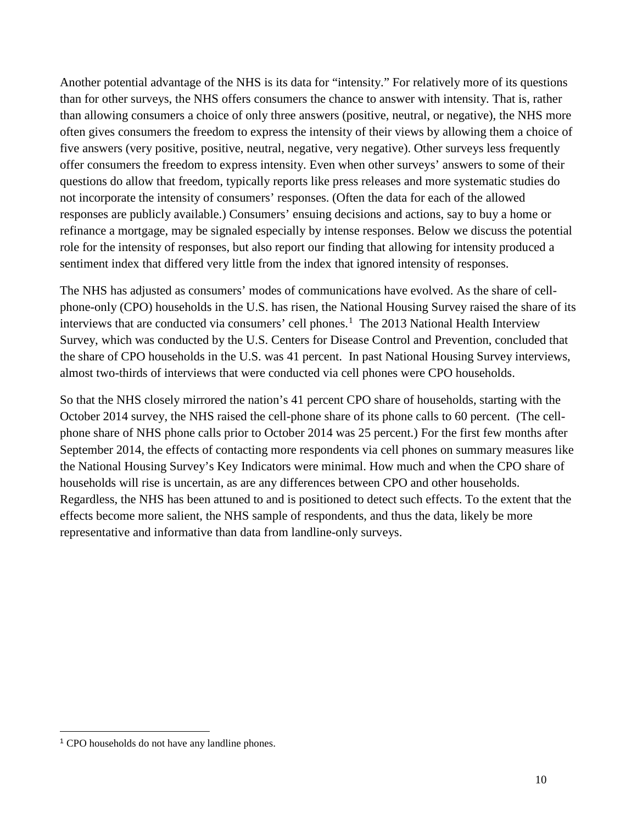Another potential advantage of the NHS is its data for "intensity." For relatively more of its questions than for other surveys, the NHS offers consumers the chance to answer with intensity. That is, rather than allowing consumers a choice of only three answers (positive, neutral, or negative), the NHS more often gives consumers the freedom to express the intensity of their views by allowing them a choice of five answers (very positive, positive, neutral, negative, very negative). Other surveys less frequently offer consumers the freedom to express intensity. Even when other surveys' answers to some of their questions do allow that freedom, typically reports like press releases and more systematic studies do not incorporate the intensity of consumers' responses. (Often the data for each of the allowed responses are publicly available.) Consumers' ensuing decisions and actions, say to buy a home or refinance a mortgage, may be signaled especially by intense responses. Below we discuss the potential role for the intensity of responses, but also report our finding that allowing for intensity produced a sentiment index that differed very little from the index that ignored intensity of responses.

The NHS has adjusted as consumers' modes of communications have evolved. As the share of cellphone-only (CPO) households in the U.S. has risen, the National Housing Survey raised the share of its interviews that are conducted via consumers' cell phones.<sup>[1](#page-9-0)</sup> The 2013 National Health Interview Survey, which was conducted by the U.S. Centers for Disease Control and Prevention, concluded that the share of CPO households in the U.S. was 41 percent. In past National Housing Survey interviews, almost two-thirds of interviews that were conducted via cell phones were CPO households.

So that the NHS closely mirrored the nation's 41 percent CPO share of households, starting with the October 2014 survey, the NHS raised the cell-phone share of its phone calls to 60 percent. (The cellphone share of NHS phone calls prior to October 2014 was 25 percent.) For the first few months after September 2014, the effects of contacting more respondents via cell phones on summary measures like the National Housing Survey's Key Indicators were minimal. How much and when the CPO share of households will rise is uncertain, as are any differences between CPO and other households. Regardless, the NHS has been attuned to and is positioned to detect such effects. To the extent that the effects become more salient, the NHS sample of respondents, and thus the data, likely be more representative and informative than data from landline-only surveys.

<span id="page-9-0"></span><sup>1</sup> CPO households do not have any landline phones.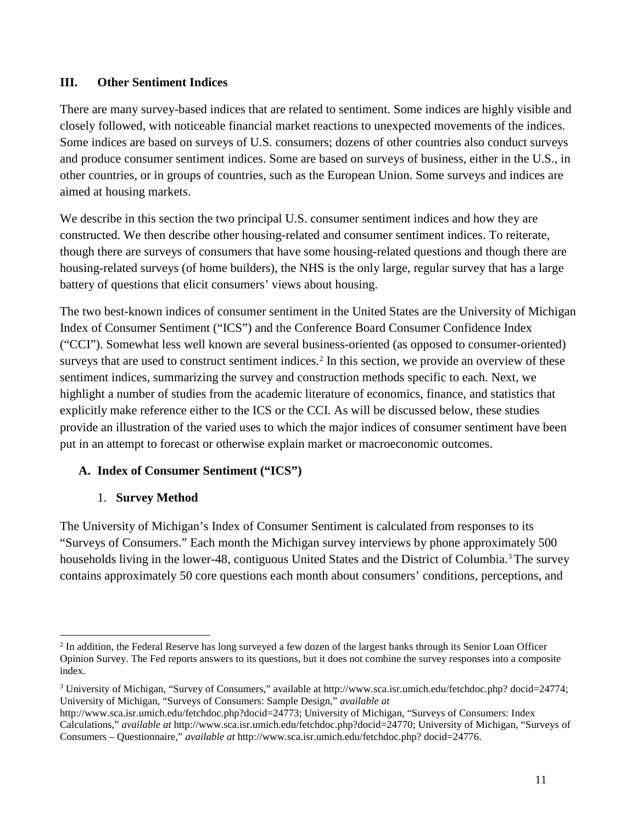## <span id="page-10-0"></span>**III. Other Sentiment Indices**

There are many survey-based indices that are related to sentiment. Some indices are highly visible and closely followed, with noticeable financial market reactions to unexpected movements of the indices. Some indices are based on surveys of U.S. consumers; dozens of other countries also conduct surveys and produce consumer sentiment indices. Some are based on surveys of business, either in the U.S., in other countries, or in groups of countries, such as the European Union. Some surveys and indices are aimed at housing markets.

We describe in this section the two principal U.S. consumer sentiment indices and how they are constructed. We then describe other housing-related and consumer sentiment indices. To reiterate, though there are surveys of consumers that have some housing-related questions and though there are housing-related surveys (of home builders), the NHS is the only large, regular survey that has a large battery of questions that elicit consumers' views about housing.

The two best-known indices of consumer sentiment in the United States are the University of Michigan Index of Consumer Sentiment ("ICS") and the Conference Board Consumer Confidence Index ("CCI"). Somewhat less well known are several business-oriented (as opposed to consumer-oriented) surveys that are used to construct sentiment indices.<sup>[2](#page-10-3)</sup> In this section, we provide an overview of these sentiment indices, summarizing the survey and construction methods specific to each. Next, we highlight a number of studies from the academic literature of economics, finance, and statistics that explicitly make reference either to the ICS or the CCI. As will be discussed below, these studies provide an illustration of the varied uses to which the major indices of consumer sentiment have been put in an attempt to forecast or otherwise explain market or macroeconomic outcomes.

# <span id="page-10-1"></span>**A. Index of Consumer Sentiment ("ICS")**

# 1. **Survey Method**

<span id="page-10-2"></span>The University of Michigan's Index of Consumer Sentiment is calculated from responses to its "Surveys of Consumers." Each month the Michigan survey interviews by phone approximately 500 households living in the lower-48, contiguous United States and the District of Columbia.<sup>[3](#page-10-4)</sup> The survey contains approximately 50 core questions each month about consumers' conditions, perceptions, and

<span id="page-10-3"></span><sup>&</sup>lt;sup>2</sup> In addition, the Federal Reserve has long surveyed a few dozen of the largest banks through its Senior Loan Officer Opinion Survey. The Fed reports answers to its questions, but it does not combine the survey responses into a composite index.  $\overline{a}$ 

<span id="page-10-4"></span><sup>3</sup> University of Michigan, "Survey of Consumers," available at http://www.sca.isr.umich.edu/fetchdoc.php? docid=24774; University of Michigan, "Surveys of Consumers: Sample Design," *available at* 

http://www.sca.isr.umich.edu/fetchdoc.php?docid=24773; University of Michigan, "Surveys of Consumers: Index Calculations," *available at* http://www.sca.isr.umich.edu/fetchdoc.php?docid=24770; University of Michigan, "Surveys of Consumers – Questionnaire," *available at* http://www.sca.isr.umich.edu/fetchdoc.php? docid=24776.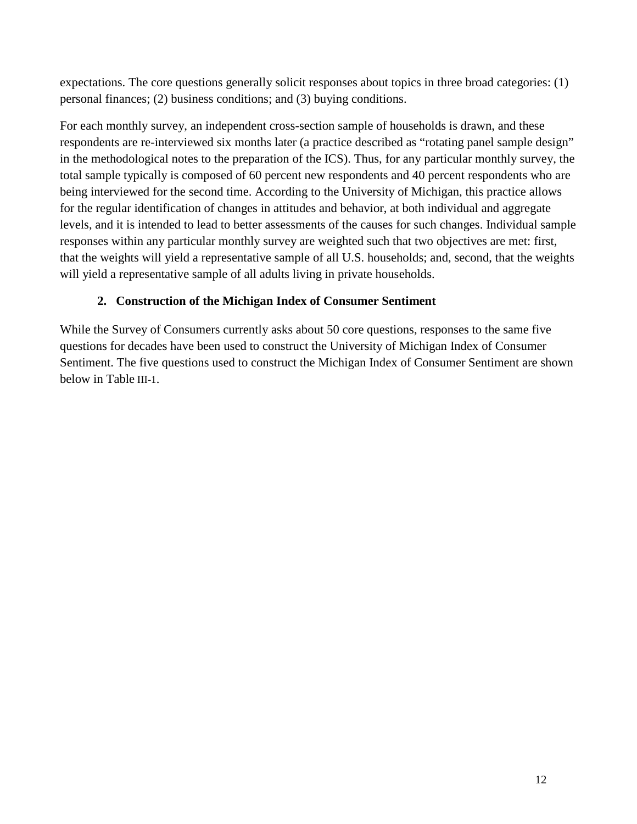expectations. The core questions generally solicit responses about topics in three broad categories: (1) personal finances; (2) business conditions; and (3) buying conditions.

For each monthly survey, an independent cross-section sample of households is drawn, and these respondents are re-interviewed six months later (a practice described as "rotating panel sample design" in the methodological notes to the preparation of the ICS). Thus, for any particular monthly survey, the total sample typically is composed of 60 percent new respondents and 40 percent respondents who are being interviewed for the second time. According to the University of Michigan, this practice allows for the regular identification of changes in attitudes and behavior, at both individual and aggregate levels, and it is intended to lead to better assessments of the causes for such changes. Individual sample responses within any particular monthly survey are weighted such that two objectives are met: first, that the weights will yield a representative sample of all U.S. households; and, second, that the weights will yield a representative sample of all adults living in private households.

# **2. Construction of the Michigan Index of Consumer Sentiment**

<span id="page-11-0"></span>While the Survey of Consumers currently asks about 50 core questions, responses to the same five questions for decades have been used to construct the University of Michigan Index of Consumer Sentiment. The five questions used to construct the Michigan Index of Consumer Sentiment are shown below in [Table](#page-12-0) III-1.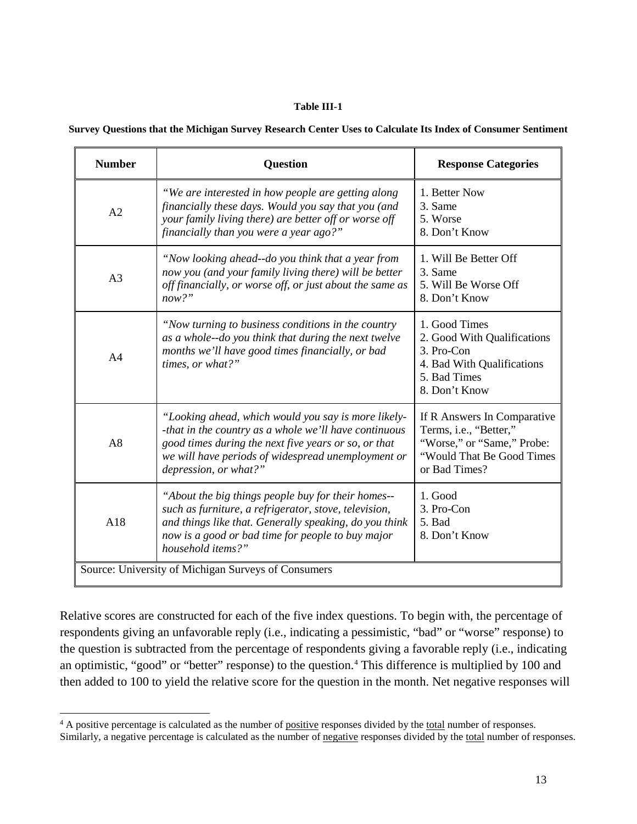#### **Table III-1**

<span id="page-12-0"></span>

|  |  |  |  |  | Survey Questions that the Michigan Survey Research Center Uses to Calculate Its Index of Consumer Sentiment |  |
|--|--|--|--|--|-------------------------------------------------------------------------------------------------------------|--|
|  |  |  |  |  |                                                                                                             |  |

| <b>Number</b>                                       | <b>Question</b>                                                                                                                                                                                                                                     | <b>Response Categories</b>                                                                                                         |  |  |
|-----------------------------------------------------|-----------------------------------------------------------------------------------------------------------------------------------------------------------------------------------------------------------------------------------------------------|------------------------------------------------------------------------------------------------------------------------------------|--|--|
| A2                                                  | "We are interested in how people are getting along<br>financially these days. Would you say that you (and<br>your family living there) are better off or worse off<br>financially than you were a year ago?"                                        | 1. Better Now<br>3. Same<br>5. Worse<br>8. Don't Know                                                                              |  |  |
| A <sub>3</sub>                                      | "Now looking ahead--do you think that a year from<br>now you (and your family living there) will be better<br>off financially, or worse off, or just about the same as<br>now?"                                                                     | 1. Will Be Better Off<br>3. Same<br>5. Will Be Worse Off<br>8. Don't Know                                                          |  |  |
| A <sub>4</sub>                                      | "Now turning to business conditions in the country"<br>as a whole--do you think that during the next twelve<br>months we'll have good times financially, or bad<br>times, or what?"                                                                 | 1. Good Times<br>2. Good With Qualifications<br>3. Pro-Con<br>4. Bad With Qualifications<br>5. Bad Times<br>8. Don't Know          |  |  |
| A8                                                  | "Looking ahead, which would you say is more likely-<br>-that in the country as a whole we'll have continuous<br>good times during the next five years or so, or that<br>we will have periods of widespread unemployment or<br>depression, or what?" | If R Answers In Comparative<br>Terms, i.e., "Better,"<br>"Worse," or "Same," Probe:<br>"Would That Be Good Times"<br>or Bad Times? |  |  |
| A18                                                 | "About the big things people buy for their homes--<br>such as furniture, a refrigerator, stove, television,<br>and things like that. Generally speaking, do you think<br>now is a good or bad time for people to buy major<br>household items?"     | 1. Good<br>3. Pro-Con<br>5. Bad<br>8. Don't Know                                                                                   |  |  |
| Source: University of Michigan Surveys of Consumers |                                                                                                                                                                                                                                                     |                                                                                                                                    |  |  |

Relative scores are constructed for each of the five index questions. To begin with, the percentage of respondents giving an unfavorable reply (i.e., indicating a pessimistic, "bad" or "worse" response) to the question is subtracted from the percentage of respondents giving a favorable reply (i.e., indicating an optimistic, "good" or "better" response) to the question.<sup>[4](#page-12-1)</sup> This difference is multiplied by 100 and then added to 100 to yield the relative score for the question in the month. Net negative responses will

<span id="page-12-1"></span><sup>&</sup>lt;sup>4</sup> A positive percentage is calculated as the number of positive responses divided by the total number of responses.  $\overline{a}$ 

Similarly, a negative percentage is calculated as the number of negative responses divided by the total number of responses.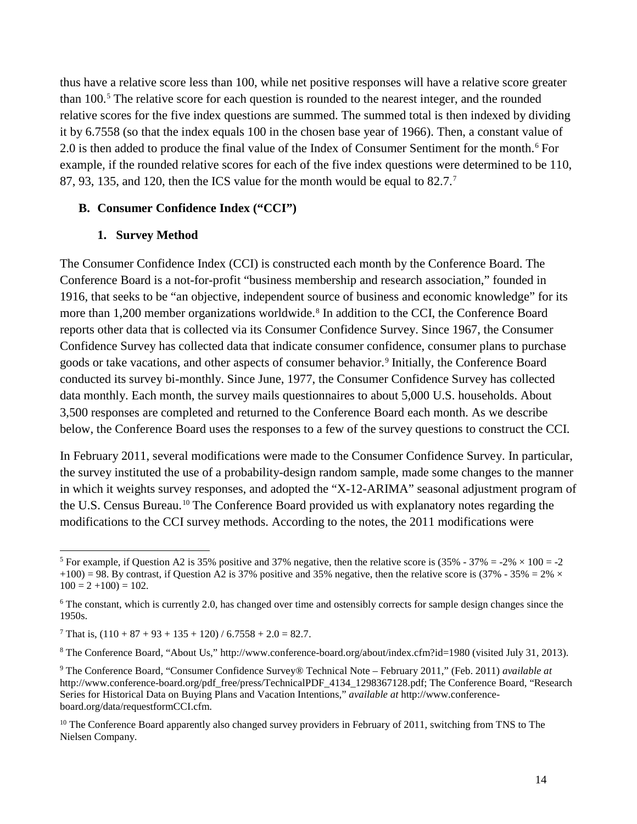thus have a relative score less than 100, while net positive responses will have a relative score greater than 100.[5](#page-13-2) The relative score for each question is rounded to the nearest integer, and the rounded relative scores for the five index questions are summed. The summed total is then indexed by dividing it by 6.7558 (so that the index equals 100 in the chosen base year of 1966). Then, a constant value of 2.0 is then added to produce the final value of the Index of Consumer Sentiment for the month.<sup>[6](#page-13-3)</sup> For example, if the rounded relative scores for each of the five index questions were determined to be 110, 87, 93, 135, and 120, then the ICS value for the month would be equal to 82.7[.7](#page-13-4)

#### <span id="page-13-0"></span>**B. Consumer Confidence Index ("CCI")**

#### **1. Survey Method**

<span id="page-13-1"></span>The Consumer Confidence Index (CCI) is constructed each month by the Conference Board. The Conference Board is a not-for-profit "business membership and research association," founded in 1916, that seeks to be "an objective, independent source of business and economic knowledge" for its more than 1,200 member organizations worldwide.<sup>[8](#page-13-5)</sup> In addition to the CCI, the Conference Board reports other data that is collected via its Consumer Confidence Survey. Since 1967, the Consumer Confidence Survey has collected data that indicate consumer confidence, consumer plans to purchase goods or take vacations, and other aspects of consumer behavior.[9](#page-13-6) Initially, the Conference Board conducted its survey bi-monthly. Since June, 1977, the Consumer Confidence Survey has collected data monthly. Each month, the survey mails questionnaires to about 5,000 U.S. households. About 3,500 responses are completed and returned to the Conference Board each month. As we describe below, the Conference Board uses the responses to a few of the survey questions to construct the CCI.

In February 2011, several modifications were made to the Consumer Confidence Survey. In particular, the survey instituted the use of a probability-design random sample, made some changes to the manner in which it weights survey responses, and adopted the "X-12-ARIMA" seasonal adjustment program of the U.S. Census Bureau.<sup>[10](#page-13-7)</sup> The Conference Board provided us with explanatory notes regarding the modifications to the CCI survey methods. According to the notes, the 2011 modifications were

<span id="page-13-2"></span><sup>&</sup>lt;sup>5</sup> For example, if Question A2 is 35% positive and 37% negative, then the relative score is  $(35\% - 37\% = -2\% \times 100 = -2$ +100) = 98. By contrast, if Question A2 is 37% positive and 35% negative, then the relative score is (37% - 35% = 2%  $\times$  $100 = 2 + 100 = 102.$  $\overline{a}$ 

<span id="page-13-3"></span><sup>&</sup>lt;sup>6</sup> The constant, which is currently 2.0, has changed over time and ostensibly corrects for sample design changes since the 1950s.

<span id="page-13-4"></span><sup>&</sup>lt;sup>7</sup> That is,  $(110 + 87 + 93 + 135 + 120)$  / 6.7558 + 2.0 = 82.7.

<span id="page-13-5"></span><sup>8</sup> The Conference Board, "About Us," http://www.conference-board.org/about/index.cfm?id=1980 (visited July 31, 2013).

<span id="page-13-6"></span><sup>9</sup> The Conference Board, "Consumer Confidence Survey® Technical Note – February 2011," (Feb. 2011) *available at* http://www.conference-board.org/pdf\_free/press/TechnicalPDF\_4134\_1298367128.pdf; The Conference Board, "Research Series for Historical Data on Buying Plans and Vacation Intentions," *available at* http://www.conferenceboard.org/data/requestformCCI.cfm.

<span id="page-13-7"></span><sup>&</sup>lt;sup>10</sup> The Conference Board apparently also changed survey providers in February of 2011, switching from TNS to The Nielsen Company.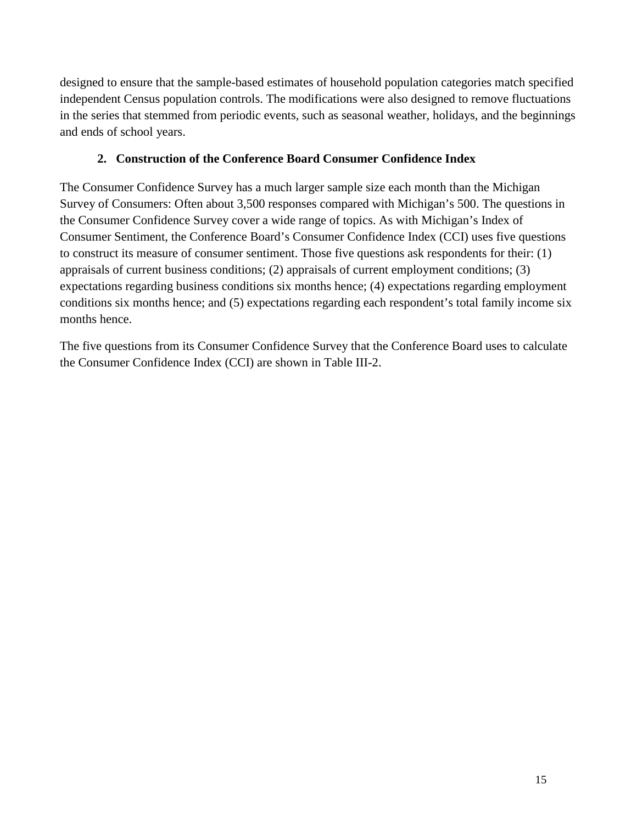designed to ensure that the sample-based estimates of household population categories match specified independent Census population controls. The modifications were also designed to remove fluctuations in the series that stemmed from periodic events, such as seasonal weather, holidays, and the beginnings and ends of school years.

# **2. Construction of the Conference Board Consumer Confidence Index**

<span id="page-14-0"></span>The Consumer Confidence Survey has a much larger sample size each month than the Michigan Survey of Consumers: Often about 3,500 responses compared with Michigan's 500. The questions in the Consumer Confidence Survey cover a wide range of topics. As with Michigan's Index of Consumer Sentiment, the Conference Board's Consumer Confidence Index (CCI) uses five questions to construct its measure of consumer sentiment. Those five questions ask respondents for their: (1) appraisals of current business conditions; (2) appraisals of current employment conditions; (3) expectations regarding business conditions six months hence; (4) expectations regarding employment conditions six months hence; and (5) expectations regarding each respondent's total family income six months hence.

The five questions from its Consumer Confidence Survey that the Conference Board uses to calculate the Consumer Confidence Index (CCI) are shown in [Table III-2.](#page-15-0)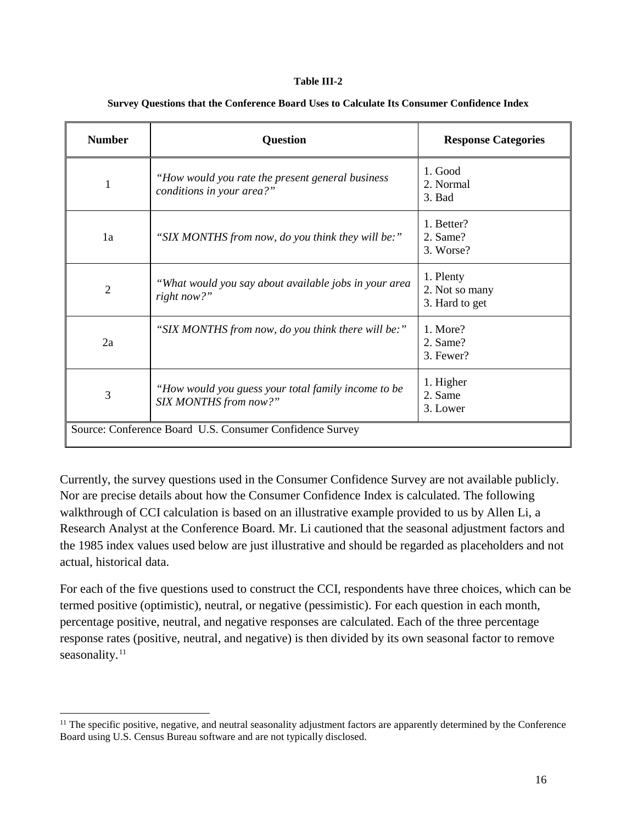#### **Table III-2**

<span id="page-15-0"></span>

| <b>Number</b>                                            | <b>Question</b>                                                                | <b>Response Categories</b>                    |  |  |
|----------------------------------------------------------|--------------------------------------------------------------------------------|-----------------------------------------------|--|--|
| 1                                                        | "How would you rate the present general business"<br>conditions in your area?" | 1. Good<br>2. Normal<br>3. Bad                |  |  |
| 1a                                                       | "SIX MONTHS from now, do you think they will be:"                              | 1. Better?<br>2. Same?<br>3. Worse?           |  |  |
| $\overline{2}$                                           | "What would you say about available jobs in your area<br>right now?"           | 1. Plenty<br>2. Not so many<br>3. Hard to get |  |  |
| 2a                                                       | "SIX MONTHS from now, do you think there will be:"                             | 1. More?<br>2. Same?<br>3. Fewer?             |  |  |
| 3                                                        | "How would you guess your total family income to be<br>SIX MONTHS from now?"   | 1. Higher<br>2. Same<br>3. Lower              |  |  |
| Source: Conference Board U.S. Consumer Confidence Survey |                                                                                |                                               |  |  |

#### **Survey Questions that the Conference Board Uses to Calculate Its Consumer Confidence Index**

Currently, the survey questions used in the Consumer Confidence Survey are not available publicly. Nor are precise details about how the Consumer Confidence Index is calculated. The following walkthrough of CCI calculation is based on an illustrative example provided to us by Allen Li, a Research Analyst at the Conference Board. Mr. Li cautioned that the seasonal adjustment factors and the 1985 index values used below are just illustrative and should be regarded as placeholders and not actual, historical data.

For each of the five questions used to construct the CCI, respondents have three choices, which can be termed positive (optimistic), neutral, or negative (pessimistic). For each question in each month, percentage positive, neutral, and negative responses are calculated. Each of the three percentage response rates (positive, neutral, and negative) is then divided by its own seasonal factor to remove seasonality.<sup>[11](#page-15-1)</sup>

<span id="page-15-1"></span> $<sup>11</sup>$  The specific positive, negative, and neutral seasonality adjustment factors are apparently determined by the Conference</sup> Board using U.S. Census Bureau software and are not typically disclosed.  $\overline{a}$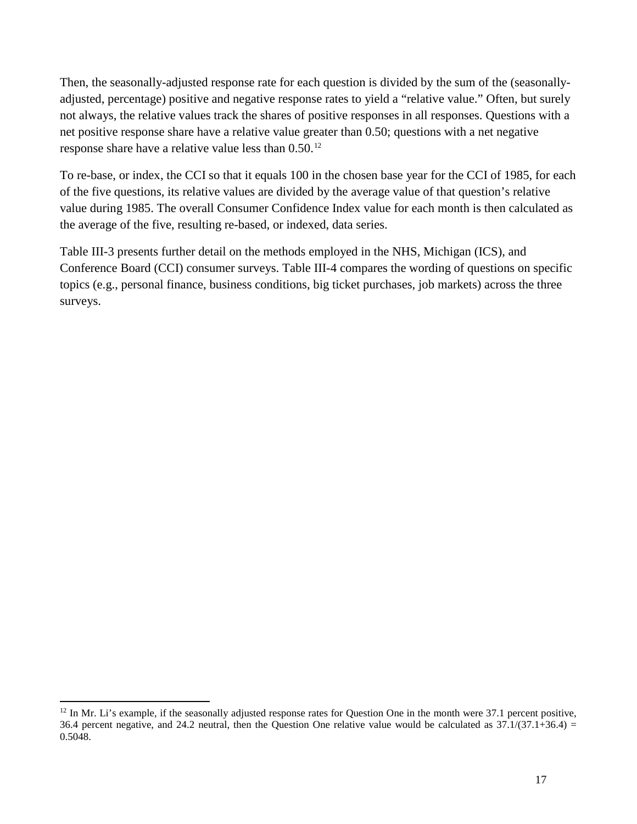Then, the seasonally-adjusted response rate for each question is divided by the sum of the (seasonallyadjusted, percentage) positive and negative response rates to yield a "relative value." Often, but surely not always, the relative values track the shares of positive responses in all responses. Questions with a net positive response share have a relative value greater than 0.50; questions with a net negative response share have a relative value less than 0.50.[12](#page-16-0)

To re-base, or index, the CCI so that it equals 100 in the chosen base year for the CCI of 1985, for each of the five questions, its relative values are divided by the average value of that question's relative value during 1985. The overall Consumer Confidence Index value for each month is then calculated as the average of the five, resulting re-based, or indexed, data series.

[Table III-3](#page-17-0) presents further detail on the methods employed in the NHS, Michigan (ICS), and Conference Board (CCI) consumer surveys. [Table III-4](#page-17-0) compares the wording of questions on specific topics (e.g., personal finance, business conditions, big ticket purchases, job markets) across the three surveys.

<span id="page-16-0"></span> $12$  In Mr. Li's example, if the seasonally adjusted response rates for Question One in the month were  $37.1$  percent positive, 36.4 percent negative, and 24.2 neutral, then the Question One relative value would be calculated as  $37.1/(37.1+36.4)$  = 0.5048.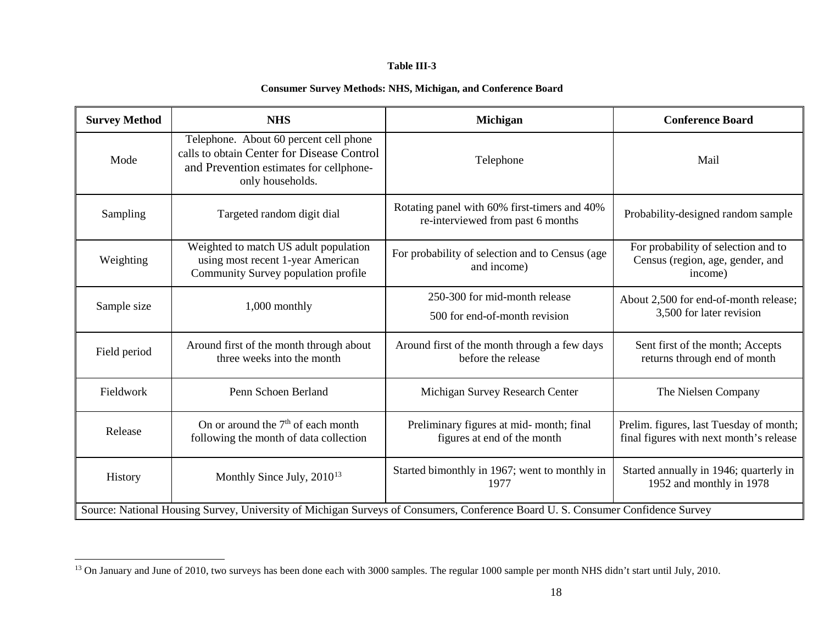#### <span id="page-17-1"></span>**Table III-3**

#### **Consumer Survey Methods: NHS, Michigan, and Conference Board**

<span id="page-17-0"></span>

| <b>Survey Method</b>                                                                                                           | <b>NHS</b>                                                                                                                                          | <b>Michigan</b>                                                                   | <b>Conference Board</b>                                                            |  |
|--------------------------------------------------------------------------------------------------------------------------------|-----------------------------------------------------------------------------------------------------------------------------------------------------|-----------------------------------------------------------------------------------|------------------------------------------------------------------------------------|--|
| Mode                                                                                                                           | Telephone. About 60 percent cell phone<br>calls to obtain Center for Disease Control<br>and Prevention estimates for cellphone-<br>only households. | Telephone                                                                         | Mail                                                                               |  |
| Sampling                                                                                                                       | Targeted random digit dial                                                                                                                          | Rotating panel with 60% first-timers and 40%<br>re-interviewed from past 6 months | Probability-designed random sample                                                 |  |
| Weighting                                                                                                                      | Weighted to match US adult population<br>using most recent 1-year American<br>Community Survey population profile                                   | For probability of selection and to Census (age<br>and income)                    | For probability of selection and to<br>Census (region, age, gender, and<br>income) |  |
| Sample size                                                                                                                    | 1,000 monthly                                                                                                                                       | 250-300 for mid-month release<br>500 for end-of-month revision                    | About 2,500 for end-of-month release;<br>3,500 for later revision                  |  |
| Field period                                                                                                                   | Around first of the month through about<br>three weeks into the month                                                                               | Around first of the month through a few days<br>before the release                | Sent first of the month; Accepts<br>returns through end of month                   |  |
| Fieldwork                                                                                                                      | Penn Schoen Berland                                                                                                                                 | Michigan Survey Research Center                                                   | The Nielsen Company                                                                |  |
| Release                                                                                                                        | On or around the $7th$ of each month<br>following the month of data collection                                                                      | Preliminary figures at mid-month; final<br>figures at end of the month            | Prelim. figures, last Tuesday of month;<br>final figures with next month's release |  |
| History                                                                                                                        | Monthly Since July, $2010^{13}$                                                                                                                     | Started bimonthly in 1967; went to monthly in<br>1977                             | Started annually in 1946; quarterly in<br>1952 and monthly in 1978                 |  |
| Source: National Housing Survey, University of Michigan Surveys of Consumers, Conference Board U.S. Consumer Confidence Survey |                                                                                                                                                     |                                                                                   |                                                                                    |  |

 $13$  On January and June of 2010, two surveys has been done each with 3000 samples. The regular 1000 sample per month NHS didn't start until July, 2010.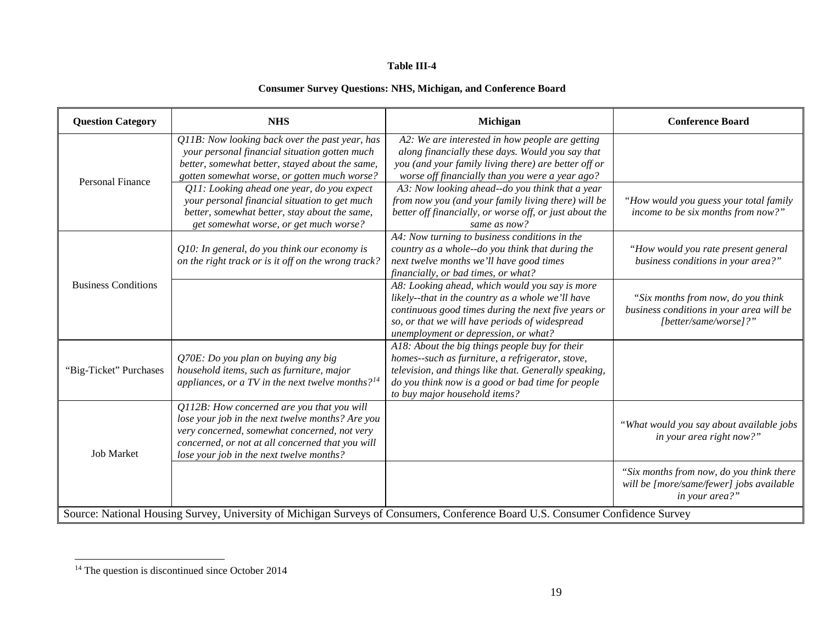#### <span id="page-18-0"></span>**Table III-4**

# **Consumer Survey Questions: NHS, Michigan, and Conference Board**

| <b>Question Category</b>   | <b>NHS</b>                                                                                                                                                                                                                                     | Michigan                                                                                                                                                                                                                                             | <b>Conference Board</b>                                                                                 |
|----------------------------|------------------------------------------------------------------------------------------------------------------------------------------------------------------------------------------------------------------------------------------------|------------------------------------------------------------------------------------------------------------------------------------------------------------------------------------------------------------------------------------------------------|---------------------------------------------------------------------------------------------------------|
|                            | Q11B: Now looking back over the past year, has<br>your personal financial situation gotten much<br>better, somewhat better, stayed about the same,<br>gotten somewhat worse, or gotten much worse?                                             | A2: We are interested in how people are getting<br>along financially these days. Would you say that<br>you (and your family living there) are better off or<br>worse off financially than you were a year ago?                                       |                                                                                                         |
| <b>Personal Finance</b>    | Q11: Looking ahead one year, do you expect<br>your personal financial situation to get much<br>better, somewhat better, stay about the same,<br>get somewhat worse, or get much worse?                                                         | A3: Now looking ahead--do you think that a year<br>from now you (and your family living there) will be<br>better off financially, or worse off, or just about the<br>same as now?                                                                    | "How would you guess your total family<br>income to be six months from now?"                            |
|                            | $Q10$ : In general, do you think our economy is<br>on the right track or is it off on the wrong track?                                                                                                                                         | A4: Now turning to business conditions in the<br>country as a whole--do you think that during the<br>next twelve months we'll have good times<br>financially, or bad times, or what?                                                                 | "How would you rate present general<br>business conditions in your area?"                               |
| <b>Business Conditions</b> |                                                                                                                                                                                                                                                | A8: Looking ahead, which would you say is more<br>likely--that in the country as a whole we'll have<br>continuous good times during the next five years or<br>so, or that we will have periods of widespread<br>unemployment or depression, or what? | "Six months from now, do you think<br>business conditions in your area will be<br>[better/same/worse]?" |
| "Big-Ticket" Purchases     | Q70E: Do you plan on buying any big<br>household items, such as furniture, major<br>appliances, or a TV in the next twelve months? $14$                                                                                                        | A18: About the big things people buy for their<br>homes--such as furniture, a refrigerator, stove,<br>television, and things like that. Generally speaking,<br>do you think now is a good or bad time for people<br>to buy major household items?    |                                                                                                         |
| <b>Job Market</b>          | Q112B: How concerned are you that you will<br>lose your job in the next twelve months? Are you<br>very concerned, somewhat concerned, not very<br>concerned, or not at all concerned that you will<br>lose your job in the next twelve months? |                                                                                                                                                                                                                                                      | "What would you say about available jobs<br>in your area right now?"                                    |
|                            |                                                                                                                                                                                                                                                | Source: National Housing Survey, University of Michigan Surveys of Consumers, Conference Board U.S. Consumer Confidence Survey                                                                                                                       | "Six months from now, do you think there<br>will be [more/same/fewer] jobs available<br>in your area?"  |

 $14$  The question is discontinued since October 2014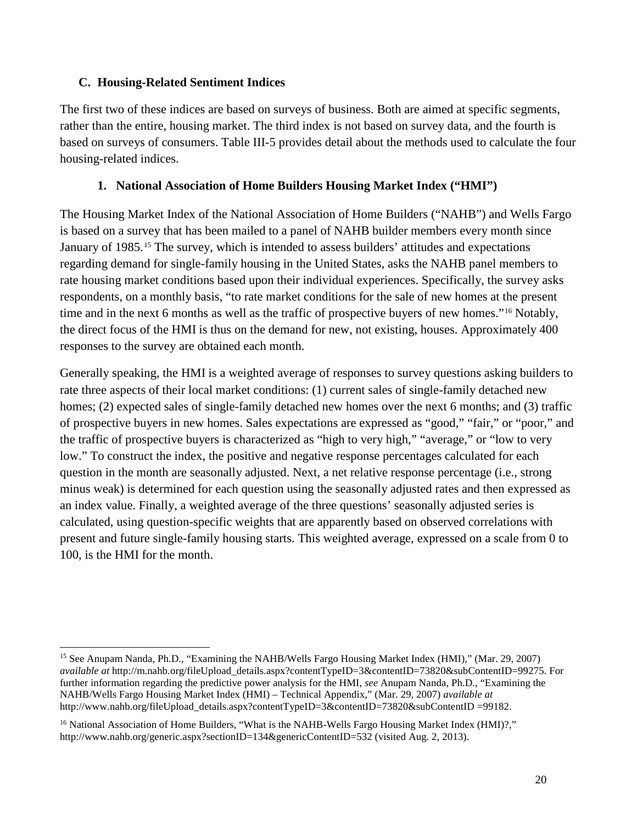## <span id="page-19-0"></span>**C. Housing-Related Sentiment Indices**

The first two of these indices are based on surveys of business. Both are aimed at specific segments, rather than the entire, housing market. The third index is not based on survey data, and the fourth is based on surveys of consumers. [Table III-5](#page-21-0) provides detail about the methods used to calculate the four housing-related indices.

# **1. National Association of Home Builders Housing Market Index ("HMI")**

<span id="page-19-1"></span>The Housing Market Index of the National Association of Home Builders ("NAHB") and Wells Fargo is based on a survey that has been mailed to a panel of NAHB builder members every month since January of 1985.[15](#page-19-2) The survey, which is intended to assess builders' attitudes and expectations regarding demand for single-family housing in the United States, asks the NAHB panel members to rate housing market conditions based upon their individual experiences. Specifically, the survey asks respondents, on a monthly basis, "to rate market conditions for the sale of new homes at the present time and in the next 6 months as well as the traffic of prospective buyers of new homes."[16](#page-19-3) Notably, the direct focus of the HMI is thus on the demand for new, not existing, houses. Approximately 400 responses to the survey are obtained each month.

Generally speaking, the HMI is a weighted average of responses to survey questions asking builders to rate three aspects of their local market conditions: (1) current sales of single-family detached new homes; (2) expected sales of single-family detached new homes over the next 6 months; and (3) traffic of prospective buyers in new homes. Sales expectations are expressed as "good," "fair," or "poor," and the traffic of prospective buyers is characterized as "high to very high," "average," or "low to very low." To construct the index, the positive and negative response percentages calculated for each question in the month are seasonally adjusted. Next, a net relative response percentage (i.e., strong minus weak) is determined for each question using the seasonally adjusted rates and then expressed as an index value. Finally, a weighted average of the three questions' seasonally adjusted series is calculated, using question-specific weights that are apparently based on observed correlations with present and future single-family housing starts. This weighted average, expressed on a scale from 0 to 100, is the HMI for the month.

<span id="page-19-2"></span><sup>15</sup> See Anupam Nanda, Ph.D., "Examining the NAHB/Wells Fargo Housing Market Index (HMI)," (Mar. 29, 2007) *available at* http://m.nahb.org/fileUpload\_details.aspx?contentTypeID=3&contentID=73820&subContentID=99275. For further information regarding the predictive power analysis for the HMI, *see* Anupam Nanda, Ph.D., "Examining the NAHB/Wells Fargo Housing Market Index (HMI) – Technical Appendix," (Mar. 29, 2007) *available at* http://www.nahb.org/fileUpload\_details.aspx?contentTypeID=3&contentID=73820&subContentID =99182.  $\overline{a}$ 

<span id="page-19-3"></span><sup>&</sup>lt;sup>16</sup> National Association of Home Builders, "What is the NAHB-Wells Fargo Housing Market Index (HMI)?," http://www.nahb.org/generic.aspx?sectionID=134&genericContentID=532 (visited Aug. 2, 2013).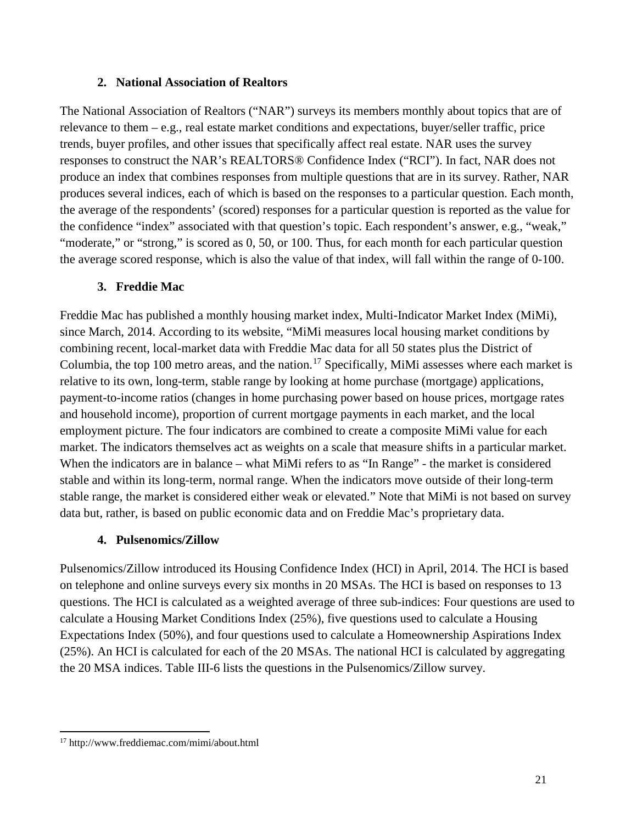#### **2. National Association of Realtors**

<span id="page-20-0"></span>The National Association of Realtors ("NAR") surveys its members monthly about topics that are of relevance to them – e.g., real estate market conditions and expectations, buyer/seller traffic, price trends, buyer profiles, and other issues that specifically affect real estate. NAR uses the survey responses to construct the NAR's REALTORS® Confidence Index ("RCI"). In fact, NAR does not produce an index that combines responses from multiple questions that are in its survey. Rather, NAR produces several indices, each of which is based on the responses to a particular question. Each month, the average of the respondents' (scored) responses for a particular question is reported as the value for the confidence "index" associated with that question's topic. Each respondent's answer, e.g., "weak," "moderate," or "strong," is scored as 0, 50, or 100. Thus, for each month for each particular question the average scored response, which is also the value of that index, will fall within the range of 0-100.

## **3. Freddie Mac**

<span id="page-20-1"></span>Freddie Mac has published a monthly housing market index, Multi-Indicator Market Index (MiMi), since March, 2014. According to its website, "MiMi measures local housing market conditions by combining recent, local-market data with Freddie Mac data for all 50 states plus the District of Columbia, the top 100 metro areas, and the nation.<sup>[17](#page-20-3)</sup> Specifically, MiMi assesses where each market is relative to its own, long-term, stable range by looking at home purchase (mortgage) applications, payment-to-income ratios (changes in home purchasing power based on house prices, mortgage rates and household income), proportion of current mortgage payments in each market, and the local employment picture. The four indicators are combined to create a composite MiMi value for each market. The indicators themselves act as weights on a scale that measure shifts in a particular market. When the indicators are in balance – what MiMi refers to as "In Range" - the market is considered stable and within its long-term, normal range. When the indicators move outside of their long-term stable range, the market is considered either weak or elevated." Note that MiMi is not based on survey data but, rather, is based on public economic data and on Freddie Mac's proprietary data.

## **4. Pulsenomics/Zillow**

<span id="page-20-2"></span>Pulsenomics/Zillow introduced its Housing Confidence Index (HCI) in April, 2014. The HCI is based on telephone and online surveys every six months in 20 MSAs. The HCI is based on responses to 13 questions. The HCI is calculated as a weighted average of three sub-indices: Four questions are used to calculate a Housing Market Conditions Index (25%), five questions used to calculate a Housing Expectations Index (50%), and four questions used to calculate a Homeownership Aspirations Index (25%). An HCI is calculated for each of the 20 MSAs. The national HCI is calculated by aggregating the 20 MSA indices. [Table III-6](#page-22-0) lists the questions in the Pulsenomics/Zillow survey.

<span id="page-20-3"></span><sup>17</sup> http://www.freddiemac.com/mimi/about.html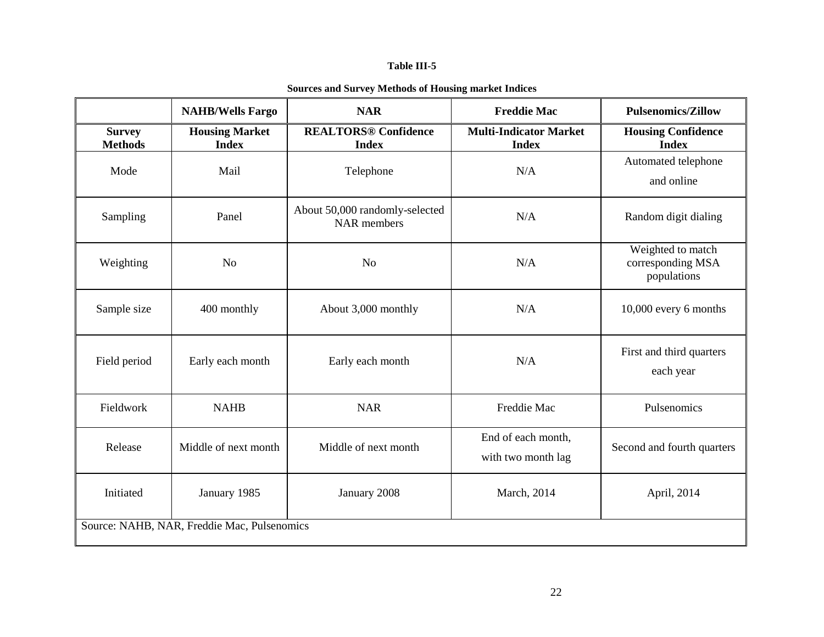#### **Table III-5**

|  | <b>Sources and Survey Methods of Housing market Indices</b> |
|--|-------------------------------------------------------------|
|--|-------------------------------------------------------------|

<span id="page-21-0"></span>

|                                             | <b>NAHB/Wells Fargo</b>               | <b>NAR</b>                                           | <b>Freddie Mac</b>                            | <b>Pulsenomics/Zillow</b>                             |
|---------------------------------------------|---------------------------------------|------------------------------------------------------|-----------------------------------------------|-------------------------------------------------------|
| <b>Survey</b><br><b>Methods</b>             | <b>Housing Market</b><br><b>Index</b> | <b>REALTORS® Confidence</b><br><b>Index</b>          | <b>Multi-Indicator Market</b><br><b>Index</b> | <b>Housing Confidence</b><br><b>Index</b>             |
| Mode                                        | Mail                                  | Telephone                                            | N/A                                           | Automated telephone<br>and online                     |
| Sampling                                    | Panel                                 | About 50,000 randomly-selected<br><b>NAR</b> members | N/A                                           | Random digit dialing                                  |
| Weighting                                   | N <sub>o</sub>                        | N <sub>o</sub>                                       | N/A                                           | Weighted to match<br>corresponding MSA<br>populations |
| Sample size                                 | 400 monthly                           | About 3,000 monthly                                  | N/A                                           | 10,000 every 6 months                                 |
| Field period                                | Early each month                      | Early each month                                     | N/A                                           | First and third quarters<br>each year                 |
| Fieldwork                                   | <b>NAHB</b>                           | <b>NAR</b>                                           | Freddie Mac                                   | Pulsenomics                                           |
| Release                                     | Middle of next month                  | Middle of next month                                 | End of each month,<br>with two month lag      | Second and fourth quarters                            |
| Initiated                                   | January 1985                          | January 2008                                         | March, 2014                                   | April, 2014                                           |
| Source: NAHB, NAR, Freddie Mac, Pulsenomics |                                       |                                                      |                                               |                                                       |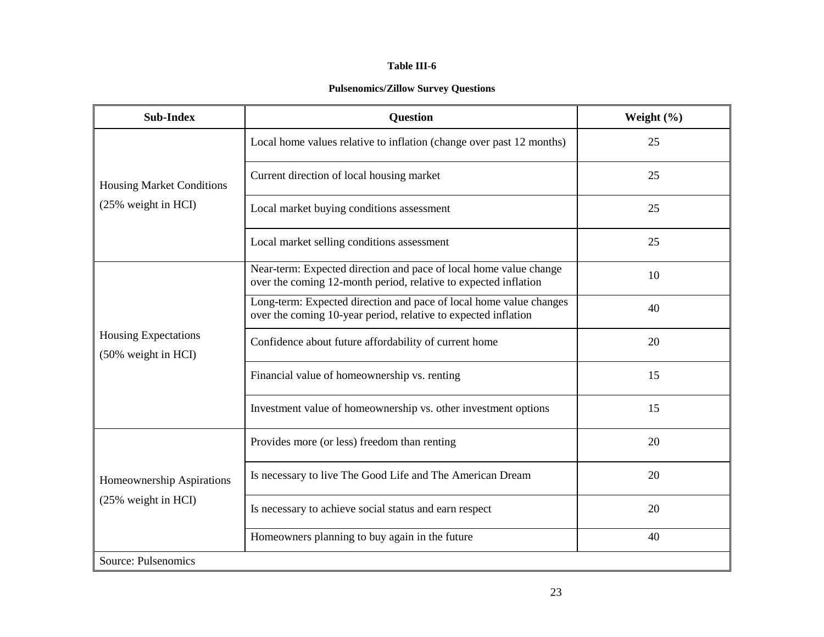#### **Table III-6**

#### **Pulsenomics/Zillow Survey Questions**

<span id="page-22-0"></span>

| <b>Sub-Index</b>                            | <b>Question</b>                                                                                                                      | Weight $(\% )$ |  |  |
|---------------------------------------------|--------------------------------------------------------------------------------------------------------------------------------------|----------------|--|--|
|                                             | Local home values relative to inflation (change over past 12 months)                                                                 | 25             |  |  |
| <b>Housing Market Conditions</b>            | Current direction of local housing market                                                                                            | 25             |  |  |
| (25% weight in HCI)                         | Local market buying conditions assessment                                                                                            | 25             |  |  |
|                                             | Local market selling conditions assessment                                                                                           | 25             |  |  |
|                                             | Near-term: Expected direction and pace of local home value change<br>over the coming 12-month period, relative to expected inflation | 10             |  |  |
|                                             | Long-term: Expected direction and pace of local home value changes<br>over the coming 10-year period, relative to expected inflation | 40             |  |  |
| Housing Expectations<br>(50% weight in HCI) | Confidence about future affordability of current home                                                                                | 20             |  |  |
|                                             | Financial value of homeownership vs. renting                                                                                         | 15             |  |  |
|                                             | Investment value of homeownership vs. other investment options                                                                       | 15             |  |  |
|                                             | Provides more (or less) freedom than renting                                                                                         | 20             |  |  |
| Homeownership Aspirations                   | Is necessary to live The Good Life and The American Dream                                                                            | 20             |  |  |
| (25% weight in HCI)                         | Is necessary to achieve social status and earn respect                                                                               | 20             |  |  |
|                                             | Homeowners planning to buy again in the future                                                                                       | 40             |  |  |
| Source: Pulsenomics                         |                                                                                                                                      |                |  |  |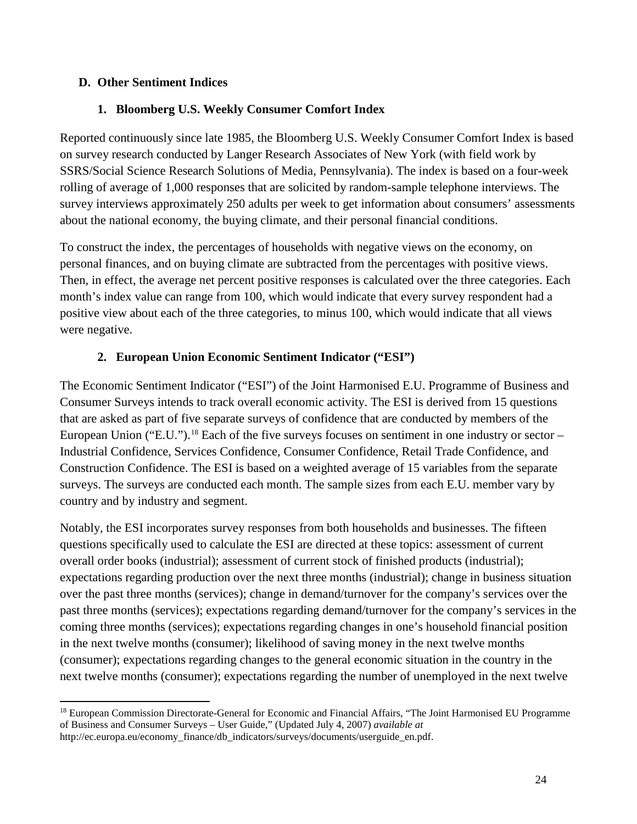## <span id="page-23-0"></span>**D. Other Sentiment Indices**

### **1. Bloomberg U.S. Weekly Consumer Comfort Index**

<span id="page-23-1"></span>Reported continuously since late 1985, the Bloomberg U.S. Weekly Consumer Comfort Index is based on survey research conducted by Langer Research Associates of New York (with field work by SSRS/Social Science Research Solutions of Media, Pennsylvania). The index is based on a four-week rolling of average of 1,000 responses that are solicited by random-sample telephone interviews. The survey interviews approximately 250 adults per week to get information about consumers' assessments about the national economy, the buying climate, and their personal financial conditions.

To construct the index, the percentages of households with negative views on the economy, on personal finances, and on buying climate are subtracted from the percentages with positive views. Then, in effect, the average net percent positive responses is calculated over the three categories. Each month's index value can range from 100, which would indicate that every survey respondent had a positive view about each of the three categories, to minus 100, which would indicate that all views were negative.

#### **2. European Union Economic Sentiment Indicator ("ESI")**

<span id="page-23-2"></span>The Economic Sentiment Indicator ("ESI") of the Joint Harmonised E.U. Programme of Business and Consumer Surveys intends to track overall economic activity. The ESI is derived from 15 questions that are asked as part of five separate surveys of confidence that are conducted by members of the European Union ("E.U.").<sup>[18](#page-23-3)</sup> Each of the five surveys focuses on sentiment in one industry or sector – Industrial Confidence, Services Confidence, Consumer Confidence, Retail Trade Confidence, and Construction Confidence. The ESI is based on a weighted average of 15 variables from the separate surveys. The surveys are conducted each month. The sample sizes from each E.U. member vary by country and by industry and segment.

Notably, the ESI incorporates survey responses from both households and businesses. The fifteen questions specifically used to calculate the ESI are directed at these topics: assessment of current overall order books (industrial); assessment of current stock of finished products (industrial); expectations regarding production over the next three months (industrial); change in business situation over the past three months (services); change in demand/turnover for the company's services over the past three months (services); expectations regarding demand/turnover for the company's services in the coming three months (services); expectations regarding changes in one's household financial position in the next twelve months (consumer); likelihood of saving money in the next twelve months (consumer); expectations regarding changes to the general economic situation in the country in the next twelve months (consumer); expectations regarding the number of unemployed in the next twelve

<span id="page-23-3"></span><sup>&</sup>lt;sup>18</sup> European Commission Directorate-General for Economic and Financial Affairs, "The Joint Harmonised EU Programme of Business and Consumer Surveys – User Guide," (Updated July 4, 2007) *available at*  $\overline{a}$ 

http://ec.europa.eu/economy\_finance/db\_indicators/surveys/documents/userguide\_en.pdf.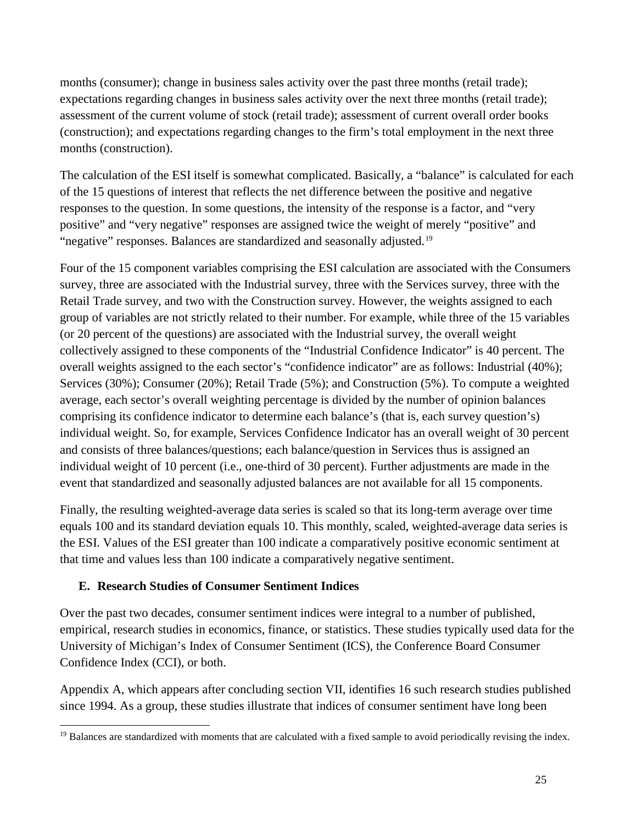months (consumer); change in business sales activity over the past three months (retail trade); expectations regarding changes in business sales activity over the next three months (retail trade); assessment of the current volume of stock (retail trade); assessment of current overall order books (construction); and expectations regarding changes to the firm's total employment in the next three months (construction).

The calculation of the ESI itself is somewhat complicated. Basically, a "balance" is calculated for each of the 15 questions of interest that reflects the net difference between the positive and negative responses to the question. In some questions, the intensity of the response is a factor, and "very positive" and "very negative" responses are assigned twice the weight of merely "positive" and "negative" responses. Balances are standardized and seasonally adjusted.[19](#page-24-1)

Four of the 15 component variables comprising the ESI calculation are associated with the Consumers survey, three are associated with the Industrial survey, three with the Services survey, three with the Retail Trade survey, and two with the Construction survey. However, the weights assigned to each group of variables are not strictly related to their number. For example, while three of the 15 variables (or 20 percent of the questions) are associated with the Industrial survey, the overall weight collectively assigned to these components of the "Industrial Confidence Indicator" is 40 percent. The overall weights assigned to the each sector's "confidence indicator" are as follows: Industrial (40%); Services (30%); Consumer (20%); Retail Trade (5%); and Construction (5%). To compute a weighted average, each sector's overall weighting percentage is divided by the number of opinion balances comprising its confidence indicator to determine each balance's (that is, each survey question's) individual weight. So, for example, Services Confidence Indicator has an overall weight of 30 percent and consists of three balances/questions; each balance/question in Services thus is assigned an individual weight of 10 percent (i.e., one-third of 30 percent). Further adjustments are made in the event that standardized and seasonally adjusted balances are not available for all 15 components.

Finally, the resulting weighted-average data series is scaled so that its long-term average over time equals 100 and its standard deviation equals 10. This monthly, scaled, weighted-average data series is the ESI. Values of the ESI greater than 100 indicate a comparatively positive economic sentiment at that time and values less than 100 indicate a comparatively negative sentiment.

## <span id="page-24-0"></span>**E. Research Studies of Consumer Sentiment Indices**

Over the past two decades, consumer sentiment indices were integral to a number of published, empirical, research studies in economics, finance, or statistics. These studies typically used data for the University of Michigan's Index of Consumer Sentiment (ICS), the Conference Board Consumer Confidence Index (CCI), or both.

Appendix A, which appears after concluding section VII, identifies 16 such research studies published since 1994. As a group, these studies illustrate that indices of consumer sentiment have long been

<span id="page-24-1"></span><sup>&</sup>lt;sup>19</sup> Balances are standardized with moments that are calculated with a fixed sample to avoid periodically revising the index.  $\overline{a}$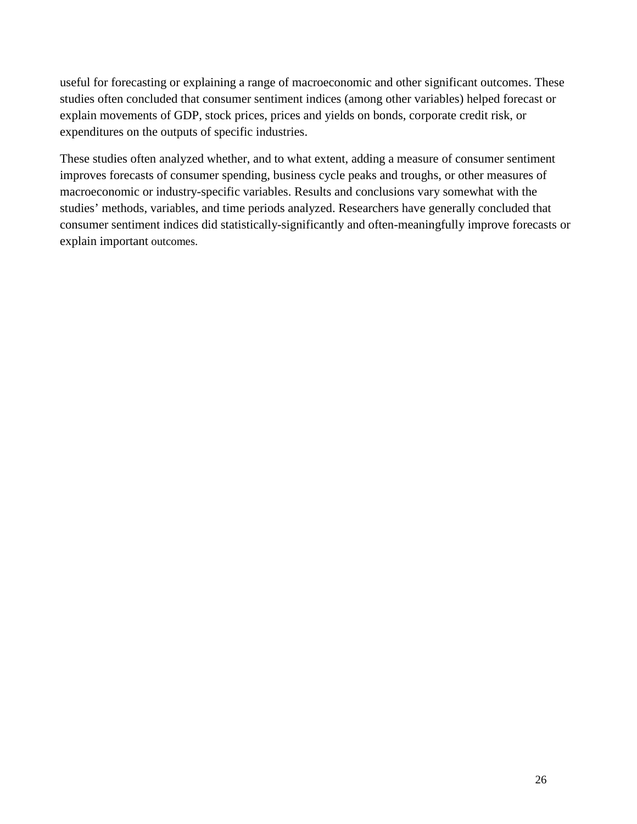useful for forecasting or explaining a range of macroeconomic and other significant outcomes. These studies often concluded that consumer sentiment indices (among other variables) helped forecast or explain movements of GDP, stock prices, prices and yields on bonds, corporate credit risk, or expenditures on the outputs of specific industries.

These studies often analyzed whether, and to what extent, adding a measure of consumer sentiment improves forecasts of consumer spending, business cycle peaks and troughs, or other measures of macroeconomic or industry-specific variables. Results and conclusions vary somewhat with the studies' methods, variables, and time periods analyzed. Researchers have generally concluded that consumer sentiment indices did statistically-significantly and often-meaningfully improve forecasts or explain important outcomes.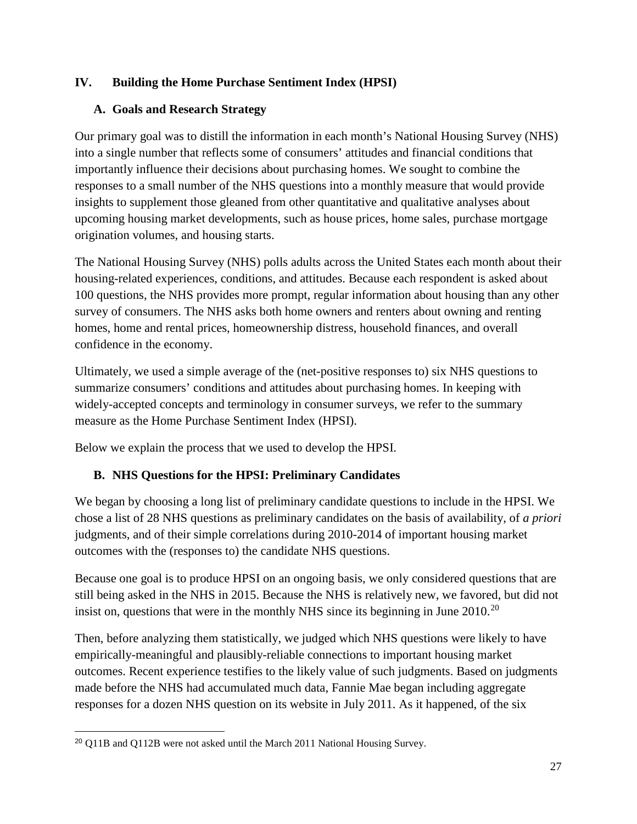# <span id="page-26-0"></span>**IV. Building the Home Purchase Sentiment Index (HPSI)**

# <span id="page-26-1"></span>**A. Goals and Research Strategy**

Our primary goal was to distill the information in each month's National Housing Survey (NHS) into a single number that reflects some of consumers' attitudes and financial conditions that importantly influence their decisions about purchasing homes. We sought to combine the responses to a small number of the NHS questions into a monthly measure that would provide insights to supplement those gleaned from other quantitative and qualitative analyses about upcoming housing market developments, such as house prices, home sales, purchase mortgage origination volumes, and housing starts.

The National Housing Survey (NHS) polls adults across the United States each month about their housing-related experiences, conditions, and attitudes. Because each respondent is asked about 100 questions, the NHS provides more prompt, regular information about housing than any other survey of consumers. The NHS asks both home owners and renters about owning and renting homes, home and rental prices, homeownership distress, household finances, and overall confidence in the economy.

Ultimately, we used a simple average of the (net-positive responses to) six NHS questions to summarize consumers' conditions and attitudes about purchasing homes. In keeping with widely-accepted concepts and terminology in consumer surveys, we refer to the summary measure as the Home Purchase Sentiment Index (HPSI).

Below we explain the process that we used to develop the HPSI.

# <span id="page-26-2"></span>**B. NHS Questions for the HPSI: Preliminary Candidates**

We began by choosing a long list of preliminary candidate questions to include in the HPSI. We chose a list of 28 NHS questions as preliminary candidates on the basis of availability, of *a priori* judgments, and of their simple correlations during 2010-2014 of important housing market outcomes with the (responses to) the candidate NHS questions.

Because one goal is to produce HPSI on an ongoing basis, we only considered questions that are still being asked in the NHS in 2015. Because the NHS is relatively new, we favored, but did not insist on, questions that were in the monthly NHS since its beginning in June  $2010^{20}$  $2010^{20}$ 

Then, before analyzing them statistically, we judged which NHS questions were likely to have empirically-meaningful and plausibly-reliable connections to important housing market outcomes. Recent experience testifies to the likely value of such judgments. Based on judgments made before the NHS had accumulated much data, Fannie Mae began including aggregate responses for a dozen NHS question on its website in July 2011. As it happened, of the six

<span id="page-26-3"></span><sup>&</sup>lt;sup>20</sup> Q11B and Q112B were not asked until the March 2011 National Housing Survey.  $\overline{a}$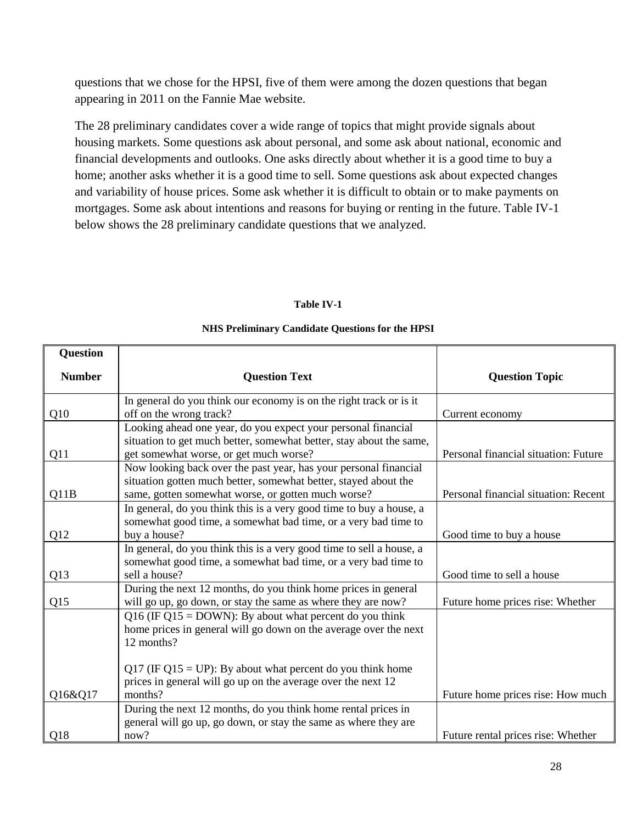questions that we chose for the HPSI, five of them were among the dozen questions that began appearing in 2011 on the Fannie Mae website.

The 28 preliminary candidates cover a wide range of topics that might provide signals about housing markets. Some questions ask about personal, and some ask about national, economic and financial developments and outlooks. One asks directly about whether it is a good time to buy a home; another asks whether it is a good time to sell. Some questions ask about expected changes and variability of house prices. Some ask whether it is difficult to obtain or to make payments on mortgages. Some ask about intentions and reasons for buying or renting in the future. [Table IV-1](#page-27-0) below shows the 28 preliminary candidate questions that we analyzed.

#### **Table IV-1**

#### **NHS Preliminary Candidate Questions for the HPSI**

<span id="page-27-0"></span>

| <b>Question</b> |                                                                      |                                      |
|-----------------|----------------------------------------------------------------------|--------------------------------------|
| <b>Number</b>   | <b>Question Text</b>                                                 | <b>Question Topic</b>                |
|                 | In general do you think our economy is on the right track or is it   |                                      |
| Q10             | off on the wrong track?                                              | Current economy                      |
|                 | Looking ahead one year, do you expect your personal financial        |                                      |
|                 | situation to get much better, somewhat better, stay about the same,  |                                      |
| Q11             | get somewhat worse, or get much worse?                               | Personal financial situation: Future |
|                 | Now looking back over the past year, has your personal financial     |                                      |
|                 | situation gotten much better, somewhat better, stayed about the      |                                      |
| Q11B            | same, gotten somewhat worse, or gotten much worse?                   | Personal financial situation: Recent |
|                 | In general, do you think this is a very good time to buy a house, a  |                                      |
|                 | somewhat good time, a somewhat bad time, or a very bad time to       |                                      |
| Q12             | buy a house?                                                         | Good time to buy a house             |
|                 | In general, do you think this is a very good time to sell a house, a |                                      |
|                 | somewhat good time, a somewhat bad time, or a very bad time to       |                                      |
| Q13             | sell a house?                                                        | Good time to sell a house            |
|                 | During the next 12 months, do you think home prices in general       |                                      |
| Q15             | will go up, go down, or stay the same as where they are now?         | Future home prices rise: Whether     |
|                 | Q16 (IF Q15 = DOWN): By about what percent do you think              |                                      |
|                 | home prices in general will go down on the average over the next     |                                      |
|                 | 12 months?                                                           |                                      |
|                 |                                                                      |                                      |
|                 | Q17 (IF Q15 = UP): By about what percent do you think home           |                                      |
|                 | prices in general will go up on the average over the next 12         |                                      |
| Q16&Q17         | months?                                                              | Future home prices rise: How much    |
|                 | During the next 12 months, do you think home rental prices in        |                                      |
|                 | general will go up, go down, or stay the same as where they are      |                                      |
| Q <sub>18</sub> | now?                                                                 | Future rental prices rise: Whether   |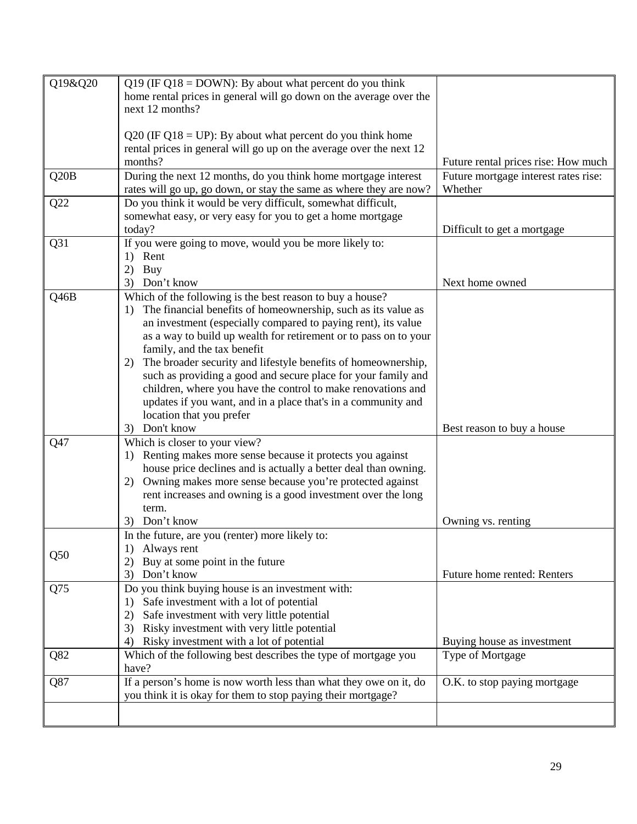| Q19&Q20 | Q19 (IF Q18 = DOWN): By about what percent do you think             |                                      |
|---------|---------------------------------------------------------------------|--------------------------------------|
|         | home rental prices in general will go down on the average over the  |                                      |
|         | next 12 months?                                                     |                                      |
|         |                                                                     |                                      |
|         | $Q20$ (IF $Q18 = UP$ ): By about what percent do you think home     |                                      |
|         | rental prices in general will go up on the average over the next 12 |                                      |
|         | months?                                                             | Future rental prices rise: How much  |
| Q20B    | During the next 12 months, do you think home mortgage interest      | Future mortgage interest rates rise: |
|         | rates will go up, go down, or stay the same as where they are now?  | Whether                              |
| Q22     | Do you think it would be very difficult, somewhat difficult,        |                                      |
|         | somewhat easy, or very easy for you to get a home mortgage          |                                      |
|         | today?                                                              | Difficult to get a mortgage          |
| Q31     | If you were going to move, would you be more likely to:             |                                      |
|         | Rent<br>1)                                                          |                                      |
|         | Buy<br>2)                                                           |                                      |
|         | Don't know<br>3)                                                    | Next home owned                      |
| Q46B    | Which of the following is the best reason to buy a house?           |                                      |
|         | The financial benefits of homeownership, such as its value as<br>1) |                                      |
|         | an investment (especially compared to paying rent), its value       |                                      |
|         | as a way to build up wealth for retirement or to pass on to your    |                                      |
|         | family, and the tax benefit                                         |                                      |
|         | The broader security and lifestyle benefits of homeownership,<br>2) |                                      |
|         | such as providing a good and secure place for your family and       |                                      |
|         | children, where you have the control to make renovations and        |                                      |
|         | updates if you want, and in a place that's in a community and       |                                      |
|         | location that you prefer                                            |                                      |
|         | Don't know<br>3)                                                    | Best reason to buy a house           |
| Q47     | Which is closer to your view?                                       |                                      |
|         | Renting makes more sense because it protects you against<br>1)      |                                      |
|         | house price declines and is actually a better deal than owning.     |                                      |
|         | Owning makes more sense because you're protected against<br>2)      |                                      |
|         | rent increases and owning is a good investment over the long        |                                      |
|         | term.                                                               |                                      |
|         | Don't know<br>3)                                                    | Owning vs. renting                   |
|         | In the future, are you (renter) more likely to:                     |                                      |
| Q50     | Always rent<br>1)                                                   |                                      |
|         | Buy at some point in the future<br>(2)                              |                                      |
|         | Don't know<br>3)                                                    | Future home rented: Renters          |
| Q75     | Do you think buying house is an investment with:                    |                                      |
|         | Safe investment with a lot of potential<br>1)                       |                                      |
|         | Safe investment with very little potential<br>2)                    |                                      |
|         | Risky investment with very little potential<br>3)                   |                                      |
|         | Risky investment with a lot of potential<br>4)                      | Buying house as investment           |
| Q82     | Which of the following best describes the type of mortgage you      | Type of Mortgage                     |
|         | have?                                                               |                                      |
| Q87     | If a person's home is now worth less than what they owe on it, do   | O.K. to stop paying mortgage         |
|         | you think it is okay for them to stop paying their mortgage?        |                                      |
|         |                                                                     |                                      |
|         |                                                                     |                                      |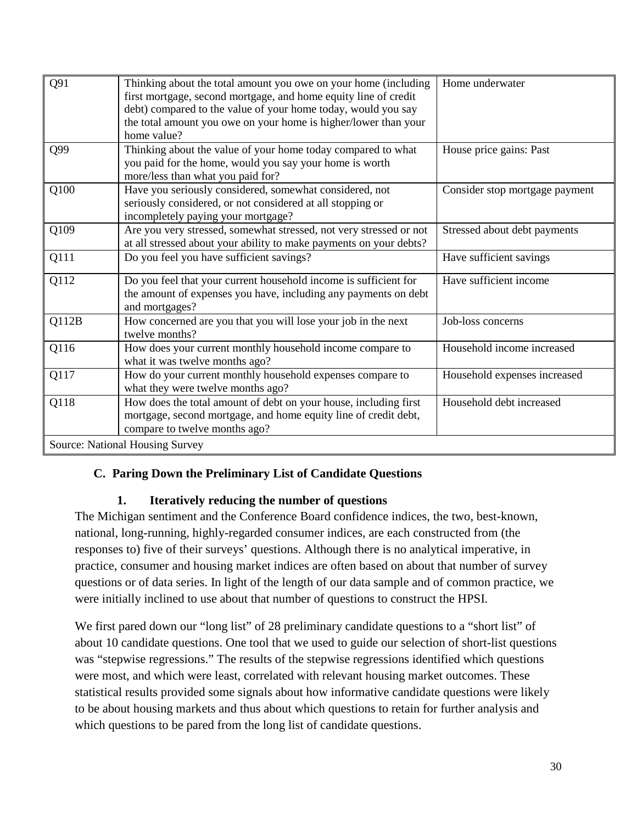| Q91   | Thinking about the total amount you owe on your home (including<br>first mortgage, second mortgage, and home equity line of credit                                   | Home underwater                |
|-------|----------------------------------------------------------------------------------------------------------------------------------------------------------------------|--------------------------------|
|       | debt) compared to the value of your home today, would you say<br>the total amount you owe on your home is higher/lower than your<br>home value?                      |                                |
| Q99   | Thinking about the value of your home today compared to what<br>you paid for the home, would you say your home is worth<br>more/less than what you paid for?         | House price gains: Past        |
| Q100  | Have you seriously considered, somewhat considered, not<br>seriously considered, or not considered at all stopping or<br>incompletely paying your mortgage?          | Consider stop mortgage payment |
| Q109  | Are you very stressed, somewhat stressed, not very stressed or not<br>at all stressed about your ability to make payments on your debts?                             | Stressed about debt payments   |
| Q111  | Do you feel you have sufficient savings?                                                                                                                             | Have sufficient savings        |
| Q112  | Do you feel that your current household income is sufficient for<br>the amount of expenses you have, including any payments on debt<br>and mortgages?                | Have sufficient income         |
| Q112B | How concerned are you that you will lose your job in the next<br>twelve months?                                                                                      | Job-loss concerns              |
| Q116  | How does your current monthly household income compare to<br>what it was twelve months ago?                                                                          | Household income increased     |
| Q117  | How do your current monthly household expenses compare to<br>what they were twelve months ago?                                                                       | Household expenses increased   |
| Q118  | How does the total amount of debt on your house, including first<br>mortgage, second mortgage, and home equity line of credit debt,<br>compare to twelve months ago? | Household debt increased       |
|       | Source: National Housing Survey                                                                                                                                      |                                |

## <span id="page-29-0"></span>**C. Paring Down the Preliminary List of Candidate Questions**

## **1. Iteratively reducing the number of questions**

<span id="page-29-1"></span>The Michigan sentiment and the Conference Board confidence indices, the two, best-known, national, long-running, highly-regarded consumer indices, are each constructed from (the responses to) five of their surveys' questions. Although there is no analytical imperative, in practice, consumer and housing market indices are often based on about that number of survey questions or of data series. In light of the length of our data sample and of common practice, we were initially inclined to use about that number of questions to construct the HPSI.

We first pared down our "long list" of 28 preliminary candidate questions to a "short list" of about 10 candidate questions. One tool that we used to guide our selection of short-list questions was "stepwise regressions." The results of the stepwise regressions identified which questions were most, and which were least, correlated with relevant housing market outcomes. These statistical results provided some signals about how informative candidate questions were likely to be about housing markets and thus about which questions to retain for further analysis and which questions to be pared from the long list of candidate questions.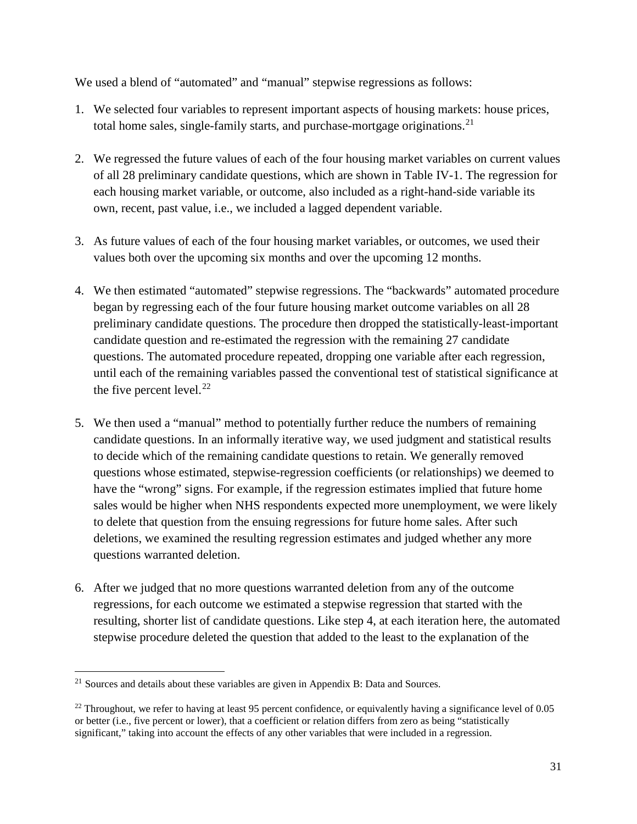We used a blend of "automated" and "manual" stepwise regressions as follows:

- 1. We selected four variables to represent important aspects of housing markets: house prices, total home sales, single-family starts, and purchase-mortgage originations.<sup>[21](#page-30-0)</sup>
- 2. We regressed the future values of each of the four housing market variables on current values of all 28 preliminary candidate questions, which are shown in [Table IV-1.](#page-27-0) The regression for each housing market variable, or outcome, also included as a right-hand-side variable its own, recent, past value, i.e., we included a lagged dependent variable.
- 3. As future values of each of the four housing market variables, or outcomes, we used their values both over the upcoming six months and over the upcoming 12 months.
- 4. We then estimated "automated" stepwise regressions. The "backwards" automated procedure began by regressing each of the four future housing market outcome variables on all 28 preliminary candidate questions. The procedure then dropped the statistically-least-important candidate question and re-estimated the regression with the remaining 27 candidate questions. The automated procedure repeated, dropping one variable after each regression, until each of the remaining variables passed the conventional test of statistical significance at the five percent level. $^{22}$  $^{22}$  $^{22}$
- 5. We then used a "manual" method to potentially further reduce the numbers of remaining candidate questions. In an informally iterative way, we used judgment and statistical results to decide which of the remaining candidate questions to retain. We generally removed questions whose estimated, stepwise-regression coefficients (or relationships) we deemed to have the "wrong" signs. For example, if the regression estimates implied that future home sales would be higher when NHS respondents expected more unemployment, we were likely to delete that question from the ensuing regressions for future home sales. After such deletions, we examined the resulting regression estimates and judged whether any more questions warranted deletion.
- 6. After we judged that no more questions warranted deletion from any of the outcome regressions, for each outcome we estimated a stepwise regression that started with the resulting, shorter list of candidate questions. Like step 4, at each iteration here, the automated stepwise procedure deleted the question that added to the least to the explanation of the

<span id="page-30-0"></span> $21$  Sources and details about these variables are given in Appendix B: Data and Sources.

<span id="page-30-1"></span> $22$  Throughout, we refer to having at least 95 percent confidence, or equivalently having a significance level of 0.05 or better (i.e., five percent or lower), that a coefficient or relation differs from zero as being "statistically significant," taking into account the effects of any other variables that were included in a regression.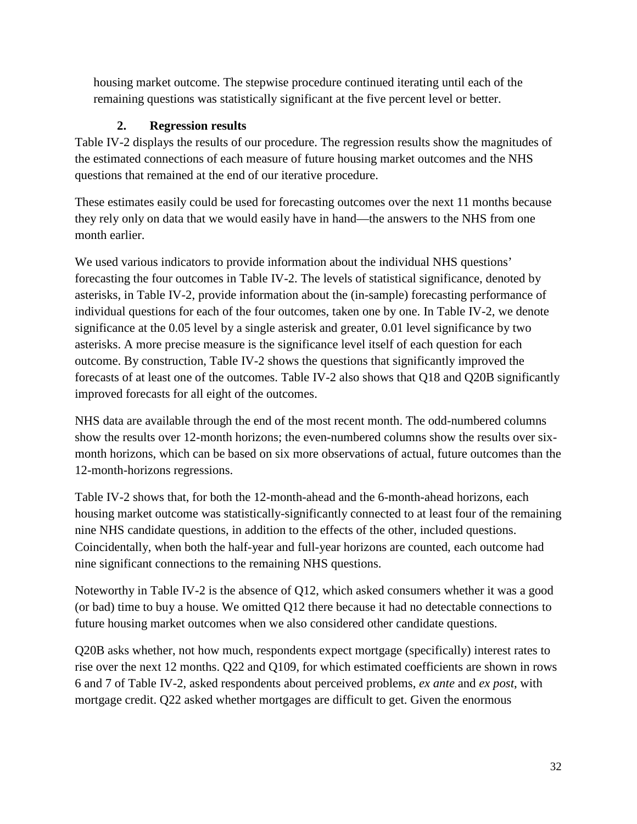housing market outcome. The stepwise procedure continued iterating until each of the remaining questions was statistically significant at the five percent level or better.

# **2. Regression results**

<span id="page-31-0"></span>[Table IV-2](#page-32-0) displays the results of our procedure. The regression results show the magnitudes of the estimated connections of each measure of future housing market outcomes and the NHS questions that remained at the end of our iterative procedure.

These estimates easily could be used for forecasting outcomes over the next 11 months because they rely only on data that we would easily have in hand—the answers to the NHS from one month earlier.

We used various indicators to provide information about the individual NHS questions' forecasting the four outcomes in [Table IV-2.](#page-32-0) The levels of statistical significance, denoted by asterisks, in [Table](#page-32-0) IV-2, provide information about the (in-sample) forecasting performance of individual questions for each of the four outcomes, taken one by one. In [Table](#page-32-0) IV-2, we denote significance at the 0.05 level by a single asterisk and greater, 0.01 level significance by two asterisks. A more precise measure is the significance level itself of each question for each outcome. By construction, [Table](#page-32-0) IV-2 shows the questions that significantly improved the forecasts of at least one of the outcomes. [Table](#page-32-0) IV-2 also shows that Q18 and Q20B significantly improved forecasts for all eight of the outcomes.

NHS data are available through the end of the most recent month. The odd-numbered columns show the results over 12-month horizons; the even-numbered columns show the results over sixmonth horizons, which can be based on six more observations of actual, future outcomes than the 12-month-horizons regressions.

[Table IV-2](#page-32-0) shows that, for both the 12-month-ahead and the 6-month-ahead horizons, each housing market outcome was statistically-significantly connected to at least four of the remaining nine NHS candidate questions, in addition to the effects of the other, included questions. Coincidentally, when both the half-year and full-year horizons are counted, each outcome had nine significant connections to the remaining NHS questions.

Noteworthy in [Table IV-2](#page-32-0) is the absence of Q12, which asked consumers whether it was a good (or bad) time to buy a house. We omitted Q12 there because it had no detectable connections to future housing market outcomes when we also considered other candidate questions.

Q20B asks whether, not how much, respondents expect mortgage (specifically) interest rates to rise over the next 12 months. Q22 and Q109, for which estimated coefficients are shown in rows 6 and 7 of [Table](#page-32-0) IV-2, asked respondents about perceived problems, *ex ante* and *ex post*, with mortgage credit. Q22 asked whether mortgages are difficult to get. Given the enormous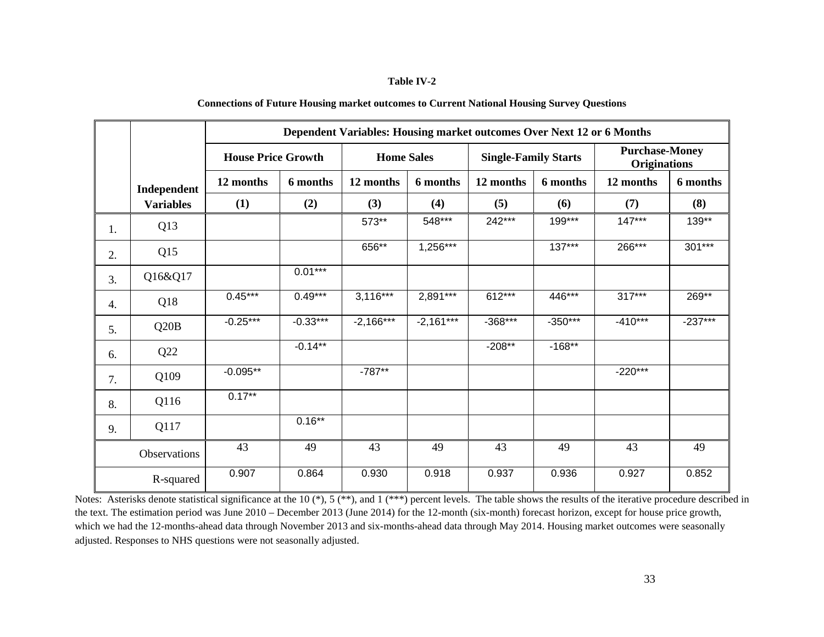#### **Table IV-2**

| <b>Connections of Future Housing market outcomes to Current National Housing Survey Questions</b> |  |
|---------------------------------------------------------------------------------------------------|--|
|---------------------------------------------------------------------------------------------------|--|

<span id="page-32-0"></span>

|    |                  | Dependent Variables: Housing market outcomes Over Next 12 or 6 Months |            |                   |             |                             |           |                                              |           |
|----|------------------|-----------------------------------------------------------------------|------------|-------------------|-------------|-----------------------------|-----------|----------------------------------------------|-----------|
|    |                  | <b>House Price Growth</b>                                             |            | <b>Home Sales</b> |             | <b>Single-Family Starts</b> |           | <b>Purchase-Money</b><br><b>Originations</b> |           |
|    | Independent      | 12 months                                                             | 6 months   | 12 months         | 6 months    | 12 months                   | 6 months  | 12 months                                    | 6 months  |
|    | <b>Variables</b> | (1)                                                                   | (2)        | (3)               | (4)         | (5)                         | (6)       | (7)                                          | (8)       |
| 1. | Q13              |                                                                       |            | 573**             | 548***      | 242***                      | 199***    | $147***$                                     | 139**     |
| 2. | Q15              |                                                                       |            | 656**             | $1,256***$  |                             | $137***$  | 266***                                       | $301***$  |
| 3. | Q16&Q17          |                                                                       | $0.01***$  |                   |             |                             |           |                                              |           |
| 4. | Q18              | $0.45***$                                                             | $0.49***$  | $3,116***$        | 2,891***    | 612***                      | 446***    | 317***                                       | 269**     |
| 5. | Q20B             | $-0.25***$                                                            | $-0.33***$ | $-2,166***$       | $-2,161***$ | $-368***$                   | $-350***$ | $-410***$                                    | $-237***$ |
| 6. | Q22              |                                                                       | $-0.14**$  |                   |             | $-208**$                    | $-168**$  |                                              |           |
| 7. | Q109             | $-0.095**$                                                            |            | $-787**$          |             |                             |           | $-220***$                                    |           |
| 8. | Q116             | $0.17***$                                                             |            |                   |             |                             |           |                                              |           |
| 9. | Q117             |                                                                       | $0.16***$  |                   |             |                             |           |                                              |           |
|    | Observations     | 43                                                                    | 49         | 43                | 49          | 43                          | 49        | 43                                           | 49        |
|    | R-squared        | 0.907                                                                 | 0.864      | 0.930             | 0.918       | 0.937                       | 0.936     | 0.927                                        | 0.852     |

Notes: Asterisks denote statistical significance at the 10 (\*), 5 (\*\*), and 1 (\*\*\*) percent levels. The table shows the results of the iterative procedure described in the text. The estimation period was June 2010 – December 2013 (June 2014) for the 12-month (six-month) forecast horizon, except for house price growth, which we had the 12-months-ahead data through November 2013 and six-months-ahead data through May 2014. Housing market outcomes were seasonally adjusted. Responses to NHS questions were not seasonally adjusted.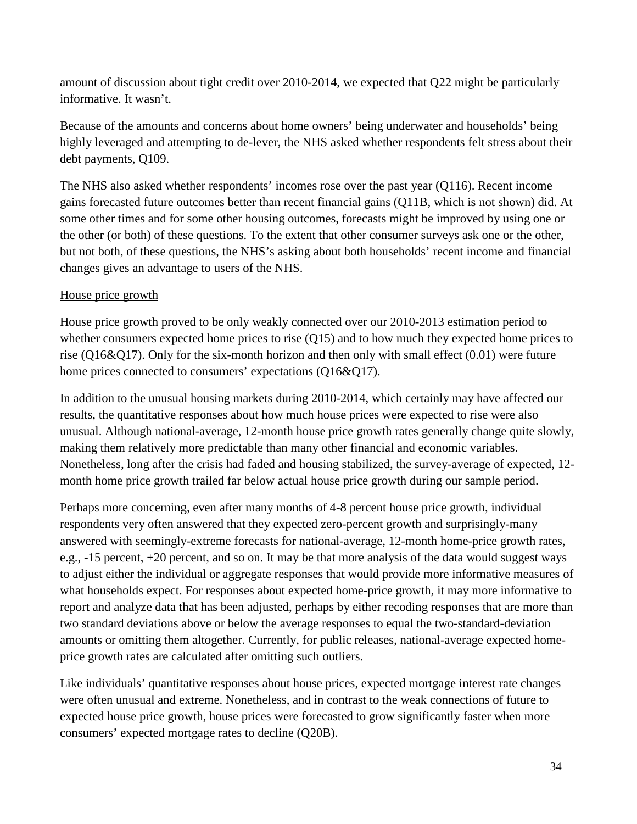amount of discussion about tight credit over 2010-2014, we expected that Q22 might be particularly informative. It wasn't.

Because of the amounts and concerns about home owners' being underwater and households' being highly leveraged and attempting to de-lever, the NHS asked whether respondents felt stress about their debt payments, Q109.

The NHS also asked whether respondents' incomes rose over the past year (Q116). Recent income gains forecasted future outcomes better than recent financial gains (Q11B, which is not shown) did. At some other times and for some other housing outcomes, forecasts might be improved by using one or the other (or both) of these questions. To the extent that other consumer surveys ask one or the other, but not both, of these questions, the NHS's asking about both households' recent income and financial changes gives an advantage to users of the NHS.

# House price growth

House price growth proved to be only weakly connected over our 2010-2013 estimation period to whether consumers expected home prices to rise (Q15) and to how much they expected home prices to rise (Q16&Q17). Only for the six-month horizon and then only with small effect (0.01) were future home prices connected to consumers' expectations (Q16&Q17).

In addition to the unusual housing markets during 2010-2014, which certainly may have affected our results, the quantitative responses about how much house prices were expected to rise were also unusual. Although national-average, 12-month house price growth rates generally change quite slowly, making them relatively more predictable than many other financial and economic variables. Nonetheless, long after the crisis had faded and housing stabilized, the survey-average of expected, 12 month home price growth trailed far below actual house price growth during our sample period.

Perhaps more concerning, even after many months of 4-8 percent house price growth, individual respondents very often answered that they expected zero-percent growth and surprisingly-many answered with seemingly-extreme forecasts for national-average, 12-month home-price growth rates, e.g., -15 percent, +20 percent, and so on. It may be that more analysis of the data would suggest ways to adjust either the individual or aggregate responses that would provide more informative measures of what households expect. For responses about expected home-price growth, it may more informative to report and analyze data that has been adjusted, perhaps by either recoding responses that are more than two standard deviations above or below the average responses to equal the two-standard-deviation amounts or omitting them altogether. Currently, for public releases, national-average expected homeprice growth rates are calculated after omitting such outliers.

Like individuals' quantitative responses about house prices, expected mortgage interest rate changes were often unusual and extreme. Nonetheless, and in contrast to the weak connections of future to expected house price growth, house prices were forecasted to grow significantly faster when more consumers' expected mortgage rates to decline (Q20B).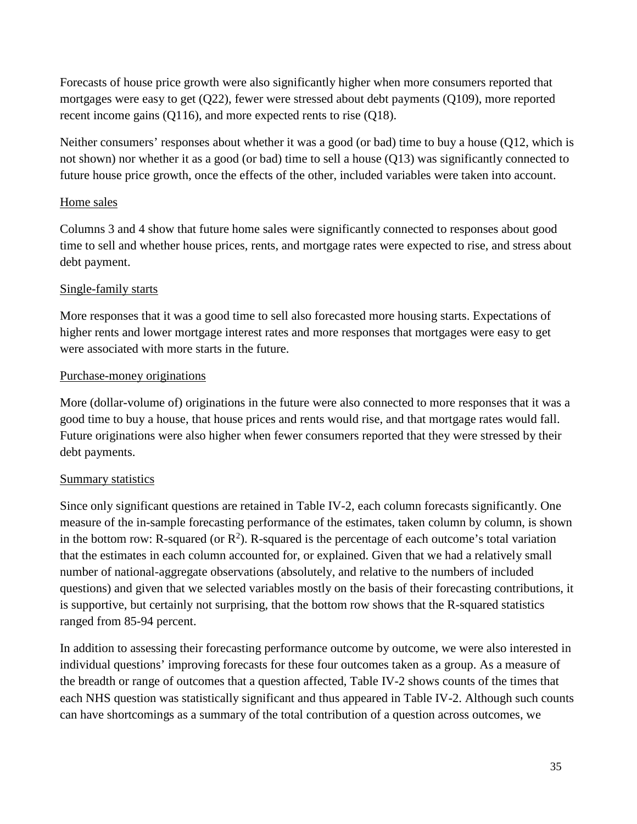Forecasts of house price growth were also significantly higher when more consumers reported that mortgages were easy to get (Q22), fewer were stressed about debt payments (Q109), more reported recent income gains (Q116), and more expected rents to rise (Q18).

Neither consumers' responses about whether it was a good (or bad) time to buy a house (Q12, which is not shown) nor whether it as a good (or bad) time to sell a house (Q13) was significantly connected to future house price growth, once the effects of the other, included variables were taken into account.

## Home sales

Columns 3 and 4 show that future home sales were significantly connected to responses about good time to sell and whether house prices, rents, and mortgage rates were expected to rise, and stress about debt payment.

## Single-family starts

More responses that it was a good time to sell also forecasted more housing starts. Expectations of higher rents and lower mortgage interest rates and more responses that mortgages were easy to get were associated with more starts in the future.

## Purchase-money originations

More (dollar-volume of) originations in the future were also connected to more responses that it was a good time to buy a house, that house prices and rents would rise, and that mortgage rates would fall. Future originations were also higher when fewer consumers reported that they were stressed by their debt payments.

## Summary statistics

Since only significant questions are retained in [Table](#page-32-0) IV-2, each column forecasts significantly. One measure of the in-sample forecasting performance of the estimates, taken column by column, is shown in the bottom row: R-squared (or  $R^2$ ). R-squared is the percentage of each outcome's total variation that the estimates in each column accounted for, or explained. Given that we had a relatively small number of national-aggregate observations (absolutely, and relative to the numbers of included questions) and given that we selected variables mostly on the basis of their forecasting contributions, it is supportive, but certainly not surprising, that the bottom row shows that the R-squared statistics ranged from 85-94 percent.

In addition to assessing their forecasting performance outcome by outcome, we were also interested in individual questions' improving forecasts for these four outcomes taken as a group. As a measure of the breadth or range of outcomes that a question affected, [Table](#page-32-0) IV-2 shows counts of the times that each NHS question was statistically significant and thus appeared in [Table](#page-32-0) IV-2. Although such counts can have shortcomings as a summary of the total contribution of a question across outcomes, we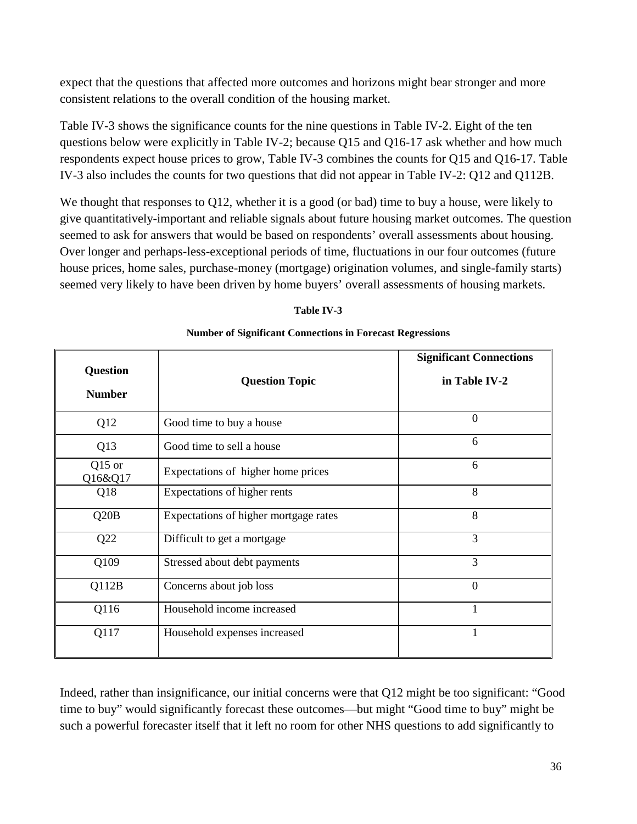expect that the questions that affected more outcomes and horizons might bear stronger and more consistent relations to the overall condition of the housing market.

[Table IV-3](#page-35-0) shows the significance counts for the nine questions in [Table](#page-32-0) IV-2. Eight of the ten questions below were explicitly in [Table](#page-32-0) IV-2; because Q15 and Q16-17 ask whether and how much respondents expect house prices to grow, [Table IV-3](#page-35-0) combines the counts for Q15 and Q16-17. [Table](#page-35-0)  [IV-3](#page-35-0) also includes the counts for two questions that did not appear in [Table](#page-32-0) IV-2: Q12 and Q112B.

We thought that responses to Q12, whether it is a good (or bad) time to buy a house, were likely to give quantitatively-important and reliable signals about future housing market outcomes. The question seemed to ask for answers that would be based on respondents' overall assessments about housing. Over longer and perhaps-less-exceptional periods of time, fluctuations in our four outcomes (future house prices, home sales, purchase-money (mortgage) origination volumes, and single-family starts) seemed very likely to have been driven by home buyers' overall assessments of housing markets.

| <b>Number of Significant Connections in Forecast Regressions</b> |  |
|------------------------------------------------------------------|--|
|------------------------------------------------------------------|--|

<span id="page-35-0"></span>

|                     |                                       | <b>Significant Connections</b> |  |  |
|---------------------|---------------------------------------|--------------------------------|--|--|
| Question            | <b>Question Topic</b>                 | in Table IV-2                  |  |  |
| <b>Number</b>       |                                       |                                |  |  |
| Q12                 | Good time to buy a house              | $\theta$                       |  |  |
| Q13                 | Good time to sell a house             | 6                              |  |  |
| $Q15$ or<br>Q16&Q17 | Expectations of higher home prices    | 6                              |  |  |
| Q18                 | Expectations of higher rents          | 8                              |  |  |
| Q20B                | Expectations of higher mortgage rates | 8                              |  |  |
| Q22                 | Difficult to get a mortgage           | 3                              |  |  |
| Q109                | Stressed about debt payments          | 3                              |  |  |
| Q112B               | Concerns about job loss               | $\theta$                       |  |  |
| Q116                | Household income increased            | $\mathbf{1}$                   |  |  |
| Q117                | Household expenses increased          | 1                              |  |  |

Indeed, rather than insignificance, our initial concerns were that Q12 might be too significant: "Good time to buy" would significantly forecast these outcomes—but might "Good time to buy" might be such a powerful forecaster itself that it left no room for other NHS questions to add significantly to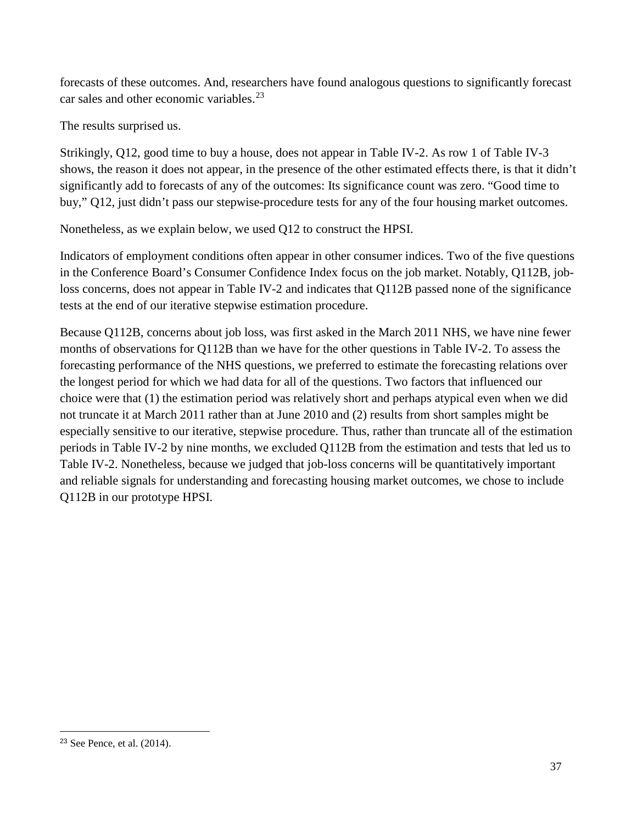forecasts of these outcomes. And, researchers have found analogous questions to significantly forecast car sales and other economic variables.<sup>[23](#page-36-0)</sup>

The results surprised us.

Strikingly, Q12, good time to buy a house, does not appear in [Table](#page-32-0) IV-2. As row 1 of [Table IV-3](#page-35-0) shows, the reason it does not appear, in the presence of the other estimated effects there, is that it didn't significantly add to forecasts of any of the outcomes: Its significance count was zero. "Good time to buy," Q12, just didn't pass our stepwise-procedure tests for any of the four housing market outcomes.

Nonetheless, as we explain below, we used Q12 to construct the HPSI.

Indicators of employment conditions often appear in other consumer indices. Two of the five questions in the Conference Board's Consumer Confidence Index focus on the job market. Notably, Q112B, jobloss concerns, does not appear in [Table](#page-32-0) IV-2 and indicates that Q112B passed none of the significance tests at the end of our iterative stepwise estimation procedure.

Because Q112B, concerns about job loss, was first asked in the March 2011 NHS, we have nine fewer months of observations for Q112B than we have for the other questions in [Table](#page-32-0) IV-2. To assess the forecasting performance of the NHS questions, we preferred to estimate the forecasting relations over the longest period for which we had data for all of the questions. Two factors that influenced our choice were that (1) the estimation period was relatively short and perhaps atypical even when we did not truncate it at March 2011 rather than at June 2010 and (2) results from short samples might be especially sensitive to our iterative, stepwise procedure. Thus, rather than truncate all of the estimation periods in [Table](#page-32-0) IV-2 by nine months, we excluded Q112B from the estimation and tests that led us to [Table](#page-32-0) IV-2. Nonetheless, because we judged that job-loss concerns will be quantitatively important and reliable signals for understanding and forecasting housing market outcomes, we chose to include Q112B in our prototype HPSI.

 $\overline{a}$ 

<span id="page-36-0"></span><sup>23</sup> See Pence, et al. (2014).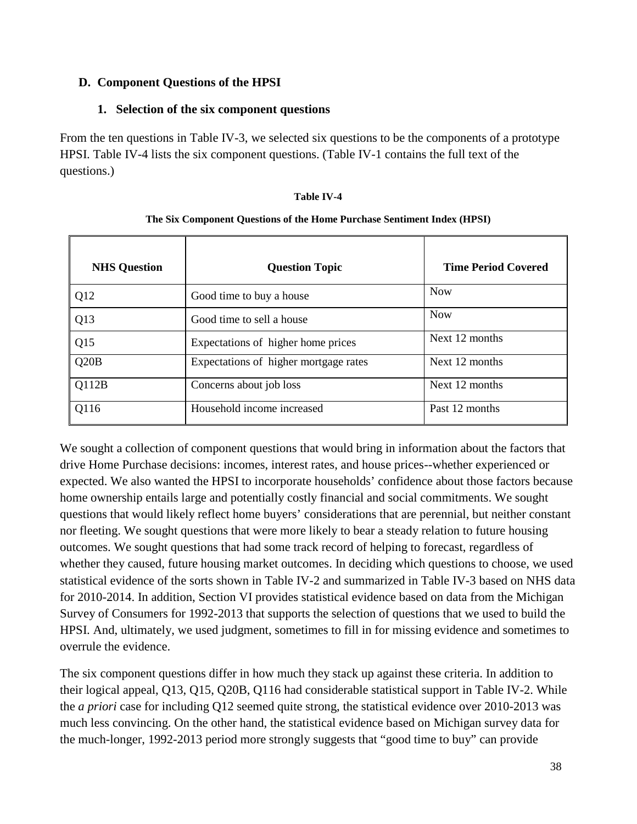# **D. Component Questions of the HPSI**

# **1. Selection of the six component questions**

From the ten questions in [Table IV-3,](#page-35-0) we selected six questions to be the components of a prototype HPSI. [Table IV-4](#page-37-0) lists the six component questions. [\(Table IV-1](#page-27-0) contains the full text of the questions.)

## **Table IV-4**

<span id="page-37-0"></span>

| <b>NHS</b> Question | <b>Question Topic</b>                 | <b>Time Period Covered</b> |
|---------------------|---------------------------------------|----------------------------|
| Q12                 | Good time to buy a house              | <b>Now</b>                 |
| Q13                 | Good time to sell a house             | <b>Now</b>                 |
| Q15                 | Expectations of higher home prices    | Next 12 months             |
| Q20B                | Expectations of higher mortgage rates | Next 12 months             |
| Q112B               | Concerns about job loss               | Next 12 months             |
| Q116                | Household income increased            | Past 12 months             |

## **The Six Component Questions of the Home Purchase Sentiment Index (HPSI)**

We sought a collection of component questions that would bring in information about the factors that drive Home Purchase decisions: incomes, interest rates, and house prices--whether experienced or expected. We also wanted the HPSI to incorporate households' confidence about those factors because home ownership entails large and potentially costly financial and social commitments. We sought questions that would likely reflect home buyers' considerations that are perennial, but neither constant nor fleeting. We sought questions that were more likely to bear a steady relation to future housing outcomes. We sought questions that had some track record of helping to forecast, regardless of whether they caused, future housing market outcomes. In deciding which questions to choose, we used statistical evidence of the sorts shown in [Table IV-2](#page-32-0) and summarized in [Table IV-3](#page-35-0) based on NHS data for 2010-2014. In addition, Section VI provides statistical evidence based on data from the Michigan Survey of Consumers for 1992-2013 that supports the selection of questions that we used to build the HPSI. And, ultimately, we used judgment, sometimes to fill in for missing evidence and sometimes to overrule the evidence.

The six component questions differ in how much they stack up against these criteria. In addition to their logical appeal, Q13, Q15, Q20B, Q116 had considerable statistical support in [Table](#page-32-0) IV-2. While the *a priori* case for including Q12 seemed quite strong, the statistical evidence over 2010-2013 was much less convincing. On the other hand, the statistical evidence based on Michigan survey data for the much-longer, 1992-2013 period more strongly suggests that "good time to buy" can provide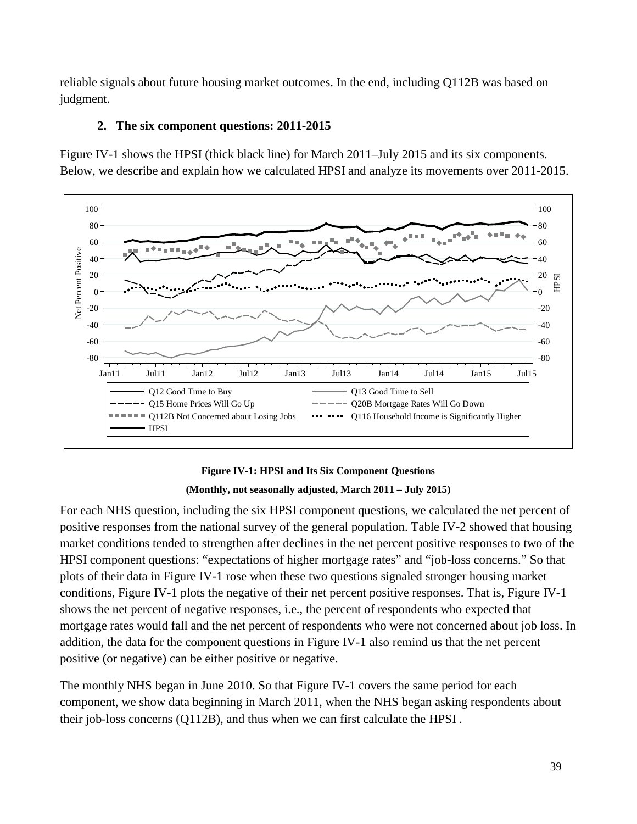reliable signals about future housing market outcomes. In the end, including Q112B was based on judgment.

# **2. The six component questions: 2011-2015**

[Figure IV-1](#page-38-0) shows the HPSI (thick black line) for March 2011–July 2015 and its six components. Below, we describe and explain how we calculated HPSI and analyze its movements over 2011-2015.



# **Figure IV-1: HPSI and Its Six Component Questions (Monthly, not seasonally adjusted, March 2011 – July 2015)**

<span id="page-38-0"></span>For each NHS question, including the six HPSI component questions, we calculated the net percent of positive responses from the national survey of the general population. [Table](#page-32-0) IV-2 showed that housing market conditions tended to strengthen after declines in the net percent positive responses to two of the HPSI component questions: "expectations of higher mortgage rates" and "job-loss concerns." So that plots of their data in [Figure IV-1](#page-38-0) rose when these two questions signaled stronger housing market conditions, [Figure IV-1](#page-38-0) plots the negative of their net percent positive responses. That is, [Figure IV-1](#page-38-0) shows the net percent of negative responses, i.e., the percent of respondents who expected that mortgage rates would fall and the net percent of respondents who were not concerned about job loss. In addition, the data for the component questions in [Figure IV-1](#page-38-0) also remind us that the net percent positive (or negative) can be either positive or negative.

The monthly NHS began in June 2010. So that [Figure IV-1](#page-38-0) covers the same period for each component, we show data beginning in March 2011, when the NHS began asking respondents about their job-loss concerns (Q112B), and thus when we can first calculate the HPSI .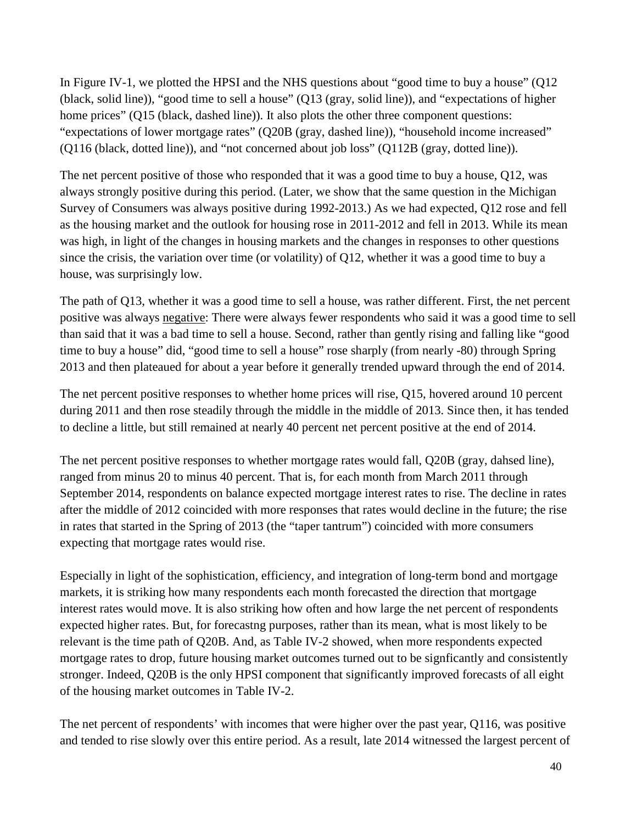In [Figure IV-1,](#page-38-0) we plotted the HPSI and the NHS questions about "good time to buy a house" (Q12 (black, solid line)), "good time to sell a house" (Q13 (gray, solid line)), and "expectations of higher home prices" (Q15 (black, dashed line)). It also plots the other three component questions: "expectations of lower mortgage rates" (Q20B (gray, dashed line)), "household income increased" (Q116 (black, dotted line)), and "not concerned about job loss" (Q112B (gray, dotted line)).

The net percent positive of those who responded that it was a good time to buy a house, Q12, was always strongly positive during this period. (Later, we show that the same question in the Michigan Survey of Consumers was always positive during 1992-2013.) As we had expected, Q12 rose and fell as the housing market and the outlook for housing rose in 2011-2012 and fell in 2013. While its mean was high, in light of the changes in housing markets and the changes in responses to other questions since the crisis, the variation over time (or volatility) of Q12, whether it was a good time to buy a house, was surprisingly low.

The path of Q13, whether it was a good time to sell a house, was rather different. First, the net percent positive was always negative: There were always fewer respondents who said it was a good time to sell than said that it was a bad time to sell a house. Second, rather than gently rising and falling like "good time to buy a house" did, "good time to sell a house" rose sharply (from nearly -80) through Spring 2013 and then plateaued for about a year before it generally trended upward through the end of 2014.

The net percent positive responses to whether home prices will rise, Q15, hovered around 10 percent during 2011 and then rose steadily through the middle in the middle of 2013. Since then, it has tended to decline a little, but still remained at nearly 40 percent net percent positive at the end of 2014.

The net percent positive responses to whether mortgage rates would fall, Q20B (gray, dahsed line), ranged from minus 20 to minus 40 percent. That is, for each month from March 2011 through September 2014, respondents on balance expected mortgage interest rates to rise. The decline in rates after the middle of 2012 coincided with more responses that rates would decline in the future; the rise in rates that started in the Spring of 2013 (the "taper tantrum") coincided with more consumers expecting that mortgage rates would rise.

Especially in light of the sophistication, efficiency, and integration of long-term bond and mortgage markets, it is striking how many respondents each month forecasted the direction that mortgage interest rates would move. It is also striking how often and how large the net percent of respondents expected higher rates. But, for forecastng purposes, rather than its mean, what is most likely to be relevant is the time path of Q20B. And, as [Table](#page-32-0) IV-2 showed, when more respondents expected mortgage rates to drop, future housing market outcomes turned out to be signficantly and consistently stronger. Indeed, Q20B is the only HPSI component that significantly improved forecasts of all eight of the housing market outcomes in [Table](#page-32-0) IV-2.

The net percent of respondents' with incomes that were higher over the past year, Q116, was positive and tended to rise slowly over this entire period. As a result, late 2014 witnessed the largest percent of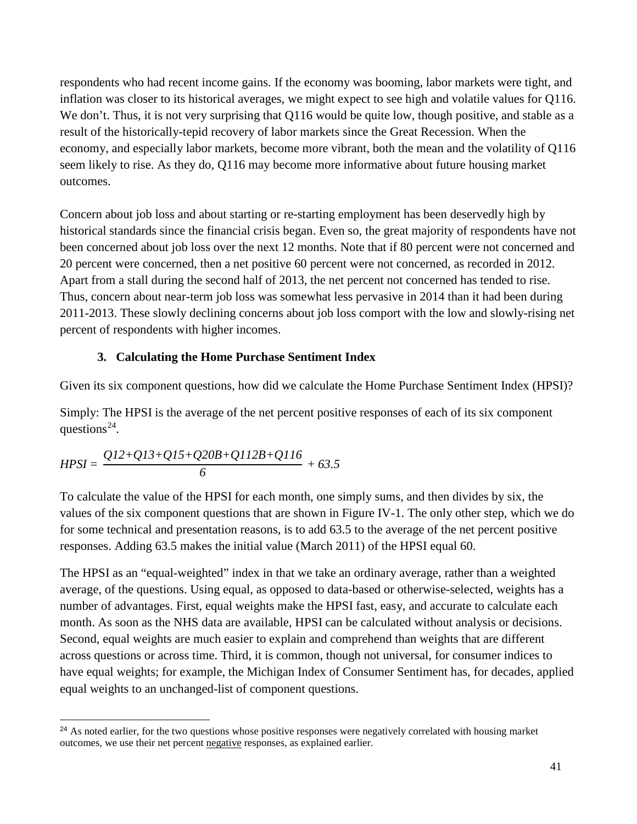respondents who had recent income gains. If the economy was booming, labor markets were tight, and inflation was closer to its historical averages, we might expect to see high and volatile values for Q116. We don't. Thus, it is not very surprising that Q116 would be quite low, though positive, and stable as a result of the historically-tepid recovery of labor markets since the Great Recession. When the economy, and especially labor markets, become more vibrant, both the mean and the volatility of Q116 seem likely to rise. As they do, Q116 may become more informative about future housing market outcomes.

Concern about job loss and about starting or re-starting employment has been deservedly high by historical standards since the financial crisis began. Even so, the great majority of respondents have not been concerned about job loss over the next 12 months. Note that if 80 percent were not concerned and 20 percent were concerned, then a net positive 60 percent were not concerned, as recorded in 2012. Apart from a stall during the second half of 2013, the net percent not concerned has tended to rise. Thus, concern about near-term job loss was somewhat less pervasive in 2014 than it had been during 2011-2013. These slowly declining concerns about job loss comport with the low and slowly-rising net percent of respondents with higher incomes.

# **3. Calculating the Home Purchase Sentiment Index**

Given its six component questions, how did we calculate the Home Purchase Sentiment Index (HPSI)?

Simply: The HPSI is the average of the net percent positive responses of each of its six component questions<sup>24</sup>.

$$
HPSI = \frac{QI2 + QI3 + QI5 + Q20B + QI12B + QI16}{6} + 63.5
$$

 $\overline{a}$ 

To calculate the value of the HPSI for each month, one simply sums, and then divides by six, the values of the six component questions that are shown in [Figure IV-1.](#page-38-0) The only other step, which we do for some technical and presentation reasons, is to add 63.5 to the average of the net percent positive responses. Adding 63.5 makes the initial value (March 2011) of the HPSI equal 60.

The HPSI as an "equal-weighted" index in that we take an ordinary average, rather than a weighted average, of the questions. Using equal, as opposed to data-based or otherwise-selected, weights has a number of advantages. First, equal weights make the HPSI fast, easy, and accurate to calculate each month. As soon as the NHS data are available, HPSI can be calculated without analysis or decisions. Second, equal weights are much easier to explain and comprehend than weights that are different across questions or across time. Third, it is common, though not universal, for consumer indices to have equal weights; for example, the Michigan Index of Consumer Sentiment has, for decades, applied equal weights to an unchanged-list of component questions.

<span id="page-40-0"></span><sup>&</sup>lt;sup>24</sup> As noted earlier, for the two questions whose positive responses were negatively correlated with housing market outcomes, we use their net percent negative responses, as explained earlier.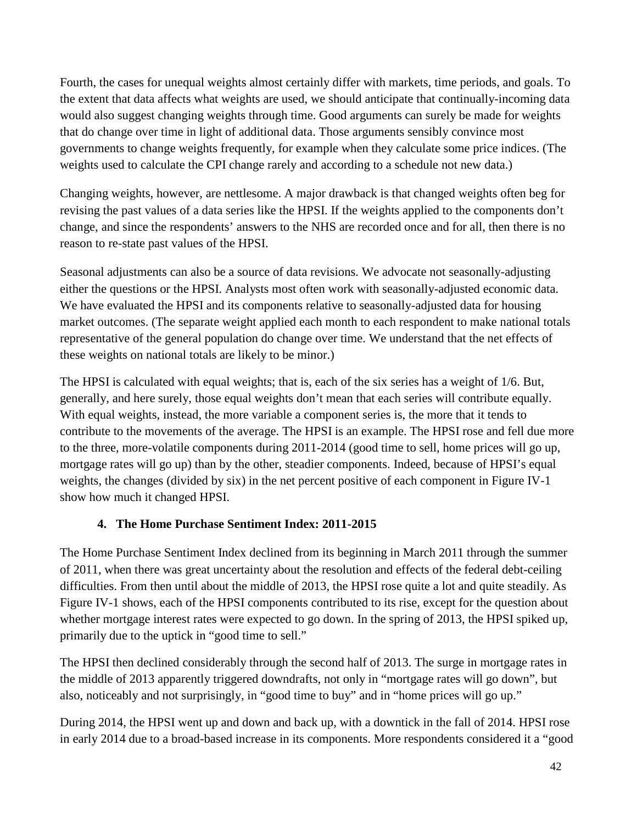Fourth, the cases for unequal weights almost certainly differ with markets, time periods, and goals. To the extent that data affects what weights are used, we should anticipate that continually-incoming data would also suggest changing weights through time. Good arguments can surely be made for weights that do change over time in light of additional data. Those arguments sensibly convince most governments to change weights frequently, for example when they calculate some price indices. (The weights used to calculate the CPI change rarely and according to a schedule not new data.)

Changing weights, however, are nettlesome. A major drawback is that changed weights often beg for revising the past values of a data series like the HPSI. If the weights applied to the components don't change, and since the respondents' answers to the NHS are recorded once and for all, then there is no reason to re-state past values of the HPSI.

Seasonal adjustments can also be a source of data revisions. We advocate not seasonally-adjusting either the questions or the HPSI. Analysts most often work with seasonally-adjusted economic data. We have evaluated the HPSI and its components relative to seasonally-adjusted data for housing market outcomes. (The separate weight applied each month to each respondent to make national totals representative of the general population do change over time. We understand that the net effects of these weights on national totals are likely to be minor.)

The HPSI is calculated with equal weights; that is, each of the six series has a weight of 1/6. But, generally, and here surely, those equal weights don't mean that each series will contribute equally. With equal weights, instead, the more variable a component series is, the more that it tends to contribute to the movements of the average. The HPSI is an example. The HPSI rose and fell due more to the three, more-volatile components during 2011-2014 (good time to sell, home prices will go up, mortgage rates will go up) than by the other, steadier components. Indeed, because of HPSI's equal weights, the changes (divided by six) in the net percent positive of each component in [Figure IV-1](#page-38-0) show how much it changed HPSI.

# **4. The Home Purchase Sentiment Index: 2011-2015**

The Home Purchase Sentiment Index declined from its beginning in March 2011 through the summer of 2011, when there was great uncertainty about the resolution and effects of the federal debt-ceiling difficulties. From then until about the middle of 2013, the HPSI rose quite a lot and quite steadily. As [Figure IV-1](#page-38-0) shows, each of the HPSI components contributed to its rise, except for the question about whether mortgage interest rates were expected to go down. In the spring of 2013, the HPSI spiked up, primarily due to the uptick in "good time to sell."

The HPSI then declined considerably through the second half of 2013. The surge in mortgage rates in the middle of 2013 apparently triggered downdrafts, not only in "mortgage rates will go down", but also, noticeably and not surprisingly, in "good time to buy" and in "home prices will go up."

During 2014, the HPSI went up and down and back up, with a downtick in the fall of 2014. HPSI rose in early 2014 due to a broad-based increase in its components. More respondents considered it a "good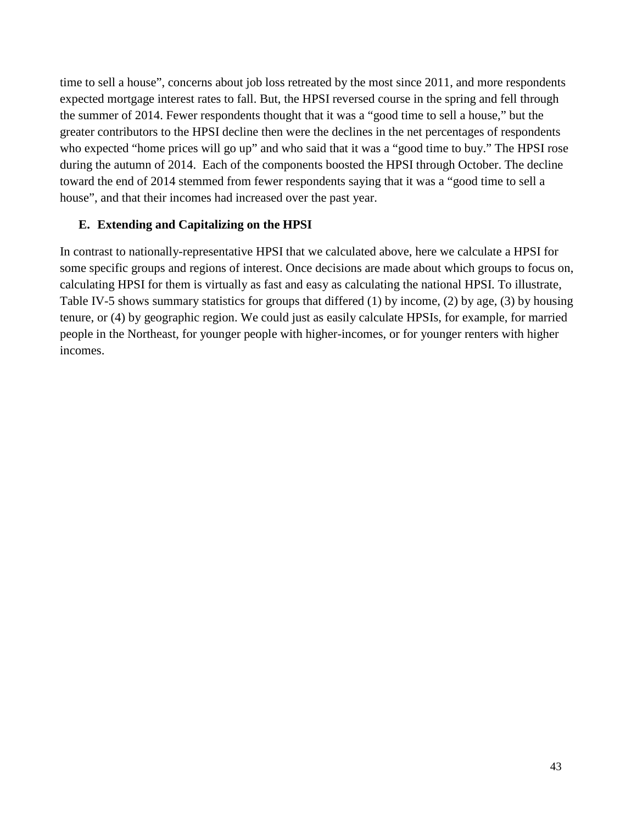time to sell a house", concerns about job loss retreated by the most since 2011, and more respondents expected mortgage interest rates to fall. But, the HPSI reversed course in the spring and fell through the summer of 2014. Fewer respondents thought that it was a "good time to sell a house," but the greater contributors to the HPSI decline then were the declines in the net percentages of respondents who expected "home prices will go up" and who said that it was a "good time to buy." The HPSI rose during the autumn of 2014. Each of the components boosted the HPSI through October. The decline toward the end of 2014 stemmed from fewer respondents saying that it was a "good time to sell a house", and that their incomes had increased over the past year.

# **E. Extending and Capitalizing on the HPSI**

In contrast to nationally-representative HPSI that we calculated above, here we calculate a HPSI for some specific groups and regions of interest. Once decisions are made about which groups to focus on, calculating HPSI for them is virtually as fast and easy as calculating the national HPSI. To illustrate, [Table IV-5](#page-43-0) shows summary statistics for groups that differed (1) by income, (2) by age, (3) by housing tenure, or (4) by geographic region. We could just as easily calculate HPSIs, for example, for married people in the Northeast, for younger people with higher-incomes, or for younger renters with higher incomes.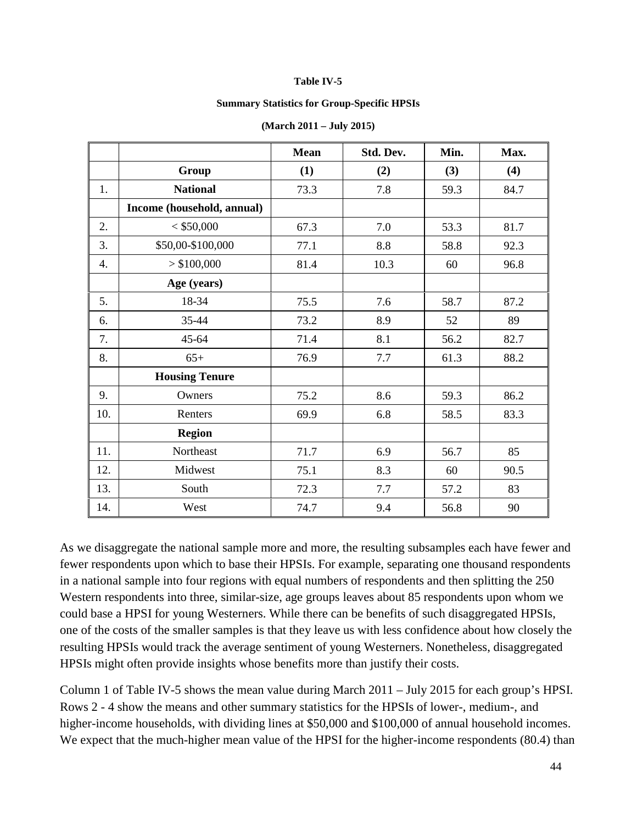#### **Table IV-5**

#### **Summary Statistics for Group-Specific HPSIs**

<span id="page-43-0"></span>

|     |                            | <b>Mean</b> | Std. Dev. | Min. | Max. |
|-----|----------------------------|-------------|-----------|------|------|
|     | Group                      | (1)         | (2)       | (3)  | (4)  |
| 1.  | <b>National</b>            | 73.3        | 7.8       | 59.3 | 84.7 |
|     | Income (household, annual) |             |           |      |      |
| 2.  | $<$ \$50,000               | 67.3        | 7.0       | 53.3 | 81.7 |
| 3.  | \$50,00-\$100,000          | 77.1        | 8.8       | 58.8 | 92.3 |
| 4.  | > \$100,000                | 81.4        | 10.3      | 60   | 96.8 |
|     | Age (years)                |             |           |      |      |
| 5.  | 18-34                      | 75.5        | 7.6       | 58.7 | 87.2 |
| 6.  | 35-44                      | 73.2        | 8.9       | 52   | 89   |
| 7.  | 45-64                      | 71.4        | 8.1       | 56.2 | 82.7 |
| 8.  | $65+$                      | 76.9        | 7.7       | 61.3 | 88.2 |
|     | <b>Housing Tenure</b>      |             |           |      |      |
| 9.  | Owners                     | 75.2        | 8.6       | 59.3 | 86.2 |
| 10. | Renters                    | 69.9        | 6.8       | 58.5 | 83.3 |
|     | <b>Region</b>              |             |           |      |      |
| 11. | Northeast                  | 71.7        | 6.9       | 56.7 | 85   |
| 12. | Midwest                    | 75.1        | 8.3       | 60   | 90.5 |
| 13. | South                      | 72.3        | 7.7       | 57.2 | 83   |
| 14. | West                       | 74.7        | 9.4       | 56.8 | 90   |

#### **(March 2011 – July 2015)**

As we disaggregate the national sample more and more, the resulting subsamples each have fewer and fewer respondents upon which to base their HPSIs. For example, separating one thousand respondents in a national sample into four regions with equal numbers of respondents and then splitting the 250 Western respondents into three, similar-size, age groups leaves about 85 respondents upon whom we could base a HPSI for young Westerners. While there can be benefits of such disaggregated HPSIs, one of the costs of the smaller samples is that they leave us with less confidence about how closely the resulting HPSIs would track the average sentiment of young Westerners. Nonetheless, disaggregated HPSIs might often provide insights whose benefits more than justify their costs.

Column 1 of [Table IV-5](#page-43-0) shows the mean value during March 2011 – July 2015 for each group's HPSI. Rows 2 - 4 show the means and other summary statistics for the HPSIs of lower-, medium-, and higher-income households, with dividing lines at \$50,000 and \$100,000 of annual household incomes. We expect that the much-higher mean value of the HPSI for the higher-income respondents (80.4) than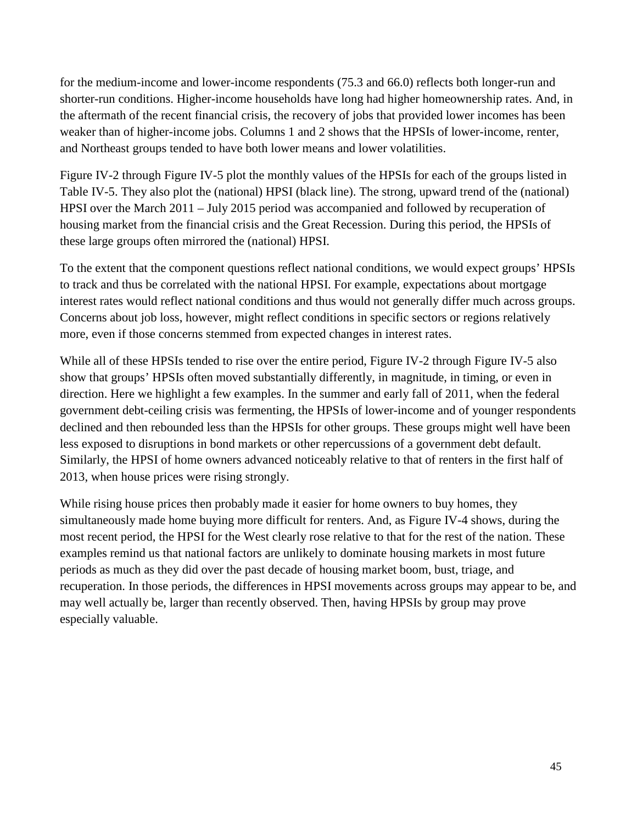for the medium-income and lower-income respondents (75.3 and 66.0) reflects both longer-run and shorter-run conditions. Higher-income households have long had higher homeownership rates. And, in the aftermath of the recent financial crisis, the recovery of jobs that provided lower incomes has been weaker than of higher-income jobs. Columns 1 and 2 shows that the HPSIs of lower-income, renter, and Northeast groups tended to have both lower means and lower volatilities.

[Figure IV-2](#page-45-0) through [Figure IV-5](#page-48-0) plot the monthly values of the HPSIs for each of the groups listed in [Table IV-5.](#page-43-0) They also plot the (national) HPSI (black line). The strong, upward trend of the (national) HPSI over the March 2011 – July 2015 period was accompanied and followed by recuperation of housing market from the financial crisis and the Great Recession. During this period, the HPSIs of these large groups often mirrored the (national) HPSI.

To the extent that the component questions reflect national conditions, we would expect groups' HPSIs to track and thus be correlated with the national HPSI. For example, expectations about mortgage interest rates would reflect national conditions and thus would not generally differ much across groups. Concerns about job loss, however, might reflect conditions in specific sectors or regions relatively more, even if those concerns stemmed from expected changes in interest rates.

While all of these HPSIs tended to rise over the entire period, [Figure IV-2](#page-45-0) through [Figure IV-5](#page-48-0) also show that groups' HPSIs often moved substantially differently, in magnitude, in timing, or even in direction. Here we highlight a few examples. In the summer and early fall of 2011, when the federal government debt-ceiling crisis was fermenting, the HPSIs of lower-income and of younger respondents declined and then rebounded less than the HPSIs for other groups. These groups might well have been less exposed to disruptions in bond markets or other repercussions of a government debt default. Similarly, the HPSI of home owners advanced noticeably relative to that of renters in the first half of 2013, when house prices were rising strongly.

While rising house prices then probably made it easier for home owners to buy homes, they simultaneously made home buying more difficult for renters. And, as [Figure IV-4](#page-47-0) shows, during the most recent period, the HPSI for the West clearly rose relative to that for the rest of the nation. These examples remind us that national factors are unlikely to dominate housing markets in most future periods as much as they did over the past decade of housing market boom, bust, triage, and recuperation. In those periods, the differences in HPSI movements across groups may appear to be, and may well actually be, larger than recently observed. Then, having HPSIs by group may prove especially valuable.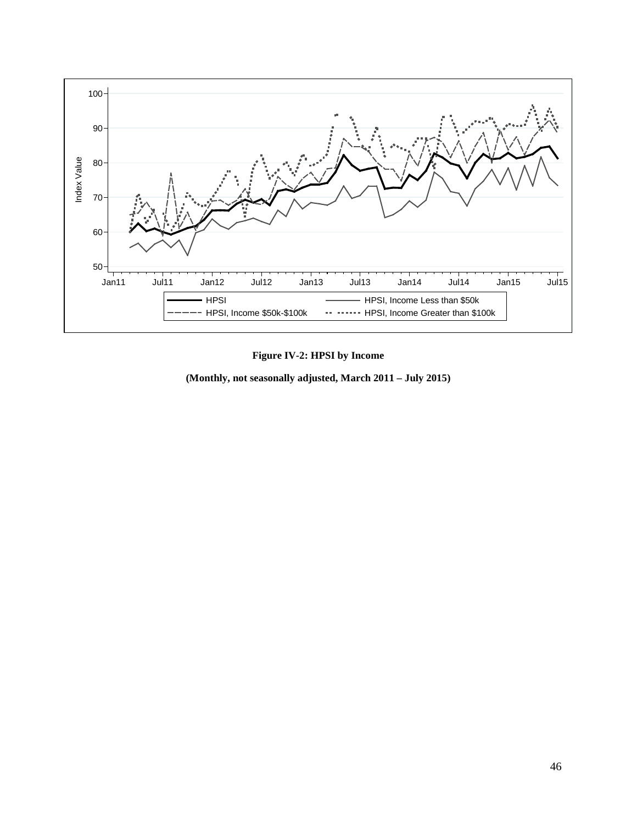



<span id="page-45-0"></span>**(Monthly, not seasonally adjusted, March 2011 – July 2015)**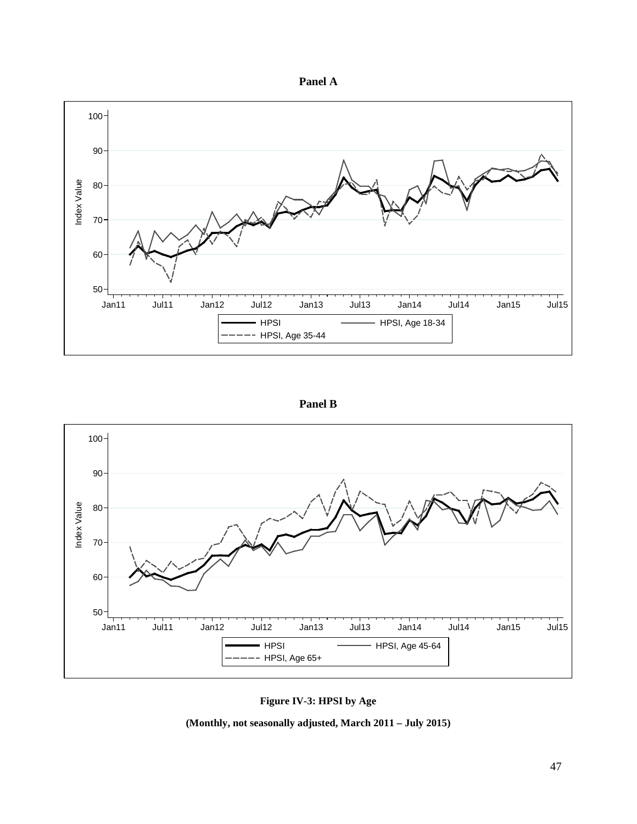



**Panel B**



**Figure IV-3: HPSI by Age**

**(Monthly, not seasonally adjusted, March 2011 – July 2015)**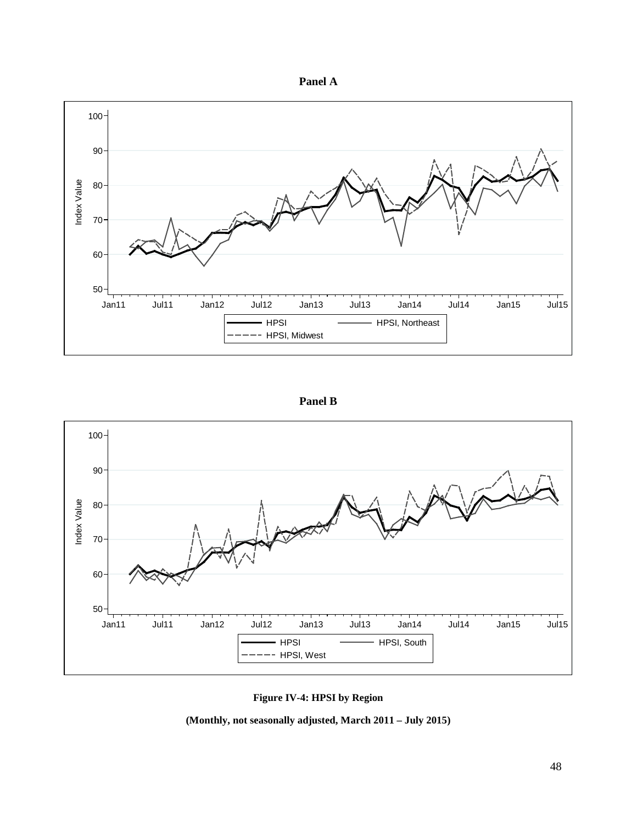



**Panel B**



**Figure IV-4: HPSI by Region**

<span id="page-47-0"></span>**(Monthly, not seasonally adjusted, March 2011 – July 2015)**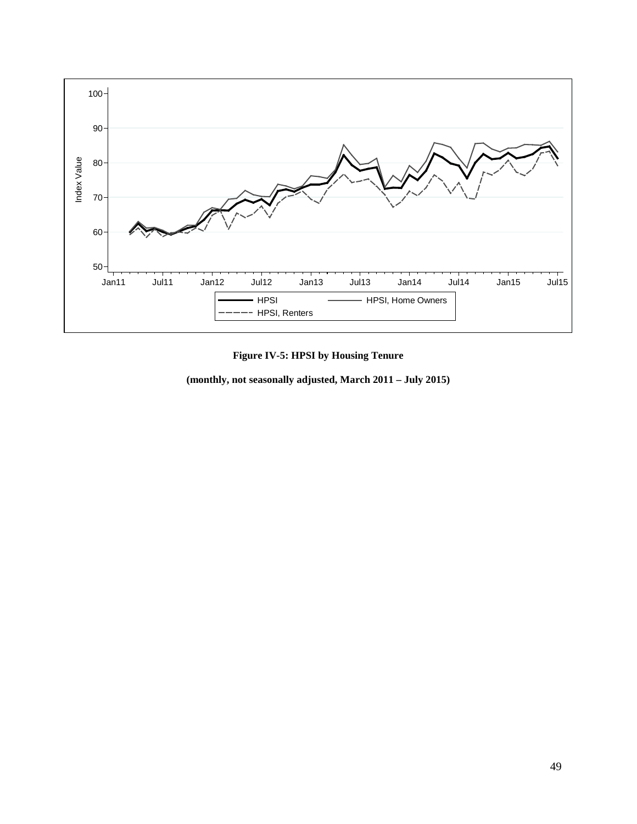

## **Figure IV-5: HPSI by Housing Tenure**

<span id="page-48-0"></span>**(monthly, not seasonally adjusted, March 2011 – July 2015)**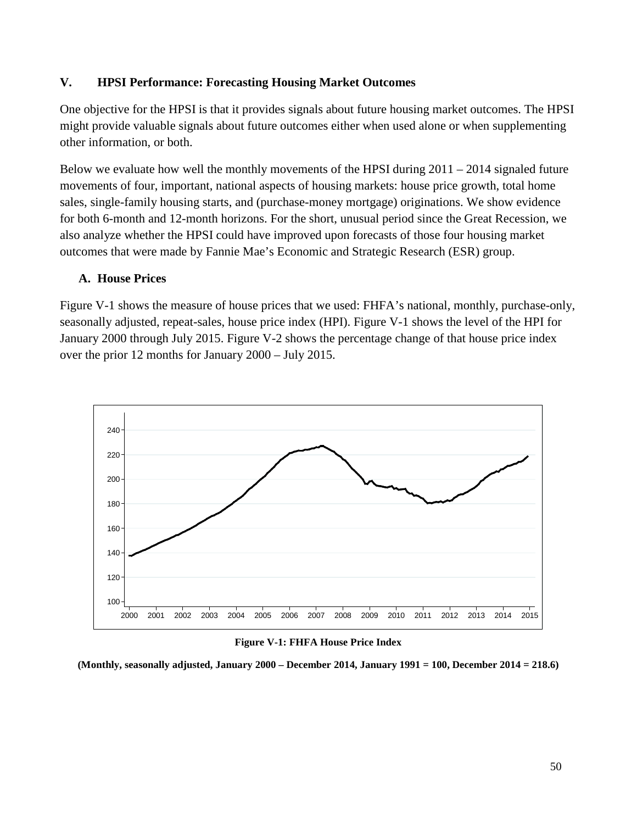## **V. HPSI Performance: Forecasting Housing Market Outcomes**

One objective for the HPSI is that it provides signals about future housing market outcomes. The HPSI might provide valuable signals about future outcomes either when used alone or when supplementing other information, or both.

Below we evaluate how well the monthly movements of the HPSI during  $2011 - 2014$  signaled future movements of four, important, national aspects of housing markets: house price growth, total home sales, single-family housing starts, and (purchase-money mortgage) originations. We show evidence for both 6-month and 12-month horizons. For the short, unusual period since the Great Recession, we also analyze whether the HPSI could have improved upon forecasts of those four housing market outcomes that were made by Fannie Mae's Economic and Strategic Research (ESR) group.

## **A. House Prices**

Figure V-1 shows the measure of house prices that we used: FHFA's national, monthly, purchase-only, seasonally adjusted, repeat-sales, house price index (HPI). [Figure V-1](#page-49-0) shows the level of the HPI for January 2000 through July 2015. [Figure V-2](#page-50-0) shows the percentage change of that house price index over the prior 12 months for January 2000 – July 2015.



#### **Figure V-1: FHFA House Price Index**

<span id="page-49-0"></span>**(Monthly, seasonally adjusted, January 2000 – December 2014, January 1991 = 100, December 2014 = 218.6)**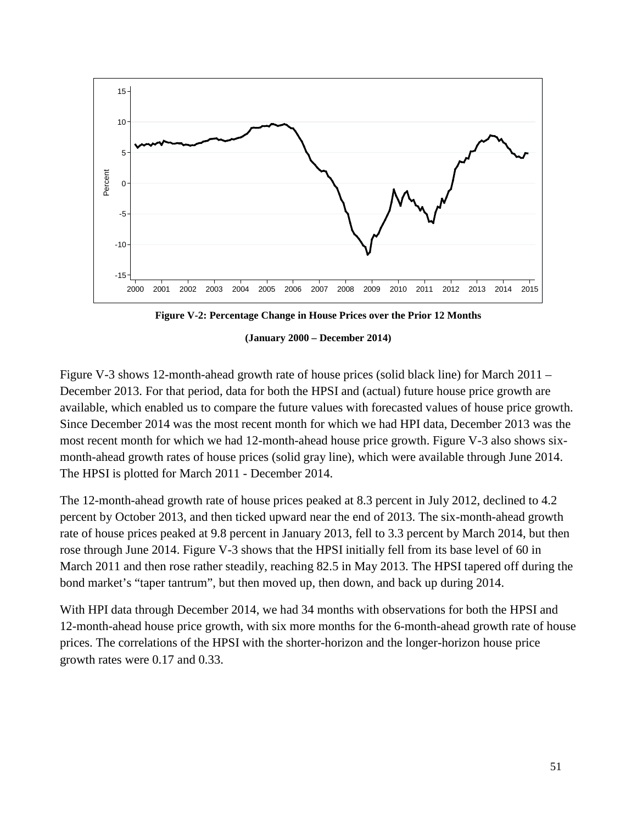

**Figure V-2: Percentage Change in House Prices over the Prior 12 Months**

**(January 2000 – December 2014)**

<span id="page-50-0"></span>[Figure V-3](#page-51-0) shows 12-month-ahead growth rate of house prices (solid black line) for March 2011 – December 2013. For that period, data for both the HPSI and (actual) future house price growth are available, which enabled us to compare the future values with forecasted values of house price growth. Since December 2014 was the most recent month for which we had HPI data, December 2013 was the most recent month for which we had 12-month-ahead house price growth. [Figure V-3](#page-51-0) also shows sixmonth-ahead growth rates of house prices (solid gray line), which were available through June 2014. The HPSI is plotted for March 2011 - December 2014.

The 12-month-ahead growth rate of house prices peaked at 8.3 percent in July 2012, declined to 4.2 percent by October 2013, and then ticked upward near the end of 2013. The six-month-ahead growth rate of house prices peaked at 9.8 percent in January 2013, fell to 3.3 percent by March 2014, but then rose through June 2014. [Figure V-3](#page-51-0) shows that the HPSI initially fell from its base level of 60 in March 2011 and then rose rather steadily, reaching 82.5 in May 2013. The HPSI tapered off during the bond market's "taper tantrum", but then moved up, then down, and back up during 2014.

With HPI data through December 2014, we had 34 months with observations for both the HPSI and 12-month-ahead house price growth, with six more months for the 6-month-ahead growth rate of house prices. The correlations of the HPSI with the shorter-horizon and the longer-horizon house price growth rates were 0.17 and 0.33.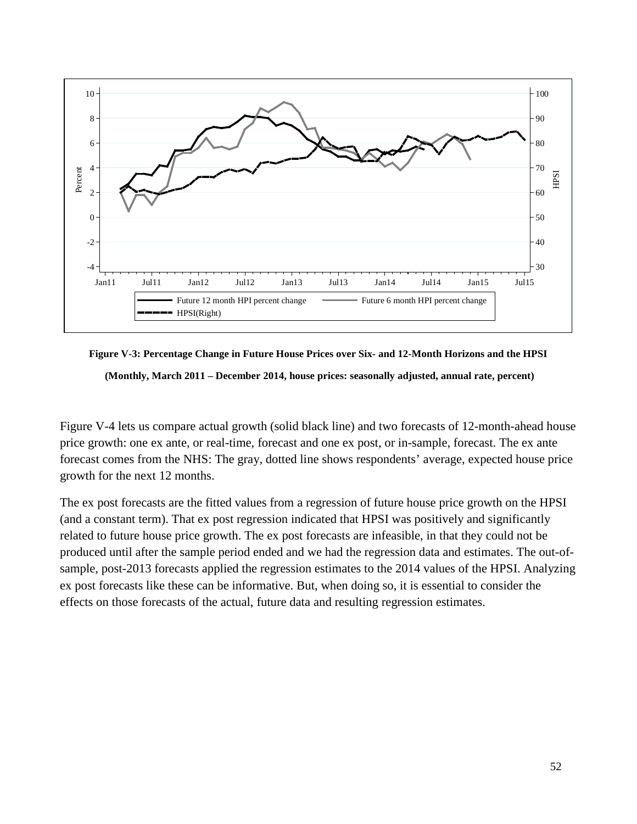

<span id="page-51-0"></span>

[Figure V-4](#page-52-0) lets us compare actual growth (solid black line) and two forecasts of 12-month-ahead house price growth: one ex ante, or real-time, forecast and one ex post, or in-sample, forecast. The ex ante forecast comes from the NHS: The gray, dotted line shows respondents' average, expected house price growth for the next 12 months.

The ex post forecasts are the fitted values from a regression of future house price growth on the HPSI (and a constant term). That ex post regression indicated that HPSI was positively and significantly related to future house price growth. The ex post forecasts are infeasible, in that they could not be produced until after the sample period ended and we had the regression data and estimates. The out-ofsample, post-2013 forecasts applied the regression estimates to the 2014 values of the HPSI. Analyzing ex post forecasts like these can be informative. But, when doing so, it is essential to consider the effects on those forecasts of the actual, future data and resulting regression estimates.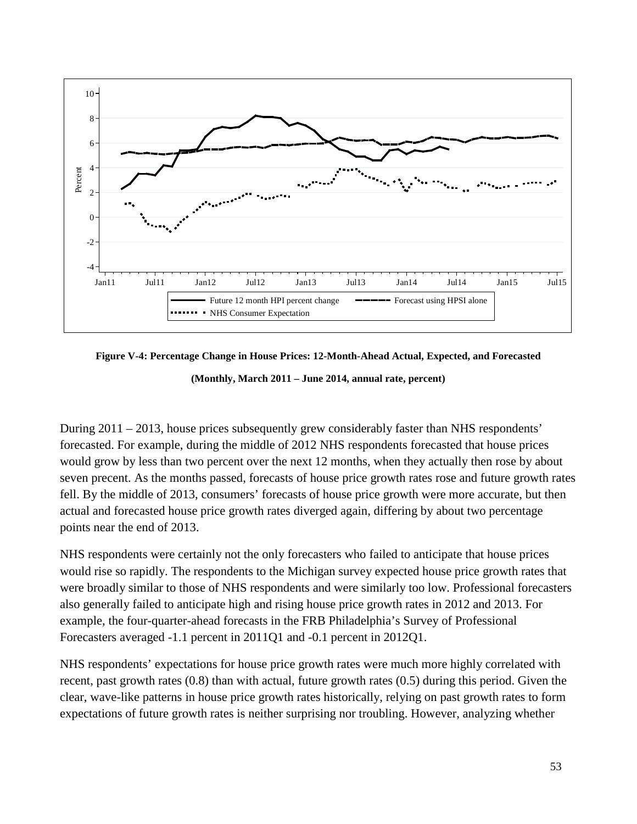

<span id="page-52-0"></span>**Figure V-4: Percentage Change in House Prices: 12-Month-Ahead Actual, Expected, and Forecasted**

**(Monthly, March 2011 – June 2014, annual rate, percent)**

During 2011 – 2013, house prices subsequently grew considerably faster than NHS respondents' forecasted. For example, during the middle of 2012 NHS respondents forecasted that house prices would grow by less than two percent over the next 12 months, when they actually then rose by about seven precent. As the months passed, forecasts of house price growth rates rose and future growth rates fell. By the middle of 2013, consumers' forecasts of house price growth were more accurate, but then actual and forecasted house price growth rates diverged again, differing by about two percentage points near the end of 2013.

NHS respondents were certainly not the only forecasters who failed to anticipate that house prices would rise so rapidly. The respondents to the Michigan survey expected house price growth rates that were broadly similar to those of NHS respondents and were similarly too low. Professional forecasters also generally failed to anticipate high and rising house price growth rates in 2012 and 2013. For example, the four-quarter-ahead forecasts in the FRB Philadelphia's Survey of Professional Forecasters averaged -1.1 percent in 2011Q1 and -0.1 percent in 2012Q1.

NHS respondents' expectations for house price growth rates were much more highly correlated with recent, past growth rates (0.8) than with actual, future growth rates (0.5) during this period. Given the clear, wave-like patterns in house price growth rates historically, relying on past growth rates to form expectations of future growth rates is neither surprising nor troubling. However, analyzing whether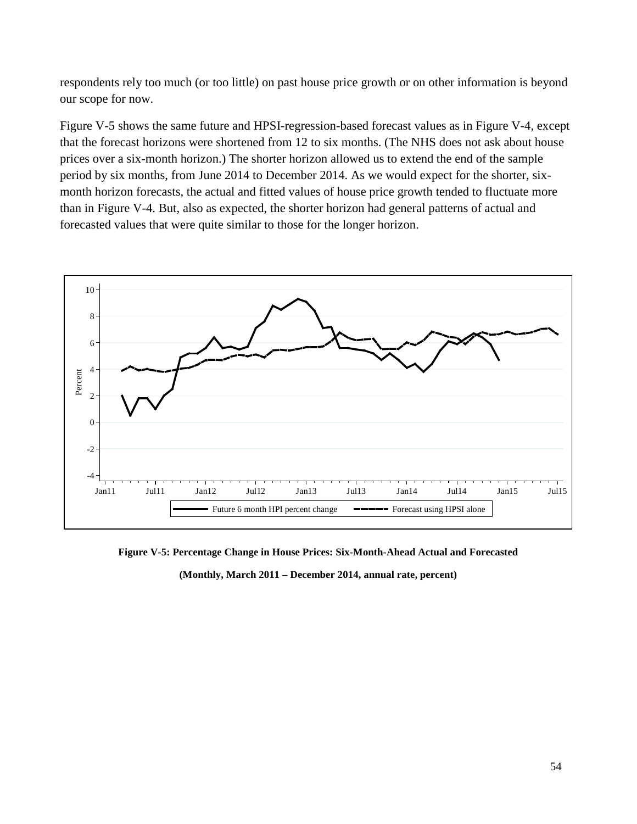respondents rely too much (or too little) on past house price growth or on other information is beyond our scope for now.

[Figure V-5](#page-53-0) shows the same future and HPSI-regression-based forecast values as in [Figure V-4,](#page-52-0) except that the forecast horizons were shortened from 12 to six months. (The NHS does not ask about house prices over a six-month horizon.) The shorter horizon allowed us to extend the end of the sample period by six months, from June 2014 to December 2014. As we would expect for the shorter, sixmonth horizon forecasts, the actual and fitted values of house price growth tended to fluctuate more than in [Figure V-4.](#page-52-0) But, also as expected, the shorter horizon had general patterns of actual and forecasted values that were quite similar to those for the longer horizon.



<span id="page-53-0"></span>**Figure V-5: Percentage Change in House Prices: Six-Month-Ahead Actual and Forecasted (Monthly, March 2011 – December 2014, annual rate, percent)**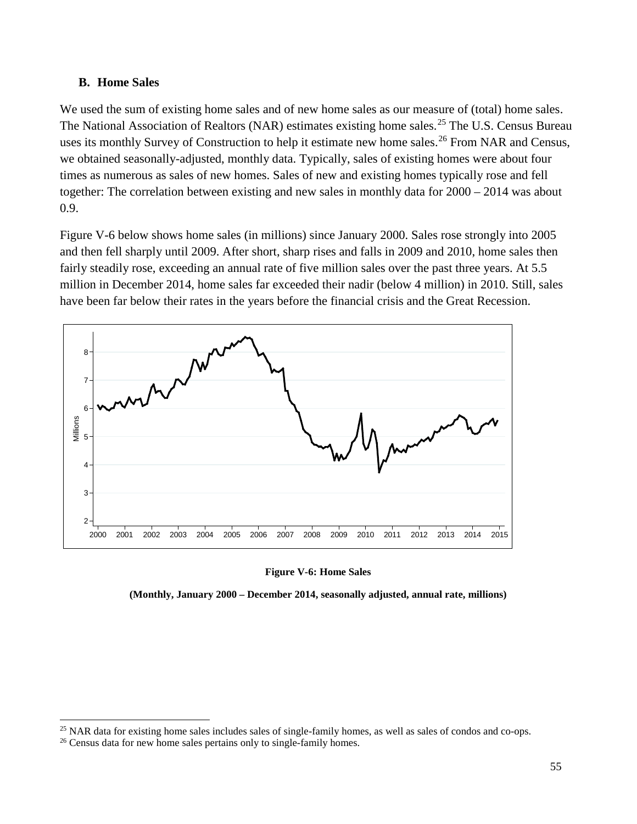## **B. Home Sales**

We used the sum of existing home sales and of new home sales as our measure of (total) home sales. The National Association of Realtors (NAR) estimates existing home sales.<sup>[25](#page-54-1)</sup> The U.S. Census Bureau uses its monthly Survey of Construction to help it estimate new home sales.<sup>[26](#page-54-2)</sup> From NAR and Census, we obtained seasonally-adjusted, monthly data. Typically, sales of existing homes were about four times as numerous as sales of new homes. Sales of new and existing homes typically rose and fell together: The correlation between existing and new sales in monthly data for 2000 – 2014 was about 0.9.

[Figure V-6](#page-54-0) below shows home sales (in millions) since January 2000. Sales rose strongly into 2005 and then fell sharply until 2009. After short, sharp rises and falls in 2009 and 2010, home sales then fairly steadily rose, exceeding an annual rate of five million sales over the past three years. At 5.5 million in December 2014, home sales far exceeded their nadir (below 4 million) in 2010. Still, sales have been far below their rates in the years before the financial crisis and the Great Recession.



## **Figure V-6: Home Sales**

<span id="page-54-0"></span>**(Monthly, January 2000 – December 2014, seasonally adjusted, annual rate, millions)**

 $\overline{a}$ 

<span id="page-54-1"></span> $^{25}$  NAR data for existing home sales includes sales of single-family homes, as well as sales of condos and co-ops.

<span id="page-54-2"></span><sup>&</sup>lt;sup>26</sup> Census data for new home sales pertains only to single-family homes.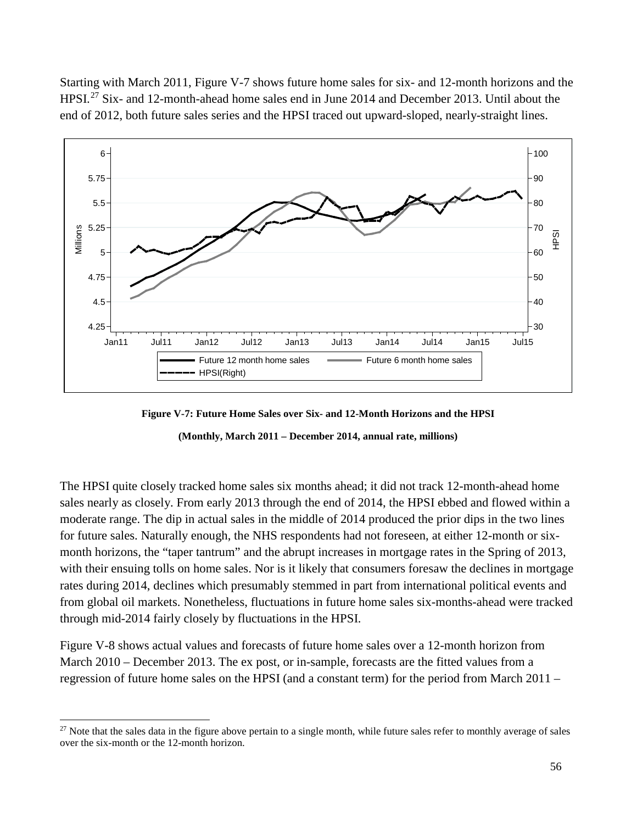Starting with March 2011, [Figure V-7](#page-55-0) shows future home sales for six- and 12-month horizons and the HPSI.[27](#page-55-1) Six- and 12-month-ahead home sales end in June 2014 and December 2013. Until about the end of 2012, both future sales series and the HPSI traced out upward-sloped, nearly-straight lines.



**Figure V-7: Future Home Sales over Six- and 12-Month Horizons and the HPSI**

**(Monthly, March 2011 – December 2014, annual rate, millions)**

<span id="page-55-0"></span>The HPSI quite closely tracked home sales six months ahead; it did not track 12-month-ahead home sales nearly as closely. From early 2013 through the end of 2014, the HPSI ebbed and flowed within a moderate range. The dip in actual sales in the middle of 2014 produced the prior dips in the two lines for future sales. Naturally enough, the NHS respondents had not foreseen, at either 12-month or sixmonth horizons, the "taper tantrum" and the abrupt increases in mortgage rates in the Spring of 2013, with their ensuing tolls on home sales. Nor is it likely that consumers foresaw the declines in mortgage rates during 2014, declines which presumably stemmed in part from international political events and from global oil markets. Nonetheless, fluctuations in future home sales six-months-ahead were tracked through mid-2014 fairly closely by fluctuations in the HPSI.

[Figure V-8](#page-56-0) shows actual values and forecasts of future home sales over a 12-month horizon from March 2010 – December 2013. The ex post, or in-sample, forecasts are the fitted values from a regression of future home sales on the HPSI (and a constant term) for the period from March 2011 –

 $\overline{a}$ 

<span id="page-55-1"></span> $27$  Note that the sales data in the figure above pertain to a single month, while future sales refer to monthly average of sales over the six-month or the 12-month horizon.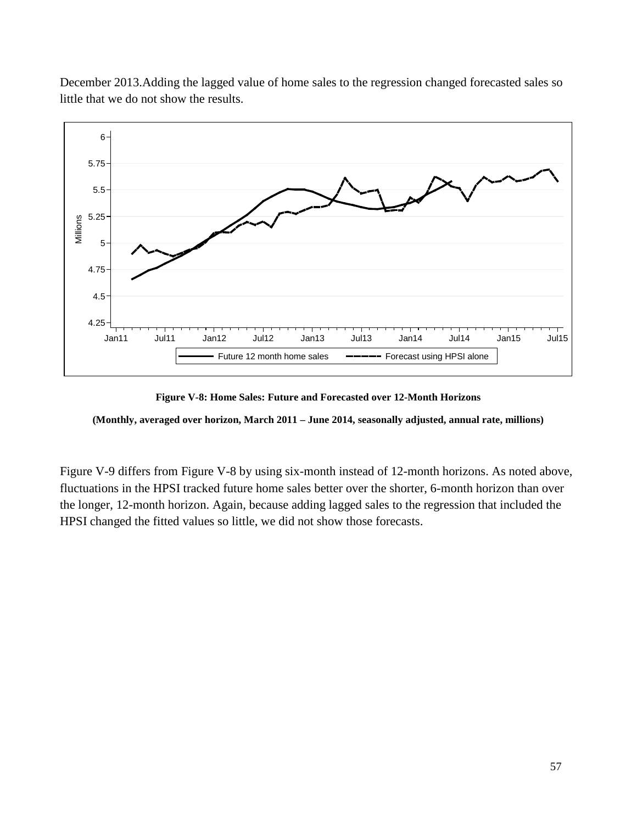



**Figure V-8: Home Sales: Future and Forecasted over 12-Month Horizons**

<span id="page-56-0"></span>**(Monthly, averaged over horizon, March 2011 – June 2014, seasonally adjusted, annual rate, millions)**

[Figure V-9](#page-57-0) differs from [Figure V-8](#page-56-0) by using six-month instead of 12-month horizons. As noted above, fluctuations in the HPSI tracked future home sales better over the shorter, 6-month horizon than over the longer, 12-month horizon. Again, because adding lagged sales to the regression that included the HPSI changed the fitted values so little, we did not show those forecasts.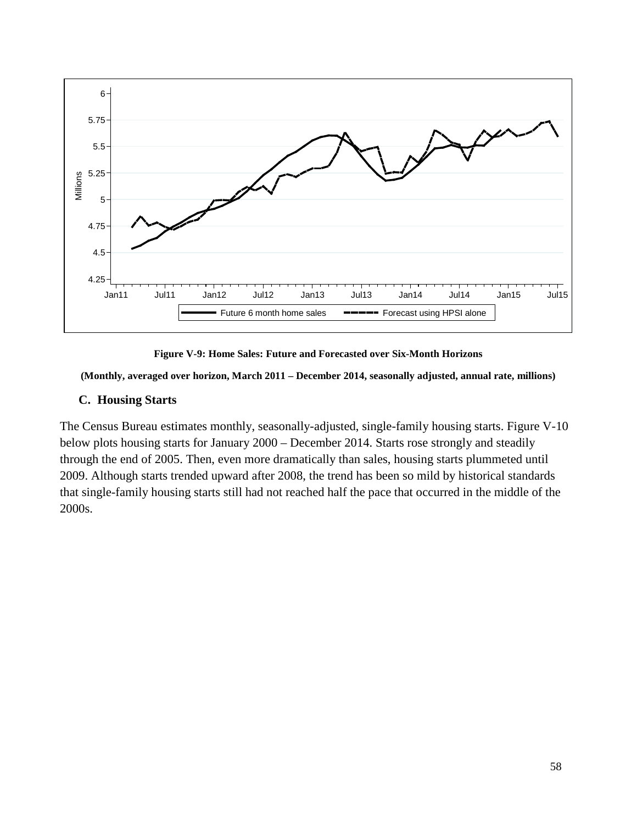

**Figure V-9: Home Sales: Future and Forecasted over Six-Month Horizons**

<span id="page-57-0"></span>**(Monthly, averaged over horizon, March 2011 – December 2014, seasonally adjusted, annual rate, millions)**

# **C. Housing Starts**

The Census Bureau estimates monthly, seasonally-adjusted, single-family housing starts. [Figure V-10](#page-58-0) below plots housing starts for January 2000 – December 2014. Starts rose strongly and steadily through the end of 2005. Then, even more dramatically than sales, housing starts plummeted until 2009. Although starts trended upward after 2008, the trend has been so mild by historical standards that single-family housing starts still had not reached half the pace that occurred in the middle of the 2000s.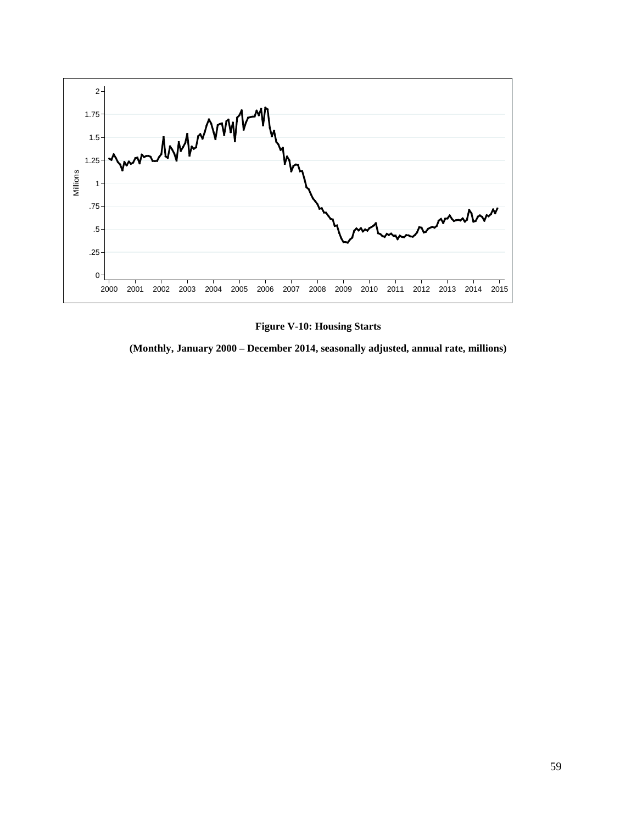

**Figure V-10: Housing Starts**

<span id="page-58-0"></span>**(Monthly, January 2000 – December 2014, seasonally adjusted, annual rate, millions)**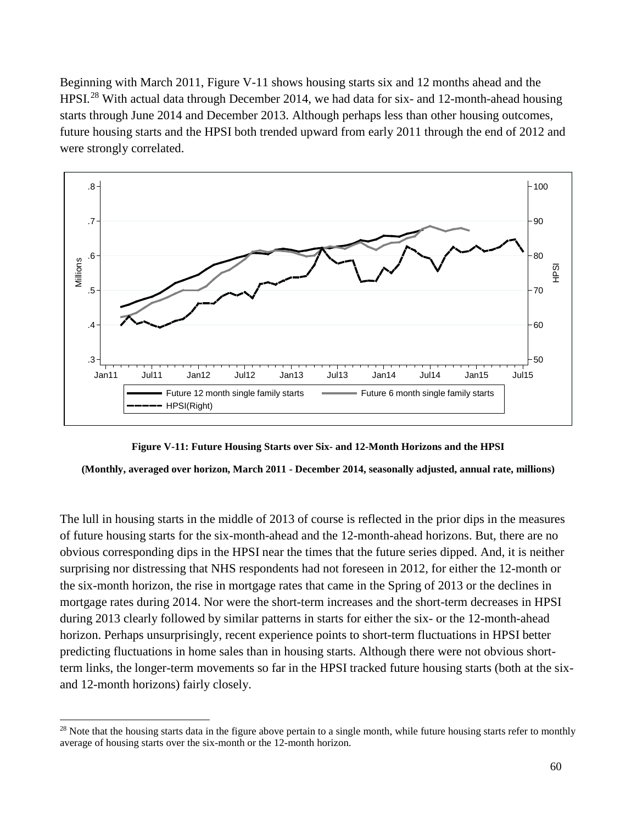Beginning with March 2011, [Figure V-11](#page-59-0) shows housing starts six and 12 months ahead and the HPSI.<sup>[28](#page-59-1)</sup> With actual data through December 2014, we had data for six- and 12-month-ahead housing starts through June 2014 and December 2013. Although perhaps less than other housing outcomes, future housing starts and the HPSI both trended upward from early 2011 through the end of 2012 and were strongly correlated.



**Figure V-11: Future Housing Starts over Six- and 12-Month Horizons and the HPSI**

<span id="page-59-0"></span>**(Monthly, averaged over horizon, March 2011 - December 2014, seasonally adjusted, annual rate, millions)**

The lull in housing starts in the middle of 2013 of course is reflected in the prior dips in the measures of future housing starts for the six-month-ahead and the 12-month-ahead horizons. But, there are no obvious corresponding dips in the HPSI near the times that the future series dipped. And, it is neither surprising nor distressing that NHS respondents had not foreseen in 2012, for either the 12-month or the six-month horizon, the rise in mortgage rates that came in the Spring of 2013 or the declines in mortgage rates during 2014. Nor were the short-term increases and the short-term decreases in HPSI during 2013 clearly followed by similar patterns in starts for either the six- or the 12-month-ahead horizon. Perhaps unsurprisingly, recent experience points to short-term fluctuations in HPSI better predicting fluctuations in home sales than in housing starts. Although there were not obvious shortterm links, the longer-term movements so far in the HPSI tracked future housing starts (both at the sixand 12-month horizons) fairly closely.

 $\overline{a}$ 

<span id="page-59-1"></span> $^{28}$  Note that the housing starts data in the figure above pertain to a single month, while future housing starts refer to monthly average of housing starts over the six-month or the 12-month horizon.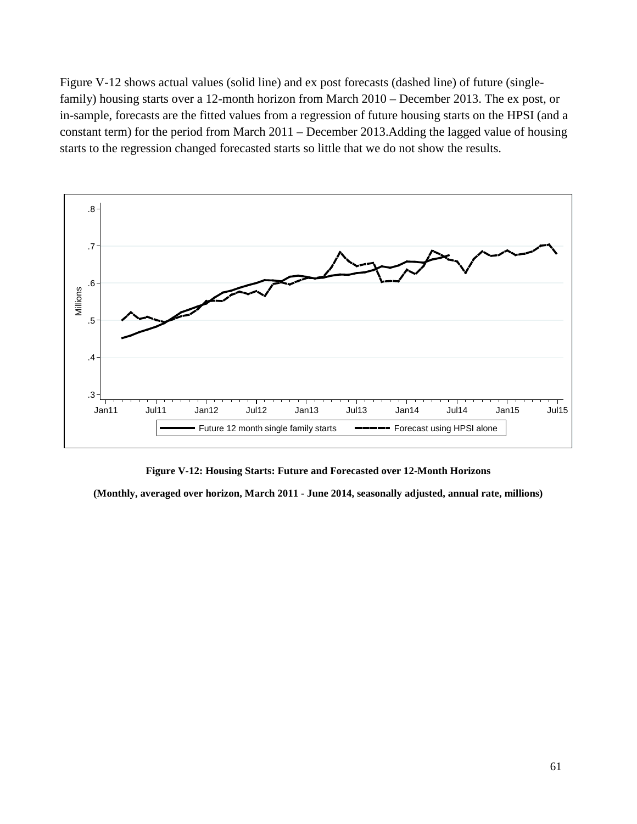[Figure V-12](#page-60-0) shows actual values (solid line) and ex post forecasts (dashed line) of future (singlefamily) housing starts over a 12-month horizon from March 2010 – December 2013. The ex post, or in-sample, forecasts are the fitted values from a regression of future housing starts on the HPSI (and a constant term) for the period from March 2011 – December 2013.Adding the lagged value of housing starts to the regression changed forecasted starts so little that we do not show the results.



**Figure V-12: Housing Starts: Future and Forecasted over 12-Month Horizons**

<span id="page-60-0"></span>**(Monthly, averaged over horizon, March 2011 - June 2014, seasonally adjusted, annual rate, millions)**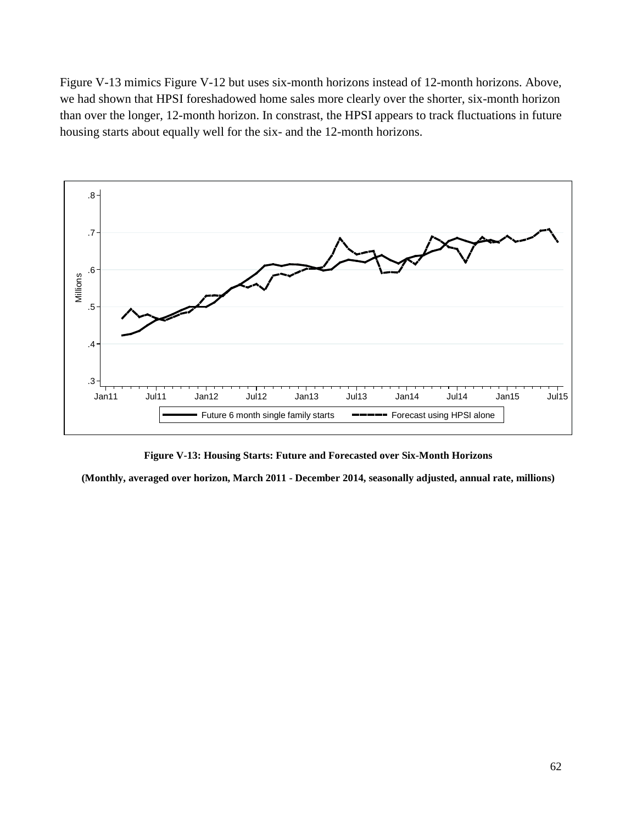[Figure V-13](#page-61-0) mimics [Figure V-12](#page-60-0) but uses six-month horizons instead of 12-month horizons. Above, we had shown that HPSI foreshadowed home sales more clearly over the shorter, six-month horizon than over the longer, 12-month horizon. In constrast, the HPSI appears to track fluctuations in future housing starts about equally well for the six- and the 12-month horizons.



**Figure V-13: Housing Starts: Future and Forecasted over Six-Month Horizons**

<span id="page-61-0"></span>**(Monthly, averaged over horizon, March 2011 - December 2014, seasonally adjusted, annual rate, millions)**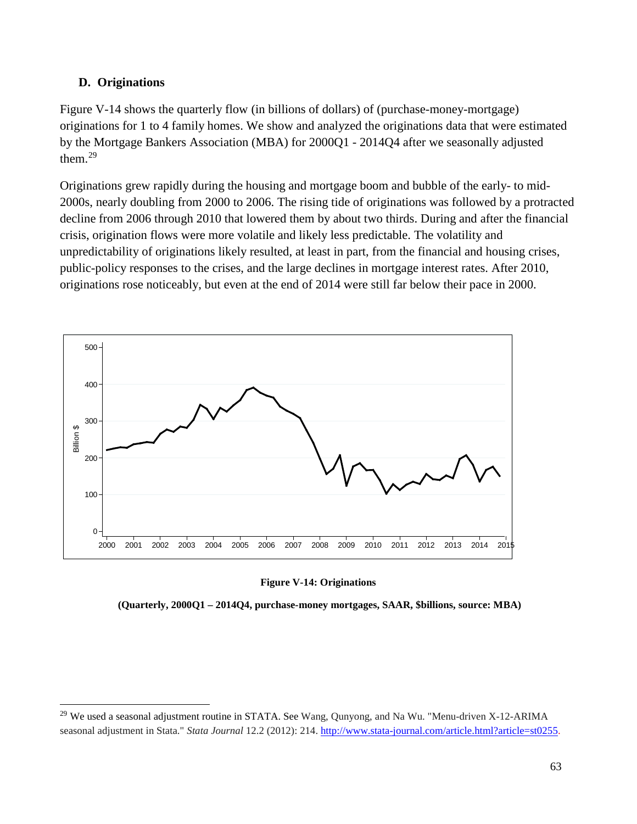## **D. Originations**

 $\overline{a}$ 

[Figure V-14](#page-62-0) shows the quarterly flow (in billions of dollars) of (purchase-money-mortgage) originations for 1 to 4 family homes. We show and analyzed the originations data that were estimated by the Mortgage Bankers Association (MBA) for 2000Q1 - 2014Q4 after we seasonally adjusted them. [29](#page-62-1)

Originations grew rapidly during the housing and mortgage boom and bubble of the early- to mid-2000s, nearly doubling from 2000 to 2006. The rising tide of originations was followed by a protracted decline from 2006 through 2010 that lowered them by about two thirds. During and after the financial crisis, origination flows were more volatile and likely less predictable. The volatility and unpredictability of originations likely resulted, at least in part, from the financial and housing crises, public-policy responses to the crises, and the large declines in mortgage interest rates. After 2010, originations rose noticeably, but even at the end of 2014 were still far below their pace in 2000.



## **Figure V-14: Originations**

<span id="page-62-0"></span>**(Quarterly, 2000Q1 – 2014Q4, purchase-money mortgages, SAAR, \$billions, source: MBA)**

<span id="page-62-1"></span><sup>&</sup>lt;sup>29</sup> We used a seasonal adjustment routine in STATA. See Wang, Qunyong, and Na Wu. "Menu-driven X-12-ARIMA seasonal adjustment in Stata." *Stata Journal* 12.2 (2012): 214. [http://www.stata-journal.com/article.html?article=st0255.](http://www.stata-journal.com/article.html?article=st0255)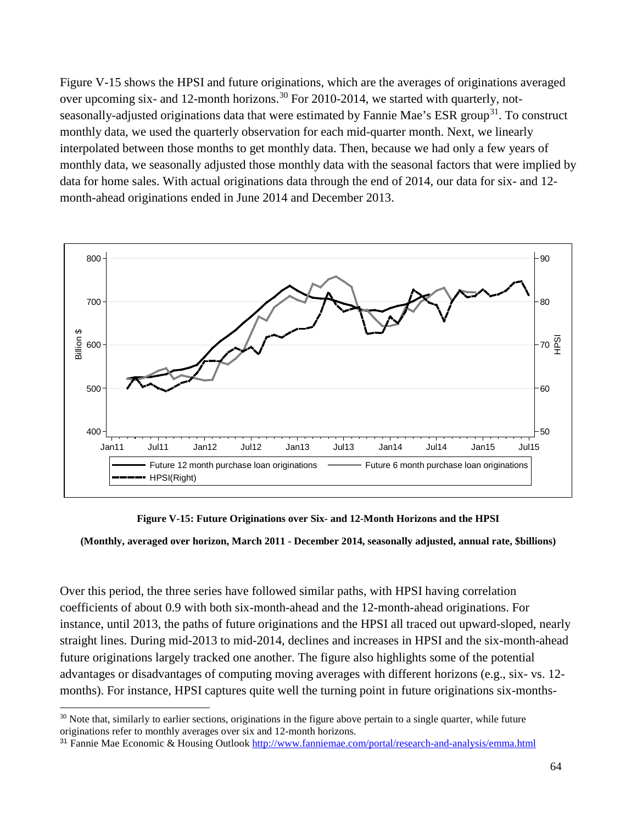[Figure V-15](#page-63-0) shows the HPSI and future originations, which are the averages of originations averaged over upcoming six- and 12-month horizons.<sup>[30](#page-63-1)</sup> For 2010-2014, we started with quarterly, notseasonally-adjusted originations data that were estimated by Fannie Mae's ESR group<sup>31</sup>. To construct monthly data, we used the quarterly observation for each mid-quarter month. Next, we linearly interpolated between those months to get monthly data. Then, because we had only a few years of monthly data, we seasonally adjusted those monthly data with the seasonal factors that were implied by data for home sales. With actual originations data through the end of 2014, our data for six- and 12 month-ahead originations ended in June 2014 and December 2013.



**Figure V-15: Future Originations over Six- and 12-Month Horizons and the HPSI**

<span id="page-63-0"></span>**(Monthly, averaged over horizon, March 2011 - December 2014, seasonally adjusted, annual rate, \$billions)**

Over this period, the three series have followed similar paths, with HPSI having correlation coefficients of about 0.9 with both six-month-ahead and the 12-month-ahead originations. For instance, until 2013, the paths of future originations and the HPSI all traced out upward-sloped, nearly straight lines. During mid-2013 to mid-2014, declines and increases in HPSI and the six-month-ahead future originations largely tracked one another. The figure also highlights some of the potential advantages or disadvantages of computing moving averages with different horizons (e.g., six- vs. 12 months). For instance, HPSI captures quite well the turning point in future originations six-months-

<span id="page-63-1"></span> $30$  Note that, similarly to earlier sections, originations in the figure above pertain to a single quarter, while future originations refer to monthly averages over six and 12-month horizons.  $\overline{a}$ 

<span id="page-63-2"></span><sup>31</sup> Fannie Mae Economic & Housing Outloo[k http://www.fanniemae.com/portal/research-and-analysis/emma.html](http://www.fanniemae.com/portal/research-and-analysis/emma.html)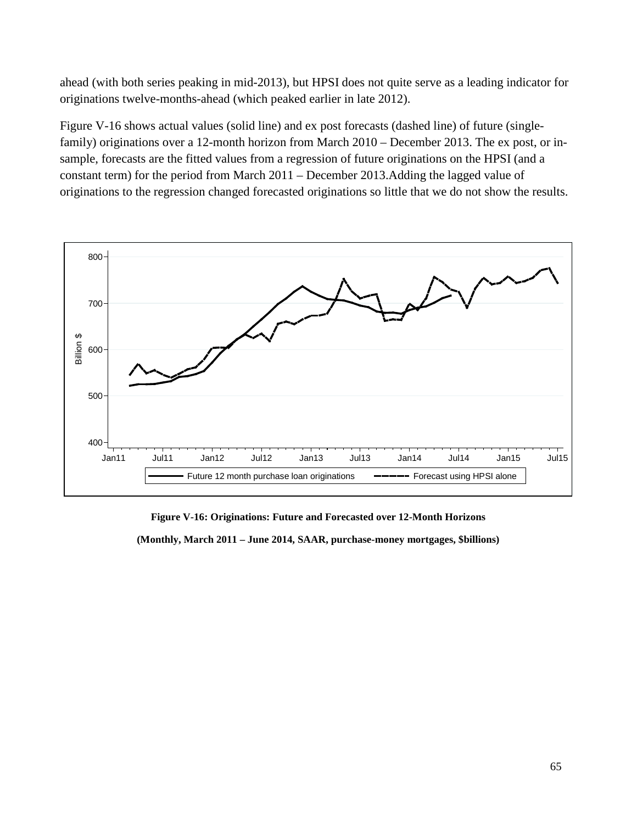ahead (with both series peaking in mid-2013), but HPSI does not quite serve as a leading indicator for originations twelve-months-ahead (which peaked earlier in late 2012).

[Figure V-16](#page-64-0) shows actual values (solid line) and ex post forecasts (dashed line) of future (singlefamily) originations over a 12-month horizon from March 2010 – December 2013. The ex post, or insample, forecasts are the fitted values from a regression of future originations on the HPSI (and a constant term) for the period from March 2011 – December 2013.Adding the lagged value of originations to the regression changed forecasted originations so little that we do not show the results.



**Figure V-16: Originations: Future and Forecasted over 12-Month Horizons**

<span id="page-64-0"></span>**(Monthly, March 2011 – June 2014, SAAR, purchase-money mortgages, \$billions)**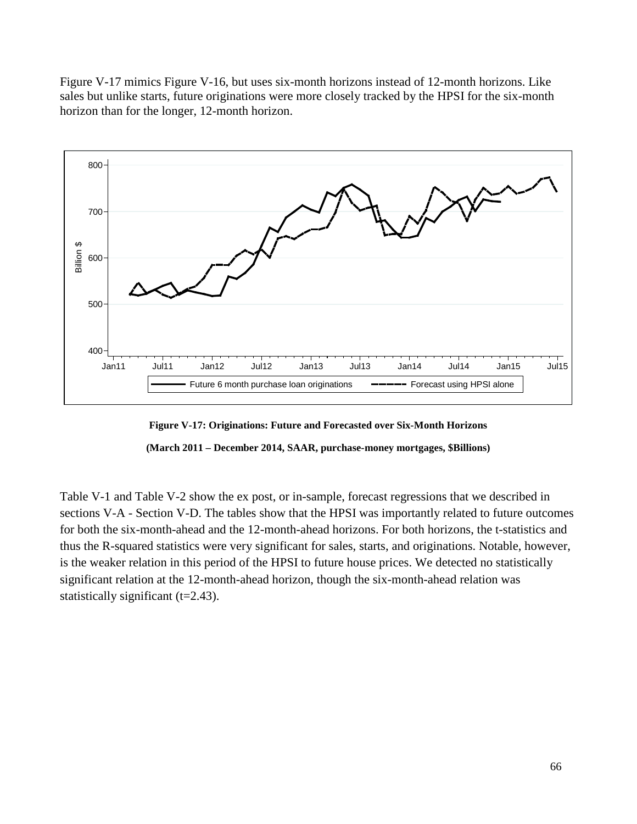[Figure V-17](#page-65-0) mimics [Figure V-16,](#page-64-0) but uses six-month horizons instead of 12-month horizons. Like sales but unlike starts, future originations were more closely tracked by the HPSI for the six-month horizon than for the longer, 12-month horizon.



<span id="page-65-1"></span>**Figure V-17: Originations: Future and Forecasted over Six-Month Horizons (March 2011 – December 2014, SAAR, purchase-money mortgages, \$Billions)**

<span id="page-65-0"></span>[Table](#page-65-1) V-1 and [Table](#page-66-0) V-2 show the ex post, or in-sample, forecast regressions that we described in sections V-A - Section V-D. The tables show that the HPSI was importantly related to future outcomes for both the six-month-ahead and the 12-month-ahead horizons. For both horizons, the t-statistics and thus the R-squared statistics were very significant for sales, starts, and originations. Notable, however, is the weaker relation in this period of the HPSI to future house prices. We detected no statistically significant relation at the 12-month-ahead horizon, though the six-month-ahead relation was statistically significant  $(t=2.43)$ .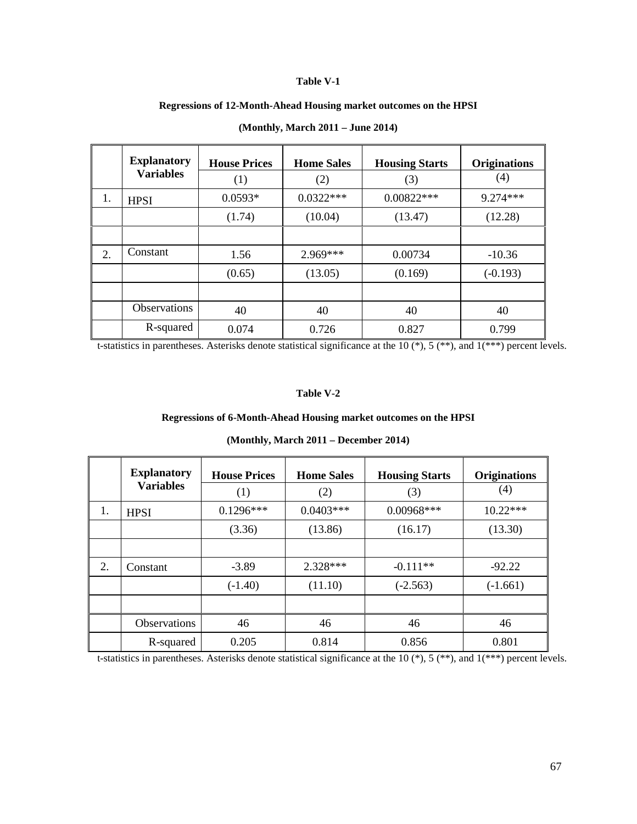#### **Table V-1**

## **Regressions of 12-Month-Ahead Housing market outcomes on the HPSI**

|    | <b>Explanatory</b>  | <b>House Prices</b> | <b>Home Sales</b> | <b>Housing Starts</b> | <b>Originations</b> |
|----|---------------------|---------------------|-------------------|-----------------------|---------------------|
|    | <b>Variables</b>    | (1)                 | (2)               | (3)                   | (4)                 |
| 1. | <b>HPSI</b>         | $0.0593*$           | $0.0322***$       | $0.00822***$          | $9.274***$          |
|    |                     | (1.74)              | (10.04)           | (13.47)               | (12.28)             |
|    |                     |                     |                   |                       |                     |
| 2. | Constant            | 1.56                | 2.969***          | 0.00734               | $-10.36$            |
|    |                     | (0.65)              | (13.05)           | (0.169)               | $(-0.193)$          |
|    |                     |                     |                   |                       |                     |
|    | <b>Observations</b> | 40                  | 40                | 40                    | 40                  |
|    | R-squared           | 0.074               | 0.726             | 0.827                 | 0.799               |

# **(Monthly, March 2011 – June 2014)**

<span id="page-66-0"></span>t-statistics in parentheses. Asterisks denote statistical significance at the 10 (\*), 5 (\*\*), and 1(\*\*\*) percent levels.

#### **Table V-2**

## **Regressions of 6-Month-Ahead Housing market outcomes on the HPSI**

|    | <b>Explanatory</b><br><b>Variables</b> | <b>House Prices</b><br>(1) | <b>Home Sales</b><br>(2) | <b>Housing Starts</b><br>(3) | <b>Originations</b><br>(4) |
|----|----------------------------------------|----------------------------|--------------------------|------------------------------|----------------------------|
| 1. | <b>HPSI</b>                            | $0.1296***$                | $0.0403***$              | $0.00968***$                 | $10.22***$                 |
|    |                                        | (3.36)                     | (13.86)                  | (16.17)                      | (13.30)                    |
|    |                                        |                            |                          |                              |                            |
| 2. | Constant                               | $-3.89$                    | 2.328***                 | $-0.111**$                   | $-92.22$                   |
|    |                                        | $(-1.40)$                  | (11.10)                  | $(-2.563)$                   | $(-1.661)$                 |
|    |                                        |                            |                          |                              |                            |
|    | <b>Observations</b>                    | 46                         | 46                       | 46                           | 46                         |
|    | R-squared                              | 0.205                      | 0.814                    | 0.856                        | 0.801                      |

|  |  |  | (Monthly, March 2011 – December 2014) |  |
|--|--|--|---------------------------------------|--|
|--|--|--|---------------------------------------|--|

t-statistics in parentheses. Asterisks denote statistical significance at the 10  $(*)$ , 5  $(**)$ , and 1 $(***)$  percent levels.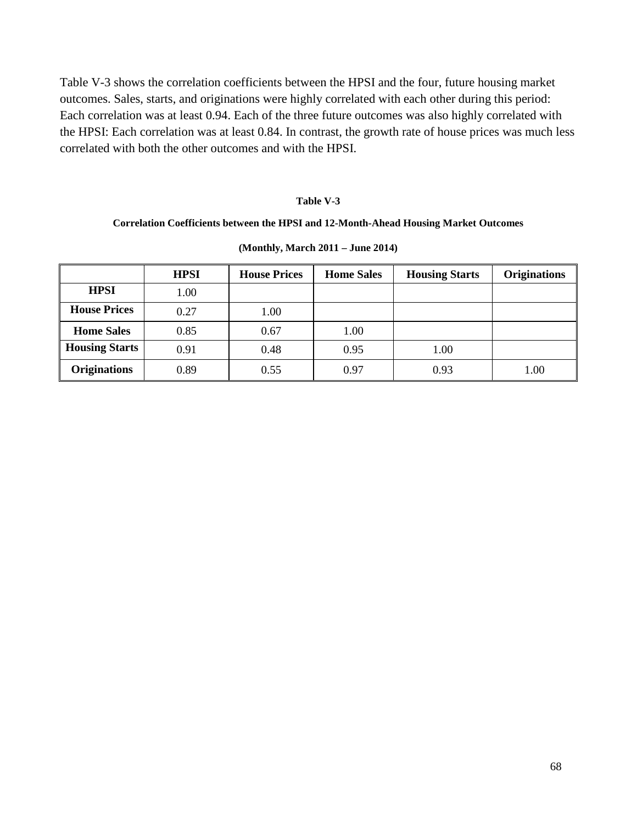[Table V-3](#page-67-0) shows the correlation coefficients between the HPSI and the four, future housing market outcomes. Sales, starts, and originations were highly correlated with each other during this period: Each correlation was at least 0.94. Each of the three future outcomes was also highly correlated with the HPSI: Each correlation was at least 0.84. In contrast, the growth rate of house prices was much less correlated with both the other outcomes and with the HPSI.

## **Table V-3**

## <span id="page-67-0"></span>**Correlation Coefficients between the HPSI and 12-Month-Ahead Housing Market Outcomes**

|                       | <b>HPSI</b> | <b>House Prices</b> | <b>Home Sales</b> | <b>Housing Starts</b> | <b>Originations</b> |
|-----------------------|-------------|---------------------|-------------------|-----------------------|---------------------|
| <b>HPSI</b>           | 1.00        |                     |                   |                       |                     |
| <b>House Prices</b>   | 0.27        | 1.00                |                   |                       |                     |
| <b>Home Sales</b>     | 0.85        | 0.67                | 1.00              |                       |                     |
| <b>Housing Starts</b> | 0.91        | 0.48                | 0.95              | 1.00                  |                     |
| <b>Originations</b>   | 0.89        | 0.55                | 0.97              | 0.93                  | 1.00                |

#### **(Monthly, March 2011 – June 2014)**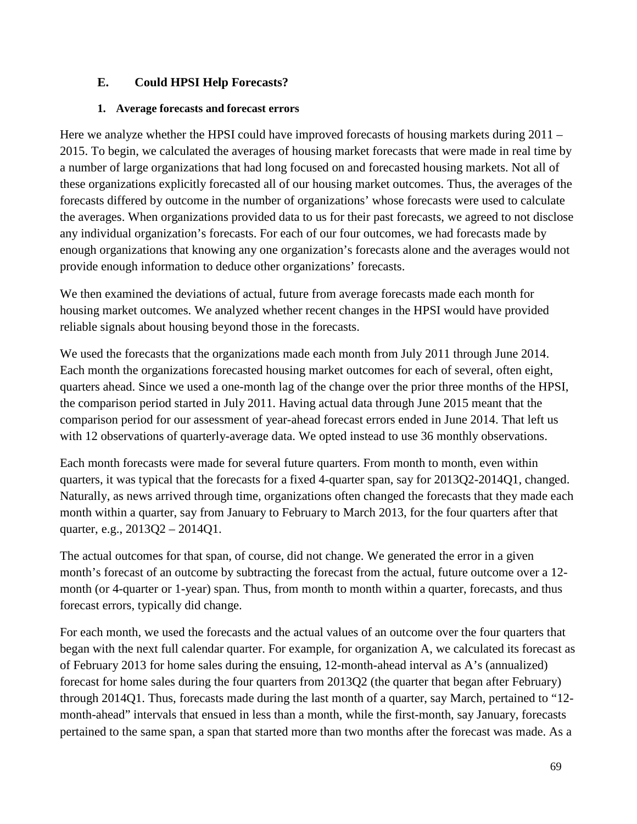# **E. Could HPSI Help Forecasts?**

## **1. Average forecasts and forecast errors**

Here we analyze whether the HPSI could have improved forecasts of housing markets during 2011 – 2015. To begin, we calculated the averages of housing market forecasts that were made in real time by a number of large organizations that had long focused on and forecasted housing markets. Not all of these organizations explicitly forecasted all of our housing market outcomes. Thus, the averages of the forecasts differed by outcome in the number of organizations' whose forecasts were used to calculate the averages. When organizations provided data to us for their past forecasts, we agreed to not disclose any individual organization's forecasts. For each of our four outcomes, we had forecasts made by enough organizations that knowing any one organization's forecasts alone and the averages would not provide enough information to deduce other organizations' forecasts.

We then examined the deviations of actual, future from average forecasts made each month for housing market outcomes. We analyzed whether recent changes in the HPSI would have provided reliable signals about housing beyond those in the forecasts.

We used the forecasts that the organizations made each month from July 2011 through June 2014. Each month the organizations forecasted housing market outcomes for each of several, often eight, quarters ahead. Since we used a one-month lag of the change over the prior three months of the HPSI, the comparison period started in July 2011. Having actual data through June 2015 meant that the comparison period for our assessment of year-ahead forecast errors ended in June 2014. That left us with 12 observations of quarterly-average data. We opted instead to use 36 monthly observations.

Each month forecasts were made for several future quarters. From month to month, even within quarters, it was typical that the forecasts for a fixed 4-quarter span, say for 2013Q2-2014Q1, changed. Naturally, as news arrived through time, organizations often changed the forecasts that they made each month within a quarter, say from January to February to March 2013, for the four quarters after that quarter, e.g., 2013Q2 – 2014Q1.

The actual outcomes for that span, of course, did not change. We generated the error in a given month's forecast of an outcome by subtracting the forecast from the actual, future outcome over a 12 month (or 4-quarter or 1-year) span. Thus, from month to month within a quarter, forecasts, and thus forecast errors, typically did change.

For each month, we used the forecasts and the actual values of an outcome over the four quarters that began with the next full calendar quarter. For example, for organization A, we calculated its forecast as of February 2013 for home sales during the ensuing, 12-month-ahead interval as A's (annualized) forecast for home sales during the four quarters from 2013Q2 (the quarter that began after February) through 2014Q1. Thus, forecasts made during the last month of a quarter, say March, pertained to "12 month-ahead" intervals that ensued in less than a month, while the first-month, say January, forecasts pertained to the same span, a span that started more than two months after the forecast was made. As a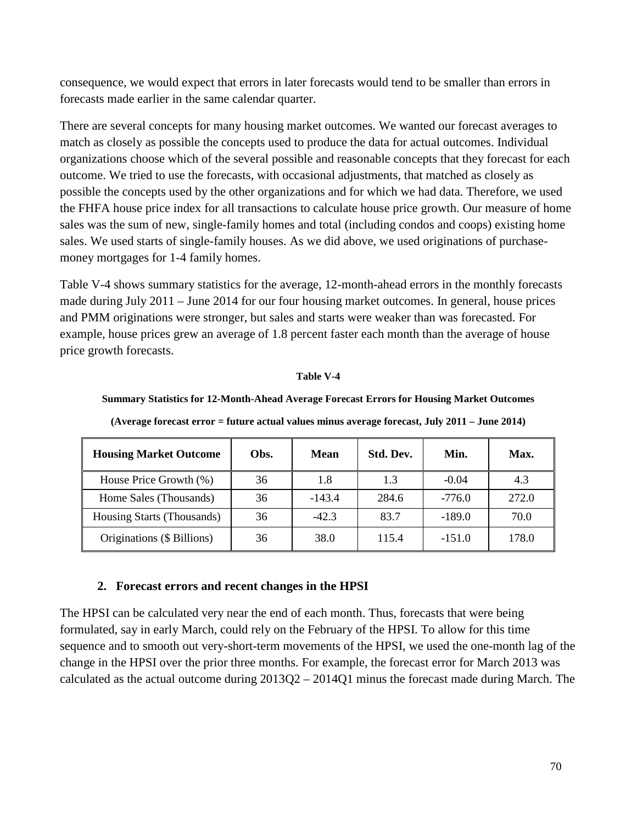consequence, we would expect that errors in later forecasts would tend to be smaller than errors in forecasts made earlier in the same calendar quarter.

There are several concepts for many housing market outcomes. We wanted our forecast averages to match as closely as possible the concepts used to produce the data for actual outcomes. Individual organizations choose which of the several possible and reasonable concepts that they forecast for each outcome. We tried to use the forecasts, with occasional adjustments, that matched as closely as possible the concepts used by the other organizations and for which we had data. Therefore, we used the FHFA house price index for all transactions to calculate house price growth. Our measure of home sales was the sum of new, single-family homes and total (including condos and coops) existing home sales. We used starts of single-family houses. As we did above, we used originations of purchasemoney mortgages for 1-4 family homes.

[Table V-4](#page-69-0) shows summary statistics for the average, 12-month-ahead errors in the monthly forecasts made during July 2011 – June 2014 for our four housing market outcomes. In general, house prices and PMM originations were stronger, but sales and starts were weaker than was forecasted. For example, house prices grew an average of 1.8 percent faster each month than the average of house price growth forecasts.

## **Table V-4**

## <span id="page-69-0"></span>**Summary Statistics for 12-Month-Ahead Average Forecast Errors for Housing Market Outcomes**

| <b>Housing Market Outcome</b> | Obs. | Mean     | Std. Dev. | Min.     | Max.  |
|-------------------------------|------|----------|-----------|----------|-------|
| House Price Growth (%)        | 36   | 1.8      | 1.3       | $-0.04$  | 4.3   |
| Home Sales (Thousands)        | 36   | $-143.4$ | 284.6     | $-776.0$ | 272.0 |
| Housing Starts (Thousands)    | 36   | $-42.3$  | 83.7      | $-189.0$ | 70.0  |
| Originations (\$ Billions)    | 36   | 38.0     | 115.4     | $-151.0$ | 178.0 |

**(Average forecast error = future actual values minus average forecast, July 2011 – June 2014)**

## **2. Forecast errors and recent changes in the HPSI**

The HPSI can be calculated very near the end of each month. Thus, forecasts that were being formulated, say in early March, could rely on the February of the HPSI. To allow for this time sequence and to smooth out very-short-term movements of the HPSI, we used the one-month lag of the change in the HPSI over the prior three months. For example, the forecast error for March 2013 was calculated as the actual outcome during 2013Q2 – 2014Q1 minus the forecast made during March. The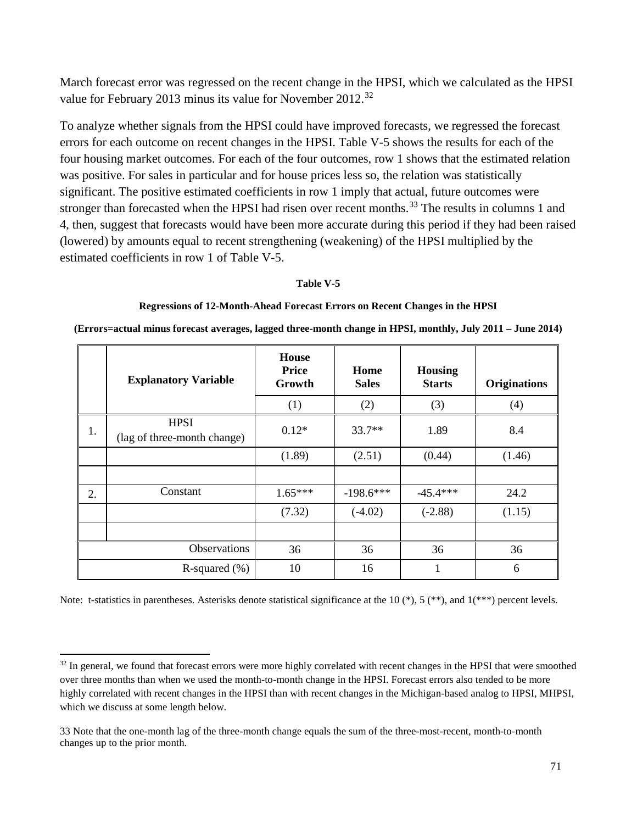March forecast error was regressed on the recent change in the HPSI, which we calculated as the HPSI value for February 2013 minus its value for November 2012.<sup>[32](#page-70-1)</sup>

To analyze whether signals from the HPSI could have improved forecasts, we regressed the forecast errors for each outcome on recent changes in the HPSI. [Table V-5](#page-70-0) shows the results for each of the four housing market outcomes. For each of the four outcomes, row 1 shows that the estimated relation was positive. For sales in particular and for house prices less so, the relation was statistically significant. The positive estimated coefficients in row 1 imply that actual, future outcomes were stronger than forecasted when the HPSI had risen over recent months.<sup>[33](#page-70-2)</sup> The results in columns 1 and 4, then, suggest that forecasts would have been more accurate during this period if they had been raised (lowered) by amounts equal to recent strengthening (weakening) of the HPSI multiplied by the estimated coefficients in row 1 of [Table V-5.](#page-70-0)

## **Table V-5**

#### **Regressions of 12-Month-Ahead Forecast Errors on Recent Changes in the HPSI**

<span id="page-70-0"></span>**(Errors=actual minus forecast averages, lagged three-month change in HPSI, monthly, July 2011 – June 2014)**

|                  | <b>Explanatory Variable</b>                | House<br><b>Price</b><br>Growth | Home<br><b>Sales</b> | <b>Housing</b><br><b>Starts</b> | <b>Originations</b> |
|------------------|--------------------------------------------|---------------------------------|----------------------|---------------------------------|---------------------|
|                  |                                            | (1)                             | (2)                  | (3)                             | (4)                 |
| 1.               | <b>HPSI</b><br>(lag of three-month change) | $0.12*$                         | $33.7**$             | 1.89                            | 8.4                 |
|                  |                                            | (1.89)                          | (2.51)               | (0.44)                          | (1.46)              |
|                  |                                            |                                 |                      |                                 |                     |
| 2.               | Constant                                   | $1.65***$                       | $-198.6***$          | $-45.4***$                      | 24.2                |
|                  |                                            | (7.32)                          | $(-4.02)$            | $(-2.88)$                       | (1.15)              |
|                  |                                            |                                 |                      |                                 |                     |
| Observations     |                                            | 36                              | 36                   | 36                              | 36                  |
| R-squared $(\%)$ |                                            | 10                              | 16                   |                                 | 6                   |

Note: t-statistics in parentheses. Asterisks denote statistical significance at the 10  $(*)$ , 5  $(**)$ , and 1 $(***)$  percent levels.

 $\overline{a}$ 

<span id="page-70-1"></span><sup>&</sup>lt;sup>32</sup> In general, we found that forecast errors were more highly correlated with recent changes in the HPSI that were smoothed over three months than when we used the month-to-month change in the HPSI. Forecast errors also tended to be more highly correlated with recent changes in the HPSI than with recent changes in the Michigan-based analog to HPSI, MHPSI, which we discuss at some length below.

<span id="page-70-2"></span><sup>33</sup> Note that the one-month lag of the three-month change equals the sum of the three-most-recent, month-to-month changes up to the prior month.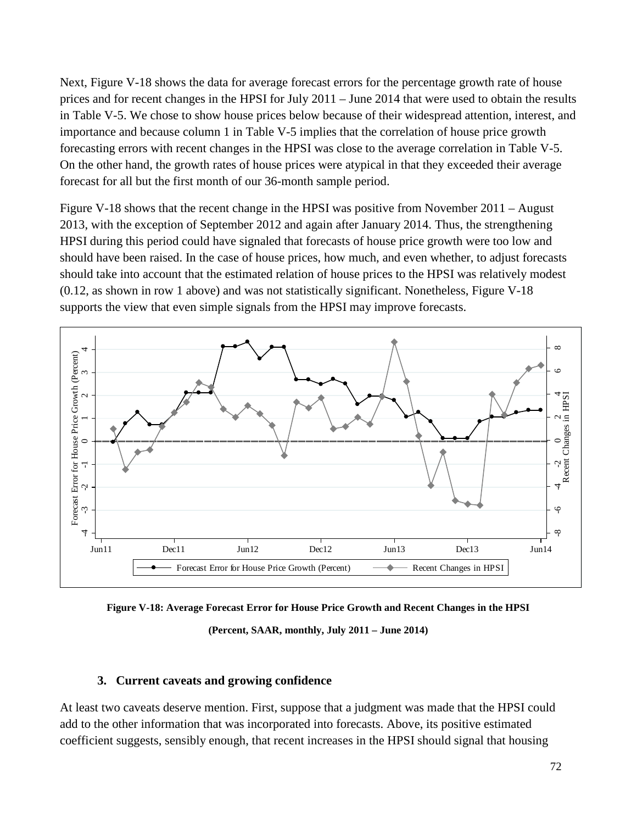Next, [Figure V-18](#page-71-0) shows the data for average forecast errors for the percentage growth rate of house prices and for recent changes in the HPSI for July 2011 – June 2014 that were used to obtain the results in [Table V-5.](#page-70-0) We chose to show house prices below because of their widespread attention, interest, and importance and because column 1 in [Table V-5](#page-70-0) implies that the correlation of house price growth forecasting errors with recent changes in the HPSI was close to the average correlation in [Table V-5.](#page-70-0) On the other hand, the growth rates of house prices were atypical in that they exceeded their average forecast for all but the first month of our 36-month sample period.

[Figure V-18](#page-71-0) shows that the recent change in the HPSI was positive from November 2011 – August 2013, with the exception of September 2012 and again after January 2014. Thus, the strengthening HPSI during this period could have signaled that forecasts of house price growth were too low and should have been raised. In the case of house prices, how much, and even whether, to adjust forecasts should take into account that the estimated relation of house prices to the HPSI was relatively modest (0.12, as shown in row 1 above) and was not statistically significant. Nonetheless, [Figure V-18](#page-71-0) supports the view that even simple signals from the HPSI may improve forecasts.



<span id="page-71-0"></span>

**(Percent, SAAR, monthly, July 2011 – June 2014)**

## **3. Current caveats and growing confidence**

At least two caveats deserve mention. First, suppose that a judgment was made that the HPSI could add to the other information that was incorporated into forecasts. Above, its positive estimated coefficient suggests, sensibly enough, that recent increases in the HPSI should signal that housing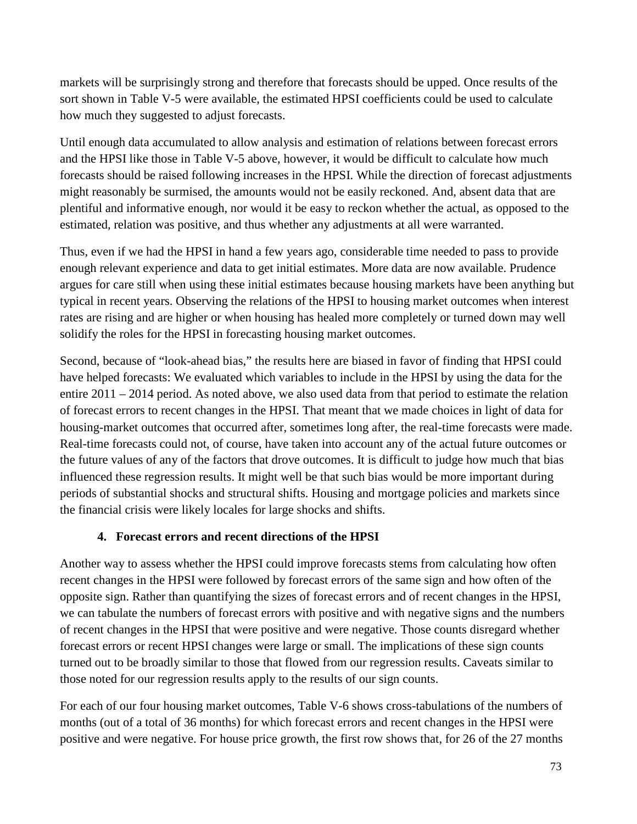markets will be surprisingly strong and therefore that forecasts should be upped. Once results of the sort shown in [Table V-5](#page-70-0) were available, the estimated HPSI coefficients could be used to calculate how much they suggested to adjust forecasts.

Until enough data accumulated to allow analysis and estimation of relations between forecast errors and the HPSI like those in [Table V-5](#page-70-0) above, however, it would be difficult to calculate how much forecasts should be raised following increases in the HPSI. While the direction of forecast adjustments might reasonably be surmised, the amounts would not be easily reckoned. And, absent data that are plentiful and informative enough, nor would it be easy to reckon whether the actual, as opposed to the estimated, relation was positive, and thus whether any adjustments at all were warranted.

Thus, even if we had the HPSI in hand a few years ago, considerable time needed to pass to provide enough relevant experience and data to get initial estimates. More data are now available. Prudence argues for care still when using these initial estimates because housing markets have been anything but typical in recent years. Observing the relations of the HPSI to housing market outcomes when interest rates are rising and are higher or when housing has healed more completely or turned down may well solidify the roles for the HPSI in forecasting housing market outcomes.

Second, because of "look-ahead bias," the results here are biased in favor of finding that HPSI could have helped forecasts: We evaluated which variables to include in the HPSI by using the data for the entire 2011 – 2014 period. As noted above, we also used data from that period to estimate the relation of forecast errors to recent changes in the HPSI. That meant that we made choices in light of data for housing-market outcomes that occurred after, sometimes long after, the real-time forecasts were made. Real-time forecasts could not, of course, have taken into account any of the actual future outcomes or the future values of any of the factors that drove outcomes. It is difficult to judge how much that bias influenced these regression results. It might well be that such bias would be more important during periods of substantial shocks and structural shifts. Housing and mortgage policies and markets since the financial crisis were likely locales for large shocks and shifts.

# **4. Forecast errors and recent directions of the HPSI**

Another way to assess whether the HPSI could improve forecasts stems from calculating how often recent changes in the HPSI were followed by forecast errors of the same sign and how often of the opposite sign. Rather than quantifying the sizes of forecast errors and of recent changes in the HPSI, we can tabulate the numbers of forecast errors with positive and with negative signs and the numbers of recent changes in the HPSI that were positive and were negative. Those counts disregard whether forecast errors or recent HPSI changes were large or small. The implications of these sign counts turned out to be broadly similar to those that flowed from our regression results. Caveats similar to those noted for our regression results apply to the results of our sign counts.

For each of our four housing market outcomes, [Table V-6](#page-74-0) shows cross-tabulations of the numbers of months (out of a total of 36 months) for which forecast errors and recent changes in the HPSI were positive and were negative. For house price growth, the first row shows that, for 26 of the 27 months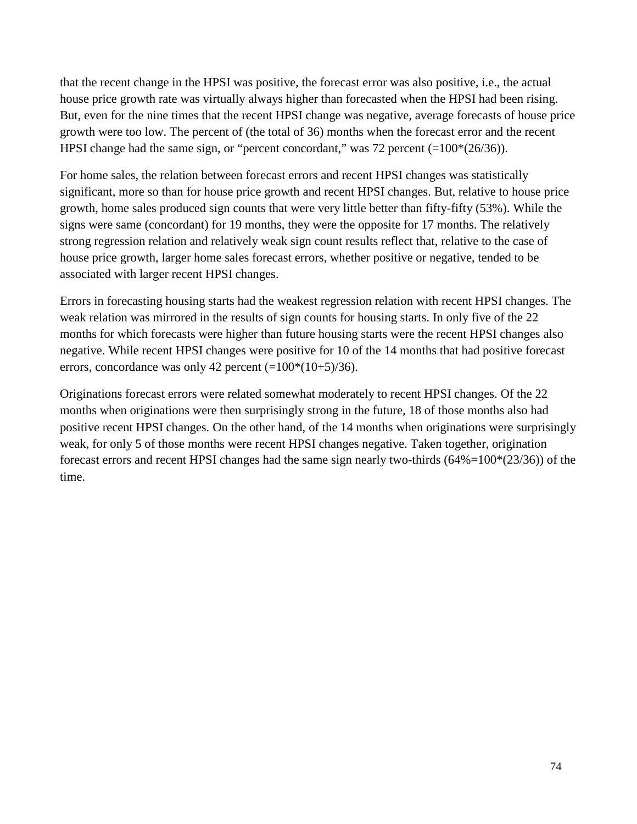that the recent change in the HPSI was positive, the forecast error was also positive, i.e., the actual house price growth rate was virtually always higher than forecasted when the HPSI had been rising. But, even for the nine times that the recent HPSI change was negative, average forecasts of house price growth were too low. The percent of (the total of 36) months when the forecast error and the recent HPSI change had the same sign, or "percent concordant," was 72 percent (=100\*(26/36)).

For home sales, the relation between forecast errors and recent HPSI changes was statistically significant, more so than for house price growth and recent HPSI changes. But, relative to house price growth, home sales produced sign counts that were very little better than fifty-fifty (53%). While the signs were same (concordant) for 19 months, they were the opposite for 17 months. The relatively strong regression relation and relatively weak sign count results reflect that, relative to the case of house price growth, larger home sales forecast errors, whether positive or negative, tended to be associated with larger recent HPSI changes.

Errors in forecasting housing starts had the weakest regression relation with recent HPSI changes. The weak relation was mirrored in the results of sign counts for housing starts. In only five of the 22 months for which forecasts were higher than future housing starts were the recent HPSI changes also negative. While recent HPSI changes were positive for 10 of the 14 months that had positive forecast errors, concordance was only 42 percent  $(=100*(10+5)/36)$ .

Originations forecast errors were related somewhat moderately to recent HPSI changes. Of the 22 months when originations were then surprisingly strong in the future, 18 of those months also had positive recent HPSI changes. On the other hand, of the 14 months when originations were surprisingly weak, for only 5 of those months were recent HPSI changes negative. Taken together, origination forecast errors and recent HPSI changes had the same sign nearly two-thirds (64%=100\*(23/36)) of the time.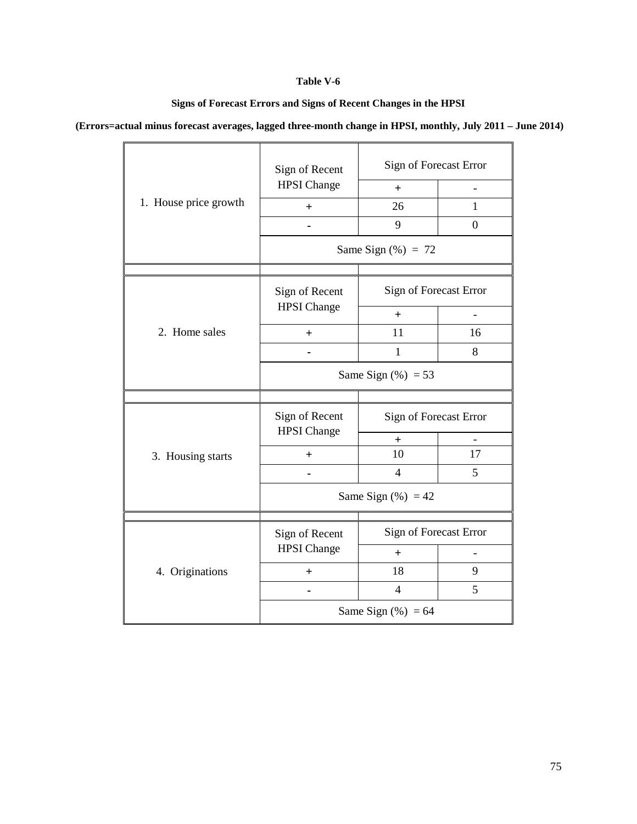### **Table V-6**

**Signs of Forecast Errors and Signs of Recent Changes in the HPSI**

<span id="page-74-0"></span>**(Errors=actual minus forecast averages, lagged three-month change in HPSI, monthly, July 2011 – June 2014)**

|                       | Sign of Recent                       |                        | Sign of Forecast Error   |  |  |
|-----------------------|--------------------------------------|------------------------|--------------------------|--|--|
|                       | <b>HPSI</b> Change                   | $^{+}$                 |                          |  |  |
| 1. House price growth | $+$                                  | 26                     | 1                        |  |  |
|                       |                                      | 9                      | $\overline{0}$           |  |  |
|                       |                                      | Same Sign $(\%) = 72$  |                          |  |  |
|                       |                                      |                        |                          |  |  |
|                       | Sign of Recent                       | Sign of Forecast Error |                          |  |  |
|                       | <b>HPSI</b> Change                   | $+$                    | $\overline{\phantom{0}}$ |  |  |
| 2. Home sales         | $\pm$                                | 11                     | 16                       |  |  |
|                       |                                      | $\mathbf{1}$           | 8                        |  |  |
|                       | Same Sign $(\%) = 53$                |                        |                          |  |  |
|                       |                                      |                        |                          |  |  |
|                       | Sign of Recent<br><b>HPSI</b> Change | Sign of Forecast Error |                          |  |  |
|                       |                                      | $^{+}$                 |                          |  |  |
| 3. Housing starts     | $^{+}$                               | 10                     | 17                       |  |  |
|                       |                                      | $\overline{4}$         | 5                        |  |  |
|                       |                                      | Same Sign $(\%) = 42$  |                          |  |  |
|                       |                                      |                        |                          |  |  |
|                       | Sign of Recent                       | Sign of Forecast Error |                          |  |  |
|                       | <b>HPSI</b> Change                   | $^{+}$                 |                          |  |  |
| 4. Originations       | $+$                                  | 18                     | 9                        |  |  |
|                       |                                      | $\overline{4}$         | 5                        |  |  |
|                       | Same Sign $(\%) = 64$                |                        |                          |  |  |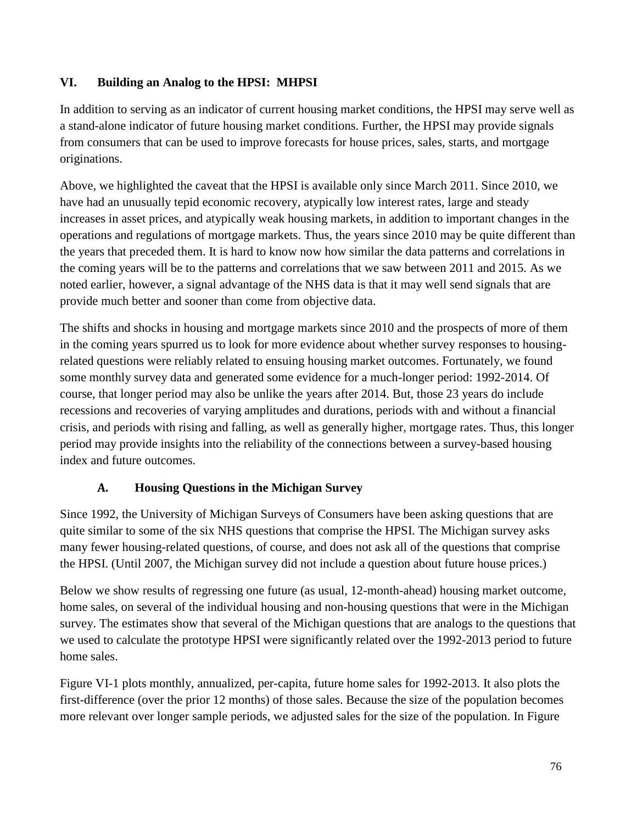# **VI. Building an Analog to the HPSI: MHPSI**

In addition to serving as an indicator of current housing market conditions, the HPSI may serve well as a stand-alone indicator of future housing market conditions. Further, the HPSI may provide signals from consumers that can be used to improve forecasts for house prices, sales, starts, and mortgage originations.

Above, we highlighted the caveat that the HPSI is available only since March 2011. Since 2010, we have had an unusually tepid economic recovery, atypically low interest rates, large and steady increases in asset prices, and atypically weak housing markets, in addition to important changes in the operations and regulations of mortgage markets. Thus, the years since 2010 may be quite different than the years that preceded them. It is hard to know now how similar the data patterns and correlations in the coming years will be to the patterns and correlations that we saw between 2011 and 2015. As we noted earlier, however, a signal advantage of the NHS data is that it may well send signals that are provide much better and sooner than come from objective data.

The shifts and shocks in housing and mortgage markets since 2010 and the prospects of more of them in the coming years spurred us to look for more evidence about whether survey responses to housingrelated questions were reliably related to ensuing housing market outcomes. Fortunately, we found some monthly survey data and generated some evidence for a much-longer period: 1992-2014. Of course, that longer period may also be unlike the years after 2014. But, those 23 years do include recessions and recoveries of varying amplitudes and durations, periods with and without a financial crisis, and periods with rising and falling, as well as generally higher, mortgage rates. Thus, this longer period may provide insights into the reliability of the connections between a survey-based housing index and future outcomes.

## **A. Housing Questions in the Michigan Survey**

Since 1992, the University of Michigan Surveys of Consumers have been asking questions that are quite similar to some of the six NHS questions that comprise the HPSI. The Michigan survey asks many fewer housing-related questions, of course, and does not ask all of the questions that comprise the HPSI. (Until 2007, the Michigan survey did not include a question about future house prices.)

Below we show results of regressing one future (as usual, 12-month-ahead) housing market outcome, home sales, on several of the individual housing and non-housing questions that were in the Michigan survey. The estimates show that several of the Michigan questions that are analogs to the questions that we used to calculate the prototype HPSI were significantly related over the 1992-2013 period to future home sales.

[Figure VI-1](#page-76-0) plots monthly, annualized, per-capita, future home sales for 1992-2013. It also plots the first-difference (over the prior 12 months) of those sales. Because the size of the population becomes more relevant over longer sample periods, we adjusted sales for the size of the population. In [Figure](#page-76-0)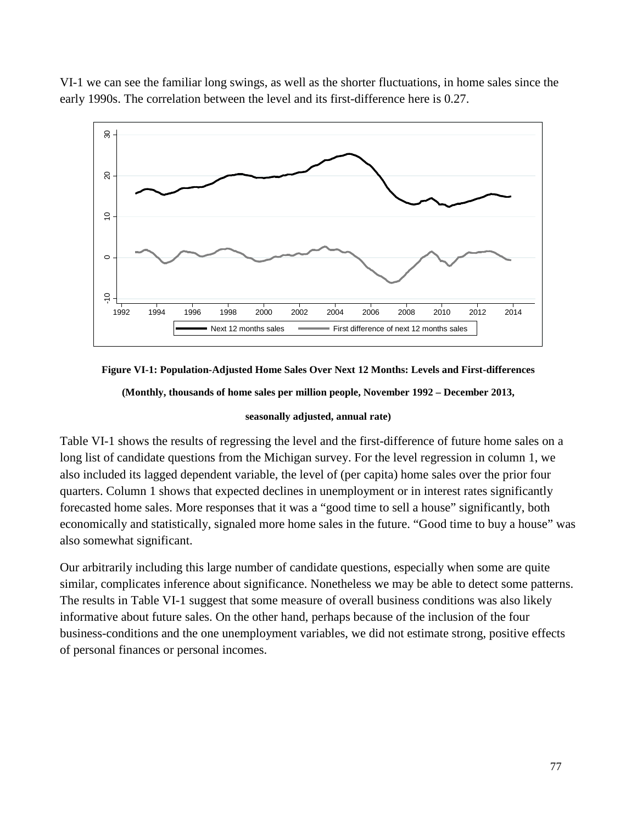[VI-1](#page-76-0) we can see the familiar long swings, as well as the shorter fluctuations, in home sales since the early 1990s. The correlation between the level and its first-difference here is 0.27.



<span id="page-76-0"></span>**Figure VI-1: Population-Adjusted Home Sales Over Next 12 Months: Levels and First-differences**

**(Monthly, thousands of home sales per million people, November 1992 – December 2013,**

### **seasonally adjusted, annual rate)**

[Table VI-1](#page-77-0) shows the results of regressing the level and the first-difference of future home sales on a long list of candidate questions from the Michigan survey. For the level regression in column 1, we also included its lagged dependent variable, the level of (per capita) home sales over the prior four quarters. Column 1 shows that expected declines in unemployment or in interest rates significantly forecasted home sales. More responses that it was a "good time to sell a house" significantly, both economically and statistically, signaled more home sales in the future. "Good time to buy a house" was also somewhat significant.

Our arbitrarily including this large number of candidate questions, especially when some are quite similar, complicates inference about significance. Nonetheless we may be able to detect some patterns. The results in [Table VI-1](#page-77-0) suggest that some measure of overall business conditions was also likely informative about future sales. On the other hand, perhaps because of the inclusion of the four business-conditions and the one unemployment variables, we did not estimate strong, positive effects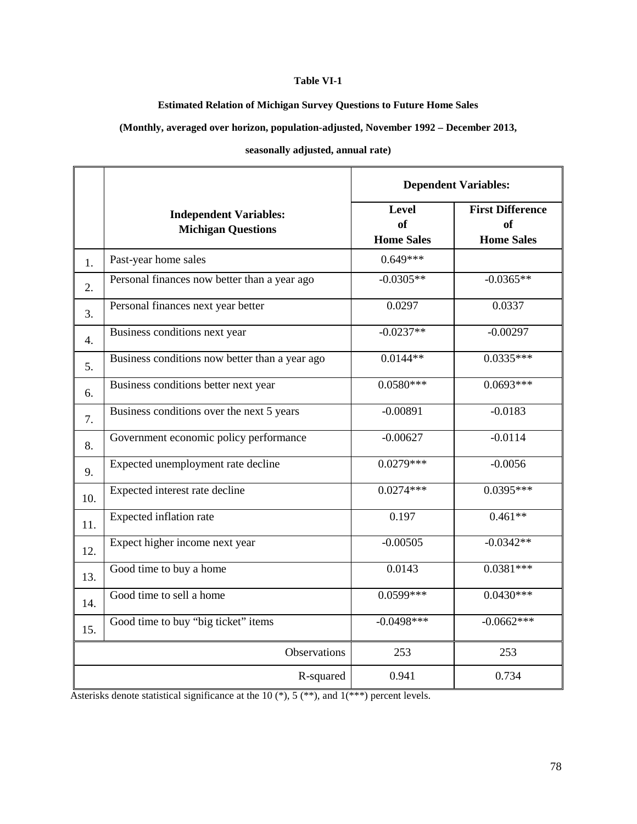#### **Table VI-1**

#### **Estimated Relation of Michigan Survey Questions to Future Home Sales**

<span id="page-77-0"></span>**(Monthly, averaged over horizon, population-adjusted, November 1992 – December 2013,**

**seasonally adjusted, annual rate)**

|     |                                                            | <b>Dependent Variables:</b>                    |                                                           |  |
|-----|------------------------------------------------------------|------------------------------------------------|-----------------------------------------------------------|--|
|     | <b>Independent Variables:</b><br><b>Michigan Questions</b> | <b>Level</b><br><b>of</b><br><b>Home Sales</b> | <b>First Difference</b><br><b>of</b><br><b>Home Sales</b> |  |
| 1.  | Past-year home sales                                       | $0.649***$                                     |                                                           |  |
| 2.  | Personal finances now better than a year ago               | $-0.0305**$                                    | $-0.0365**$                                               |  |
| 3.  | Personal finances next year better                         | 0.0297                                         | 0.0337                                                    |  |
| 4.  | Business conditions next year                              | $-0.0237**$                                    | $-0.00297$                                                |  |
| 5.  | Business conditions now better than a year ago             | $0.0144**$                                     | $0.0335***$                                               |  |
| 6.  | Business conditions better next year                       | $0.0580***$                                    | $0.0693***$                                               |  |
| 7.  | Business conditions over the next 5 years                  | $-0.00891$                                     | $-0.0183$                                                 |  |
| 8.  | Government economic policy performance                     | $-0.00627$                                     | $-0.0114$                                                 |  |
| 9.  | Expected unemployment rate decline                         | $0.0279***$                                    | $-0.0056$                                                 |  |
| 10. | Expected interest rate decline                             | $0.0274***$                                    | $0.0395***$                                               |  |
| 11. | Expected inflation rate                                    | 0.197                                          | $0.461**$                                                 |  |
| 12. | Expect higher income next year                             | $-0.00505$                                     | $-0.0342**$                                               |  |
| 13. | Good time to buy a home                                    | 0.0143                                         | $0.0381***$                                               |  |
| 14. | Good time to sell a home                                   | $0.0599***$                                    | $0.0430***$                                               |  |
| 15. | Good time to buy "big ticket" items                        | $-0.0498***$                                   | $-0.0662***$                                              |  |
|     | Observations                                               | 253                                            | 253                                                       |  |
|     | R-squared                                                  | 0.941                                          | 0.734                                                     |  |

Asterisks denote statistical significance at the 10 (\*), 5 (\*\*), and 1(\*\*\*) percent levels.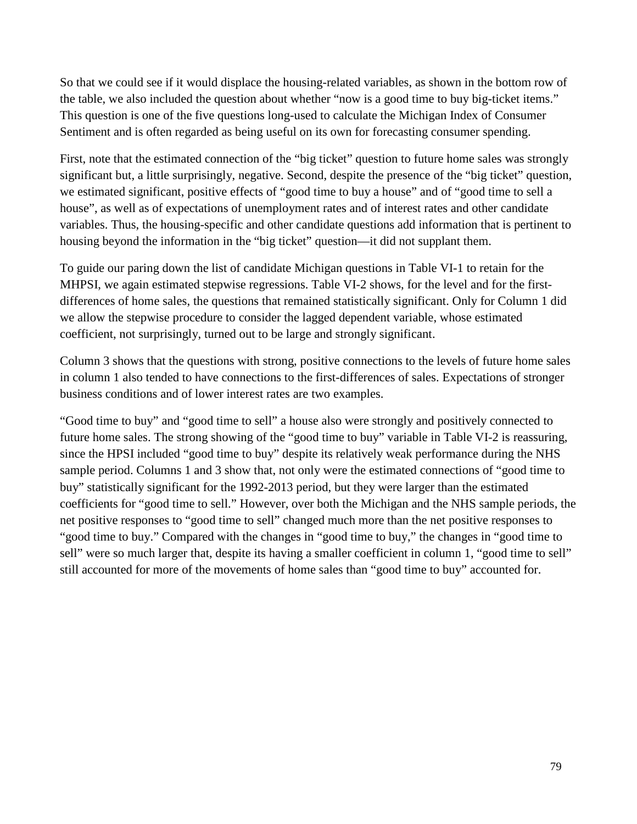So that we could see if it would displace the housing-related variables, as shown in the bottom row of the table, we also included the question about whether "now is a good time to buy big-ticket items." This question is one of the five questions long-used to calculate the Michigan Index of Consumer Sentiment and is often regarded as being useful on its own for forecasting consumer spending.

First, note that the estimated connection of the "big ticket" question to future home sales was strongly significant but, a little surprisingly, negative. Second, despite the presence of the "big ticket" question, we estimated significant, positive effects of "good time to buy a house" and of "good time to sell a house", as well as of expectations of unemployment rates and of interest rates and other candidate variables. Thus, the housing-specific and other candidate questions add information that is pertinent to housing beyond the information in the "big ticket" question—it did not supplant them.

To guide our paring down the list of candidate Michigan questions in [Table VI-1](#page-77-0) to retain for the MHPSI, we again estimated stepwise regressions. [Table VI-2](#page-77-0) shows, for the level and for the firstdifferences of home sales, the questions that remained statistically significant. Only for Column 1 did we allow the stepwise procedure to consider the lagged dependent variable, whose estimated coefficient, not surprisingly, turned out to be large and strongly significant.

Column 3 shows that the questions with strong, positive connections to the levels of future home sales in column 1 also tended to have connections to the first-differences of sales. Expectations of stronger business conditions and of lower interest rates are two examples.

"Good time to buy" and "good time to sell" a house also were strongly and positively connected to future home sales. The strong showing of the "good time to buy" variable in [Table VI-2](#page-77-0) is reassuring, since the HPSI included "good time to buy" despite its relatively weak performance during the NHS sample period. Columns 1 and 3 show that, not only were the estimated connections of "good time to buy" statistically significant for the 1992-2013 period, but they were larger than the estimated coefficients for "good time to sell." However, over both the Michigan and the NHS sample periods, the net positive responses to "good time to sell" changed much more than the net positive responses to "good time to buy." Compared with the changes in "good time to buy," the changes in "good time to sell" were so much larger that, despite its having a smaller coefficient in column 1, "good time to sell" still accounted for more of the movements of home sales than "good time to buy" accounted for.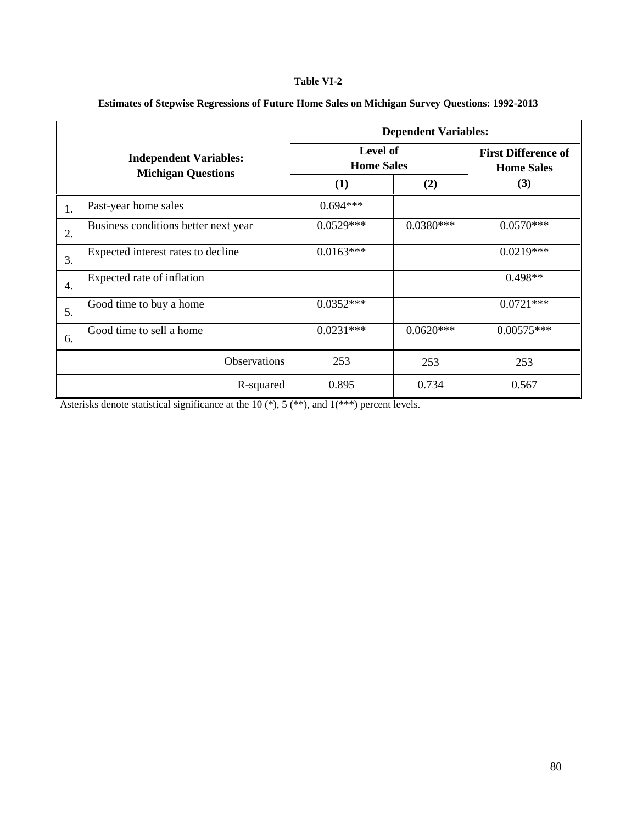#### **Table VI-2**

|    |                                                            | <b>Dependent Variables:</b>   |                                                 |              |  |
|----|------------------------------------------------------------|-------------------------------|-------------------------------------------------|--------------|--|
|    | <b>Independent Variables:</b><br><b>Michigan Questions</b> | Level of<br><b>Home Sales</b> | <b>First Difference of</b><br><b>Home Sales</b> |              |  |
|    |                                                            | (1)                           | (2)                                             | (3)          |  |
| 1. | Past-year home sales                                       | $0.694***$                    |                                                 |              |  |
| 2. | Business conditions better next year                       | $0.0529***$                   | $0.0380***$                                     | $0.0570***$  |  |
| 3. | Expected interest rates to decline                         | $0.0163***$                   |                                                 | $0.0219***$  |  |
| 4. | Expected rate of inflation                                 |                               |                                                 | $0.498**$    |  |
| 5. | Good time to buy a home                                    | $0.0352***$                   |                                                 | $0.0721***$  |  |
| 6. | Good time to sell a home                                   | $0.0231***$                   | $0.0620***$                                     | $0.00575***$ |  |
|    | Observations                                               | 253                           | 253                                             | 253          |  |
|    | R-squared                                                  | 0.895                         | 0.734                                           | 0.567        |  |

### **Estimates of Stepwise Regressions of Future Home Sales on Michigan Survey Questions: 1992-2013**

Asterisks denote statistical significance at the 10 (\*), 5 (\*\*), and 1(\*\*\*) percent levels.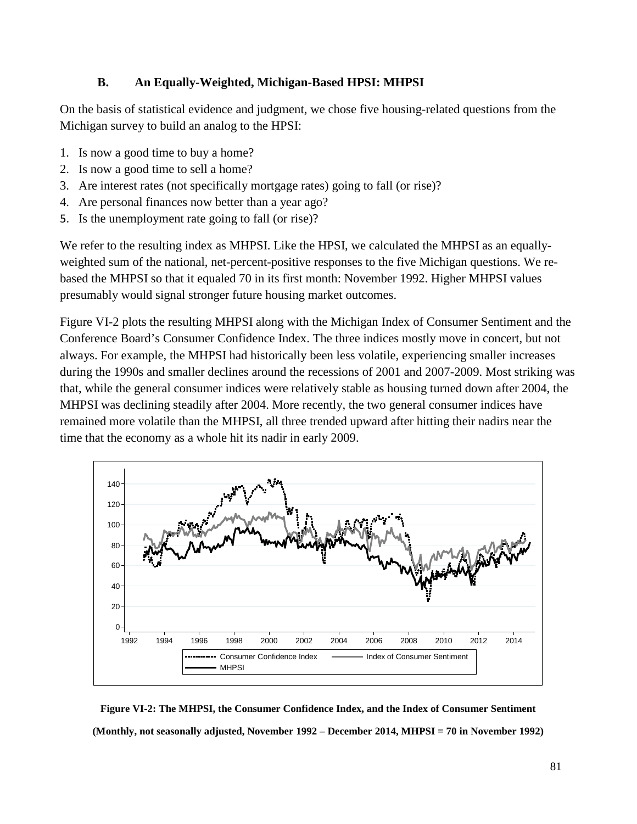## **B. An Equally-Weighted, Michigan-Based HPSI: MHPSI**

On the basis of statistical evidence and judgment, we chose five housing-related questions from the Michigan survey to build an analog to the HPSI:

- 1. Is now a good time to buy a home?
- 2. Is now a good time to sell a home?
- 3. Are interest rates (not specifically mortgage rates) going to fall (or rise)?
- 4. Are personal finances now better than a year ago?
- 5. Is the unemployment rate going to fall (or rise)?

We refer to the resulting index as MHPSI. Like the HPSI, we calculated the MHPSI as an equallyweighted sum of the national, net-percent-positive responses to the five Michigan questions. We rebased the MHPSI so that it equaled 70 in its first month: November 1992. Higher MHPSI values presumably would signal stronger future housing market outcomes.

[Figure VI-2](#page-80-0) plots the resulting MHPSI along with the Michigan Index of Consumer Sentiment and the Conference Board's Consumer Confidence Index. The three indices mostly move in concert, but not always. For example, the MHPSI had historically been less volatile, experiencing smaller increases during the 1990s and smaller declines around the recessions of 2001 and 2007-2009. Most striking was that, while the general consumer indices were relatively stable as housing turned down after 2004, the MHPSI was declining steadily after 2004. More recently, the two general consumer indices have remained more volatile than the MHPSI, all three trended upward after hitting their nadirs near the time that the economy as a whole hit its nadir in early 2009.



<span id="page-80-0"></span>**Figure VI-2: The MHPSI, the Consumer Confidence Index, and the Index of Consumer Sentiment (Monthly, not seasonally adjusted, November 1992 – December 2014, MHPSI = 70 in November 1992)**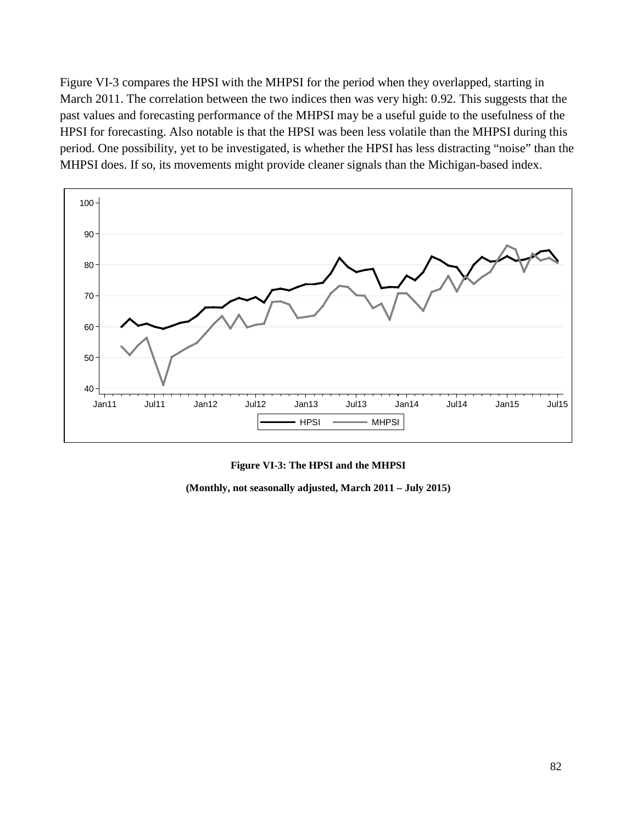[Figure VI-3](#page-81-0) compares the HPSI with the MHPSI for the period when they overlapped, starting in March 2011. The correlation between the two indices then was very high: 0.92. This suggests that the past values and forecasting performance of the MHPSI may be a useful guide to the usefulness of the HPSI for forecasting. Also notable is that the HPSI was been less volatile than the MHPSI during this period. One possibility, yet to be investigated, is whether the HPSI has less distracting "noise" than the MHPSI does. If so, its movements might provide cleaner signals than the Michigan-based index.



**Figure VI-3: The HPSI and the MHPSI**

<span id="page-81-0"></span>**(Monthly, not seasonally adjusted, March 2011 – July 2015)**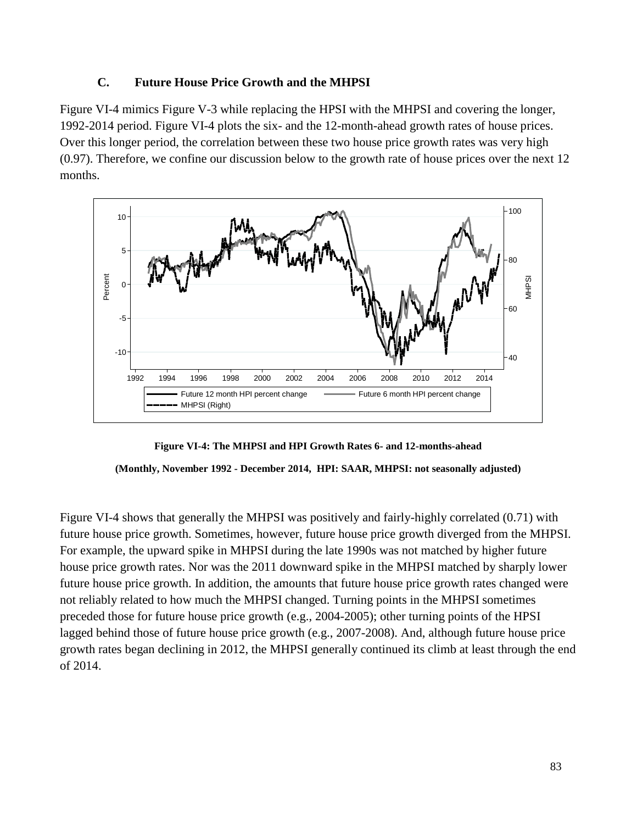## **C. Future House Price Growth and the MHPSI**

[Figure VI-4](#page-82-0) mimics [Figure V-3](#page-51-0) while replacing the HPSI with the MHPSI and covering the longer, 1992-2014 period. [Figure VI-4](#page-82-0) plots the six- and the 12-month-ahead growth rates of house prices. Over this longer period, the correlation between these two house price growth rates was very high (0.97). Therefore, we confine our discussion below to the growth rate of house prices over the next 12 months.



<span id="page-82-0"></span>**Figure VI-4: The MHPSI and HPI Growth Rates 6- and 12-months-ahead (Monthly, November 1992 - December 2014, HPI: SAAR, MHPSI: not seasonally adjusted)**

[Figure VI-4](#page-82-0) shows that generally the MHPSI was positively and fairly-highly correlated (0.71) with future house price growth. Sometimes, however, future house price growth diverged from the MHPSI. For example, the upward spike in MHPSI during the late 1990s was not matched by higher future house price growth rates. Nor was the 2011 downward spike in the MHPSI matched by sharply lower future house price growth. In addition, the amounts that future house price growth rates changed were not reliably related to how much the MHPSI changed. Turning points in the MHPSI sometimes preceded those for future house price growth (e.g., 2004-2005); other turning points of the HPSI lagged behind those of future house price growth (e.g., 2007-2008). And, although future house price growth rates began declining in 2012, the MHPSI generally continued its climb at least through the end of 2014.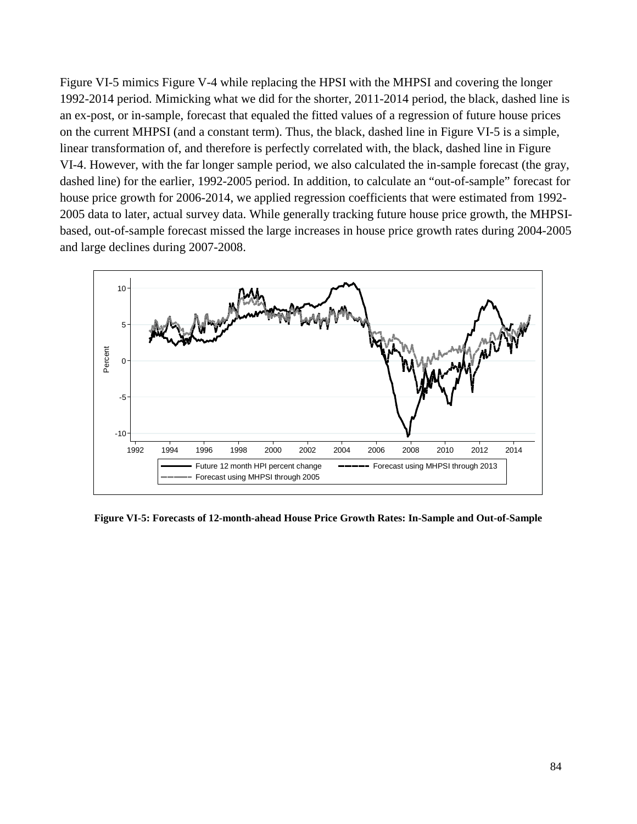[Figure VI-5](#page-83-0) mimics [Figure V-4](#page-52-0) while replacing the HPSI with the MHPSI and covering the longer 1992-2014 period. Mimicking what we did for the shorter, 2011-2014 period, the black, dashed line is an ex-post, or in-sample, forecast that equaled the fitted values of a regression of future house prices on the current MHPSI (and a constant term). Thus, the black, dashed line in [Figure VI-5](#page-83-0) is a simple, linear transformation of, and therefore is perfectly correlated with, the black, dashed line in [Figure](#page-82-0)  [VI-4.](#page-82-0) However, with the far longer sample period, we also calculated the in-sample forecast (the gray, dashed line) for the earlier, 1992-2005 period. In addition, to calculate an "out-of-sample" forecast for house price growth for 2006-2014, we applied regression coefficients that were estimated from 1992- 2005 data to later, actual survey data. While generally tracking future house price growth, the MHPSIbased, out-of-sample forecast missed the large increases in house price growth rates during 2004-2005 and large declines during 2007-2008.



<span id="page-83-0"></span>**Figure VI-5: Forecasts of 12-month-ahead House Price Growth Rates: In-Sample and Out-of-Sample**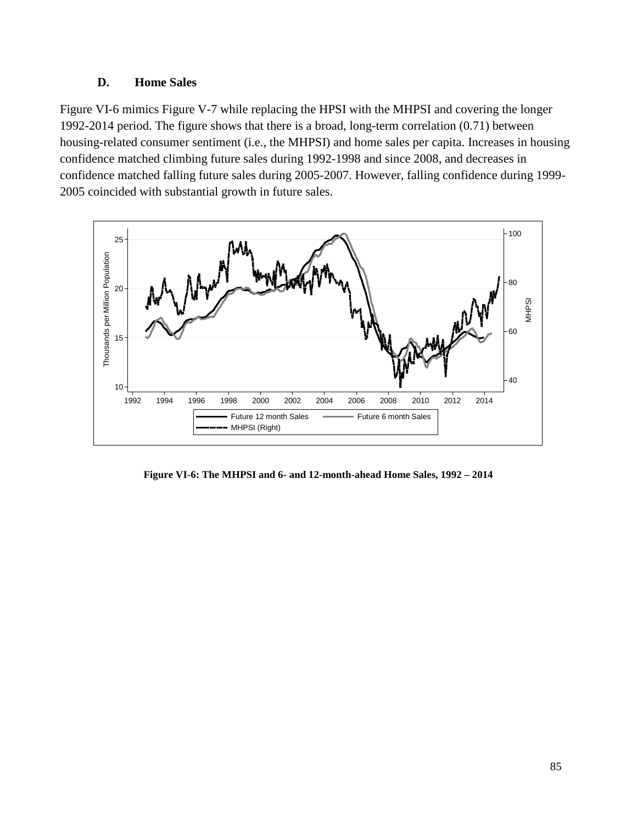## **D. Home Sales**

[Figure VI-6](#page-84-0) mimics [Figure V-7](#page-55-0) while replacing the HPSI with the MHPSI and covering the longer 1992-2014 period. The figure shows that there is a broad, long-term correlation (0.71) between housing-related consumer sentiment (i.e., the MHPSI) and home sales per capita. Increases in housing confidence matched climbing future sales during 1992-1998 and since 2008, and decreases in confidence matched falling future sales during 2005-2007. However, falling confidence during 1999- 2005 coincided with substantial growth in future sales.



<span id="page-84-0"></span>**Figure VI-6: The MHPSI and 6- and 12-month-ahead Home Sales, 1992 – 2014**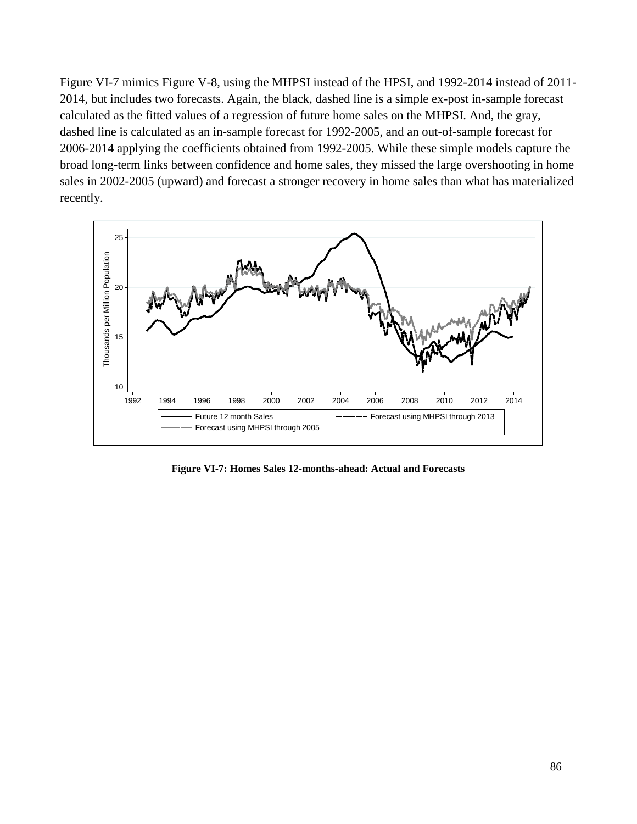[Figure VI-7](#page-85-0) mimics [Figure V-8,](#page-56-0) using the MHPSI instead of the HPSI, and 1992-2014 instead of 2011- 2014, but includes two forecasts. Again, the black, dashed line is a simple ex-post in-sample forecast calculated as the fitted values of a regression of future home sales on the MHPSI. And, the gray, dashed line is calculated as an in-sample forecast for 1992-2005, and an out-of-sample forecast for 2006-2014 applying the coefficients obtained from 1992-2005. While these simple models capture the broad long-term links between confidence and home sales, they missed the large overshooting in home sales in 2002-2005 (upward) and forecast a stronger recovery in home sales than what has materialized recently.



<span id="page-85-0"></span>**Figure VI-7: Homes Sales 12-months-ahead: Actual and Forecasts**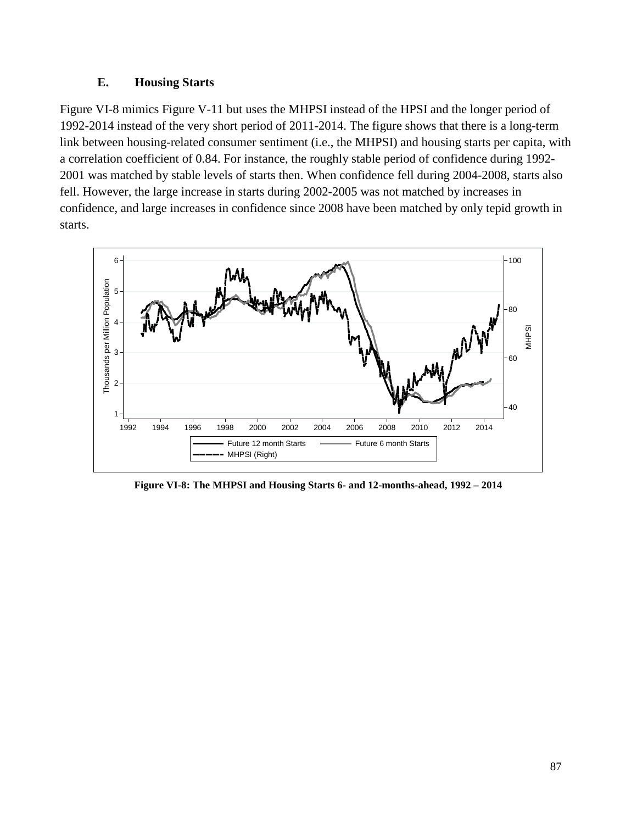### **E. Housing Starts**

[Figure VI-8](#page-86-0) mimics [Figure V-11](#page-59-0) but uses the MHPSI instead of the HPSI and the longer period of 1992-2014 instead of the very short period of 2011-2014. The figure shows that there is a long-term link between housing-related consumer sentiment (i.e., the MHPSI) and housing starts per capita, with a correlation coefficient of 0.84. For instance, the roughly stable period of confidence during 1992- 2001 was matched by stable levels of starts then. When confidence fell during 2004-2008, starts also fell. However, the large increase in starts during 2002-2005 was not matched by increases in confidence, and large increases in confidence since 2008 have been matched by only tepid growth in starts.



<span id="page-86-0"></span>**Figure VI-8: The MHPSI and Housing Starts 6- and 12-months-ahead, 1992 – 2014**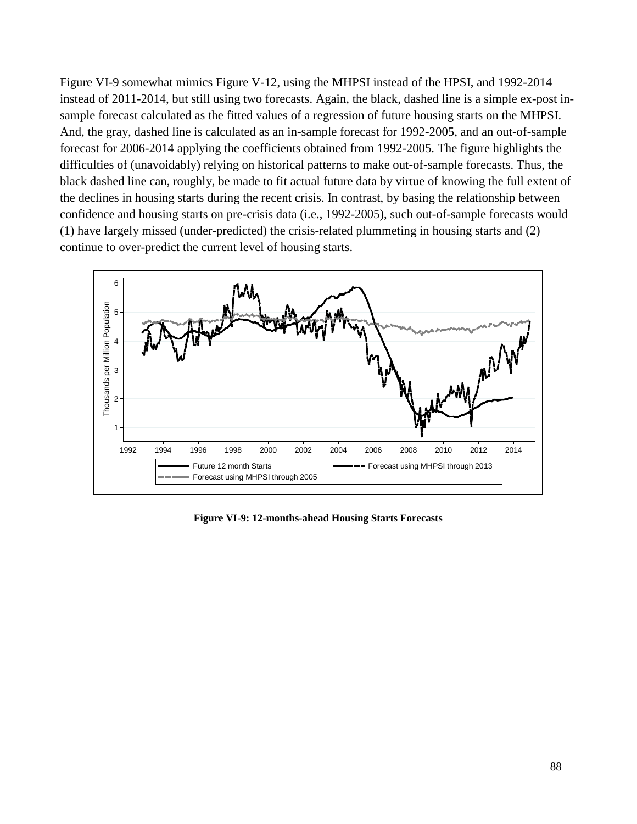[Figure VI-9](#page-87-0) somewhat mimics [Figure V-12,](#page-60-0) using the MHPSI instead of the HPSI, and 1992-2014 instead of 2011-2014, but still using two forecasts. Again, the black, dashed line is a simple ex-post insample forecast calculated as the fitted values of a regression of future housing starts on the MHPSI. And, the gray, dashed line is calculated as an in-sample forecast for 1992-2005, and an out-of-sample forecast for 2006-2014 applying the coefficients obtained from 1992-2005. The figure highlights the difficulties of (unavoidably) relying on historical patterns to make out-of-sample forecasts. Thus, the black dashed line can, roughly, be made to fit actual future data by virtue of knowing the full extent of the declines in housing starts during the recent crisis. In contrast, by basing the relationship between confidence and housing starts on pre-crisis data (i.e., 1992-2005), such out-of-sample forecasts would (1) have largely missed (under-predicted) the crisis-related plummeting in housing starts and (2) continue to over-predict the current level of housing starts.



<span id="page-87-0"></span>**Figure VI-9: 12-months-ahead Housing Starts Forecasts**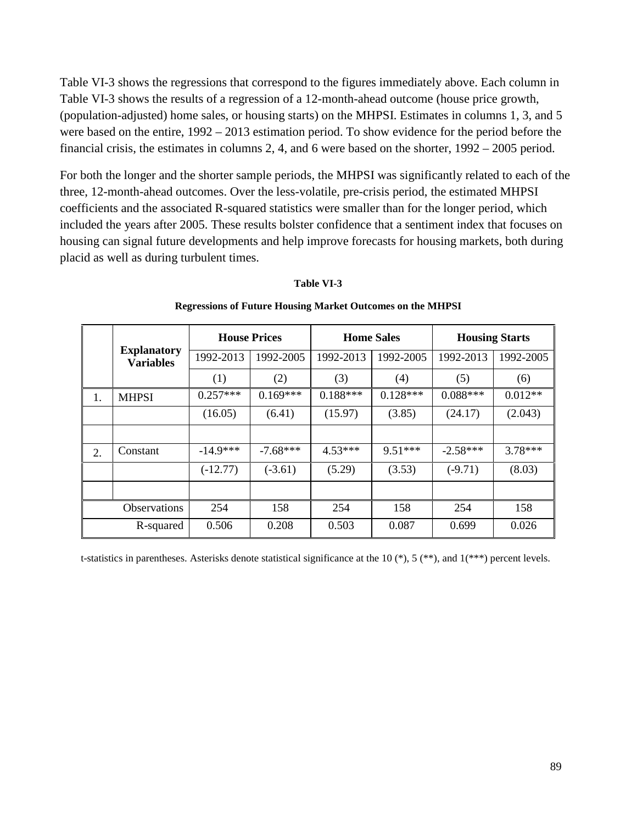[Table VI-3](#page-88-0) shows the regressions that correspond to the figures immediately above. Each column in [Table VI-3](#page-88-0) shows the results of a regression of a 12-month-ahead outcome (house price growth, (population-adjusted) home sales, or housing starts) on the MHPSI. Estimates in columns 1, 3, and 5 were based on the entire, 1992 – 2013 estimation period. To show evidence for the period before the financial crisis, the estimates in columns 2, 4, and 6 were based on the shorter, 1992 – 2005 period.

For both the longer and the shorter sample periods, the MHPSI was significantly related to each of the three, 12-month-ahead outcomes. Over the less-volatile, pre-crisis period, the estimated MHPSI coefficients and the associated R-squared statistics were smaller than for the longer period, which included the years after 2005. These results bolster confidence that a sentiment index that focuses on housing can signal future developments and help improve forecasts for housing markets, both during placid as well as during turbulent times.

<span id="page-88-0"></span>

|    |                                        | <b>House Prices</b> |            | <b>Home Sales</b> |            | <b>Housing Starts</b> |           |
|----|----------------------------------------|---------------------|------------|-------------------|------------|-----------------------|-----------|
|    | <b>Explanatory</b><br><b>Variables</b> | 1992-2013           | 1992-2005  | 1992-2013         | 1992-2005  | 1992-2013             | 1992-2005 |
|    |                                        | (1)                 | (2)        | (3)               | (4)        | (5)                   | (6)       |
| 1. | <b>MHPSI</b>                           | $0.257***$          | $0.169***$ | $0.188***$        | $0.128***$ | $0.088***$            | $0.012**$ |
|    |                                        | (16.05)             | (6.41)     | (15.97)           | (3.85)     | (24.17)               | (2.043)   |
|    |                                        |                     |            |                   |            |                       |           |
| 2. | Constant                               | $-14.9***$          | $-7.68***$ | $4.53***$         | $9.51***$  | $-2.58***$            | $3.78***$ |
|    |                                        | $(-12.77)$          | $(-3.61)$  | (5.29)            | (3.53)     | $(-9.71)$             | (8.03)    |
|    |                                        |                     |            |                   |            |                       |           |
|    | <b>Observations</b>                    | 254                 | 158        | 254               | 158        | 254                   | 158       |
|    | R-squared                              | 0.506               | 0.208      | 0.503             | 0.087      | 0.699                 | 0.026     |

#### **Table VI-3**

#### **Regressions of Future Housing Market Outcomes on the MHPSI**

t-statistics in parentheses. Asterisks denote statistical significance at the 10  $(*)$ , 5  $(**)$ , and 1 $(***)$  percent levels.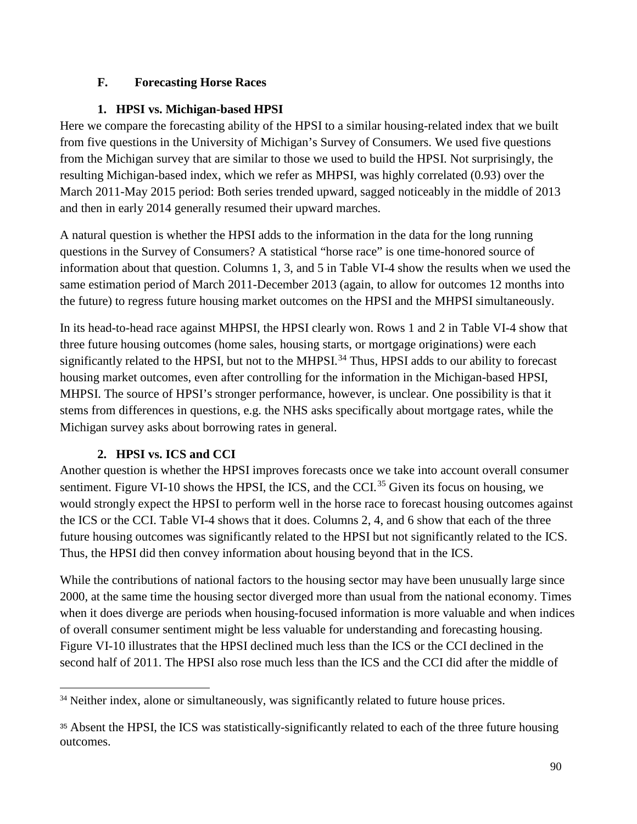# **F. Forecasting Horse Races**

# **1. HPSI vs. Michigan-based HPSI**

Here we compare the forecasting ability of the HPSI to a similar housing-related index that we built from five questions in the University of Michigan's Survey of Consumers. We used five questions from the Michigan survey that are similar to those we used to build the HPSI. Not surprisingly, the resulting Michigan-based index, which we refer as MHPSI, was highly correlated (0.93) over the March 2011-May 2015 period: Both series trended upward, sagged noticeably in the middle of 2013 and then in early 2014 generally resumed their upward marches.

A natural question is whether the HPSI adds to the information in the data for the long running questions in the Survey of Consumers? A statistical "horse race" is one time-honored source of information about that question. Columns 1, 3, and 5 in [Table VI-4](#page-90-0) show the results when we used the same estimation period of March 2011-December 2013 (again, to allow for outcomes 12 months into the future) to regress future housing market outcomes on the HPSI and the MHPSI simultaneously.

In its head-to-head race against MHPSI, the HPSI clearly won. Rows 1 and 2 in [Table VI-4](#page-90-0) show that three future housing outcomes (home sales, housing starts, or mortgage originations) were each significantly related to the HPSI, but not to the MHPSI.<sup>[34](#page-89-0)</sup> Thus, HPSI adds to our ability to forecast housing market outcomes, even after controlling for the information in the Michigan-based HPSI, MHPSI. The source of HPSI's stronger performance, however, is unclear. One possibility is that it stems from differences in questions, e.g. the NHS asks specifically about mortgage rates, while the Michigan survey asks about borrowing rates in general.

# **2. HPSI vs. ICS and CCI**

 $\overline{a}$ 

Another question is whether the HPSI improves forecasts once we take into account overall consumer sentiment. [Figure VI-10](#page-91-0) shows the HPSI, the ICS, and the CCI.<sup>[35](#page-89-1)</sup> Given its focus on housing, we would strongly expect the HPSI to perform well in the horse race to forecast housing outcomes against the ICS or the CCI. [Table VI-4](#page-90-0) shows that it does. Columns 2, 4, and 6 show that each of the three future housing outcomes was significantly related to the HPSI but not significantly related to the ICS. Thus, the HPSI did then convey information about housing beyond that in the ICS.

While the contributions of national factors to the housing sector may have been unusually large since 2000, at the same time the housing sector diverged more than usual from the national economy. Times when it does diverge are periods when housing-focused information is more valuable and when indices of overall consumer sentiment might be less valuable for understanding and forecasting housing. [Figure VI-10](#page-91-0) illustrates that the HPSI declined much less than the ICS or the CCI declined in the second half of 2011. The HPSI also rose much less than the ICS and the CCI did after the middle of

<span id="page-89-0"></span><sup>&</sup>lt;sup>34</sup> Neither index, alone or simultaneously, was significantly related to future house prices.

<span id="page-89-1"></span><sup>35</sup> Absent the HPSI, the ICS was statistically-significantly related to each of the three future housing outcomes.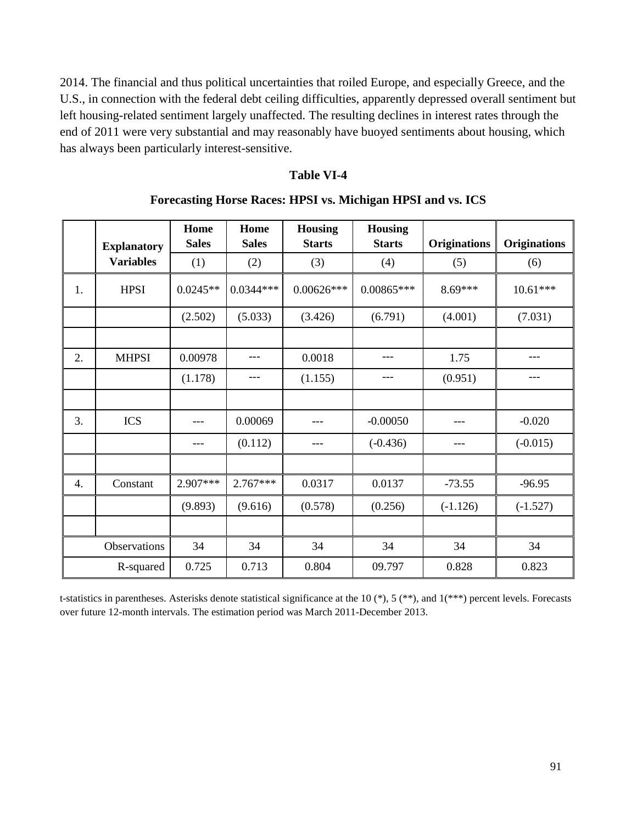2014. The financial and thus political uncertainties that roiled Europe, and especially Greece, and the U.S., in connection with the federal debt ceiling difficulties, apparently depressed overall sentiment but left housing-related sentiment largely unaffected. The resulting declines in interest rates through the end of 2011 were very substantial and may reasonably have buoyed sentiments about housing, which has always been particularly interest-sensitive.

### **Table VI-4**

<span id="page-90-0"></span>

|    | <b>Explanatory</b> | Home<br><b>Sales</b> | Home<br><b>Sales</b> | <b>Housing</b><br><b>Starts</b> | <b>Housing</b><br><b>Starts</b> | <b>Originations</b> | <b>Originations</b> |
|----|--------------------|----------------------|----------------------|---------------------------------|---------------------------------|---------------------|---------------------|
|    | <b>Variables</b>   | (1)                  | (2)                  | (3)                             | (4)                             | (5)                 | (6)                 |
| 1. | <b>HPSI</b>        | $0.0245**$           | $0.0344***$          | $0.00626***$                    | $0.00865***$                    | 8.69***             | $10.61***$          |
|    |                    | (2.502)              | (5.033)              | (3.426)                         | (6.791)                         | (4.001)             | (7.031)             |
|    |                    |                      |                      |                                 |                                 |                     |                     |
| 2. | <b>MHPSI</b>       | 0.00978              |                      | 0.0018                          | ---                             | 1.75                |                     |
|    |                    | (1.178)              | ---                  | (1.155)                         | ---                             | (0.951)             |                     |
|    |                    |                      |                      |                                 |                                 |                     |                     |
| 3. | <b>ICS</b>         |                      | 0.00069              |                                 | $-0.00050$                      |                     | $-0.020$            |
|    |                    |                      | (0.112)              |                                 | $(-0.436)$                      |                     | $(-0.015)$          |
|    |                    |                      |                      |                                 |                                 |                     |                     |
| 4. | Constant           | 2.907***             | $2.767***$           | 0.0317                          | 0.0137                          | $-73.55$            | $-96.95$            |
|    |                    | (9.893)              | (9.616)              | (0.578)                         | (0.256)                         | $(-1.126)$          | $(-1.527)$          |
|    |                    |                      |                      |                                 |                                 |                     |                     |
|    | Observations       | 34                   | 34                   | 34                              | 34                              | 34                  | 34                  |
|    | R-squared          | 0.725                | 0.713                | 0.804                           | 09.797                          | 0.828               | 0.823               |

**Forecasting Horse Races: HPSI vs. Michigan HPSI and vs. ICS**

t-statistics in parentheses. Asterisks denote statistical significance at the 10  $(*)$ , 5  $(**)$ , and  $1(***)$  percent levels. Forecasts over future 12-month intervals. The estimation period was March 2011-December 2013.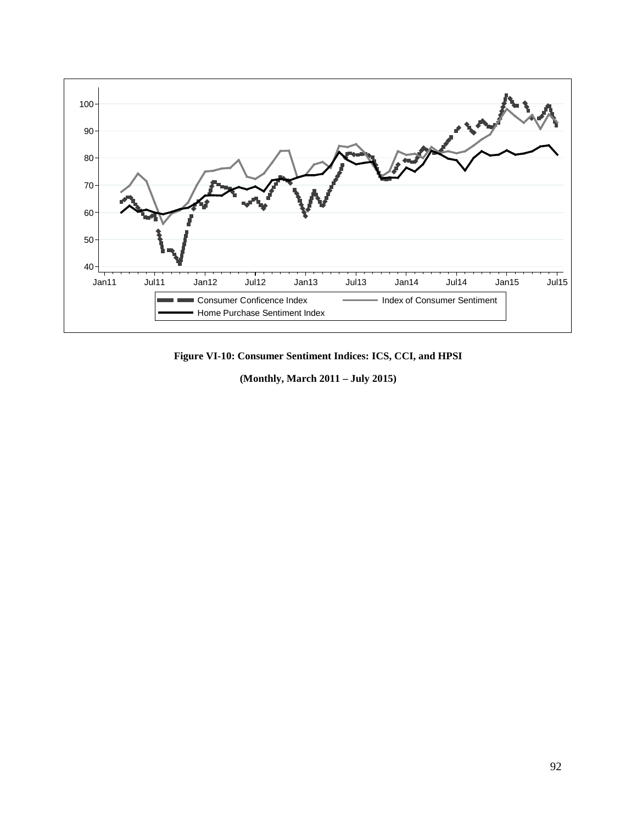

<span id="page-91-0"></span>**Figure VI-10: Consumer Sentiment Indices: ICS, CCI, and HPSI**

**(Monthly, March 2011 – July 2015)**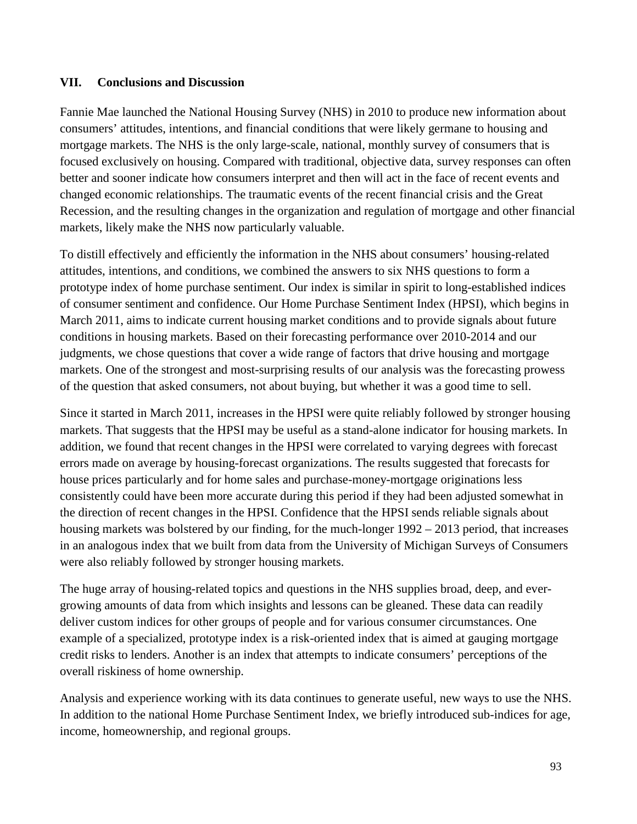## **VII. Conclusions and Discussion**

Fannie Mae launched the National Housing Survey (NHS) in 2010 to produce new information about consumers' attitudes, intentions, and financial conditions that were likely germane to housing and mortgage markets. The NHS is the only large-scale, national, monthly survey of consumers that is focused exclusively on housing. Compared with traditional, objective data, survey responses can often better and sooner indicate how consumers interpret and then will act in the face of recent events and changed economic relationships. The traumatic events of the recent financial crisis and the Great Recession, and the resulting changes in the organization and regulation of mortgage and other financial markets, likely make the NHS now particularly valuable.

To distill effectively and efficiently the information in the NHS about consumers' housing-related attitudes, intentions, and conditions, we combined the answers to six NHS questions to form a prototype index of home purchase sentiment. Our index is similar in spirit to long-established indices of consumer sentiment and confidence. Our Home Purchase Sentiment Index (HPSI), which begins in March 2011, aims to indicate current housing market conditions and to provide signals about future conditions in housing markets. Based on their forecasting performance over 2010-2014 and our judgments, we chose questions that cover a wide range of factors that drive housing and mortgage markets. One of the strongest and most-surprising results of our analysis was the forecasting prowess of the question that asked consumers, not about buying, but whether it was a good time to sell.

Since it started in March 2011, increases in the HPSI were quite reliably followed by stronger housing markets. That suggests that the HPSI may be useful as a stand-alone indicator for housing markets. In addition, we found that recent changes in the HPSI were correlated to varying degrees with forecast errors made on average by housing-forecast organizations. The results suggested that forecasts for house prices particularly and for home sales and purchase-money-mortgage originations less consistently could have been more accurate during this period if they had been adjusted somewhat in the direction of recent changes in the HPSI. Confidence that the HPSI sends reliable signals about housing markets was bolstered by our finding, for the much-longer 1992 – 2013 period, that increases in an analogous index that we built from data from the University of Michigan Surveys of Consumers were also reliably followed by stronger housing markets.

The huge array of housing-related topics and questions in the NHS supplies broad, deep, and evergrowing amounts of data from which insights and lessons can be gleaned. These data can readily deliver custom indices for other groups of people and for various consumer circumstances. One example of a specialized, prototype index is a risk-oriented index that is aimed at gauging mortgage credit risks to lenders. Another is an index that attempts to indicate consumers' perceptions of the overall riskiness of home ownership.

Analysis and experience working with its data continues to generate useful, new ways to use the NHS. In addition to the national Home Purchase Sentiment Index, we briefly introduced sub-indices for age, income, homeownership, and regional groups.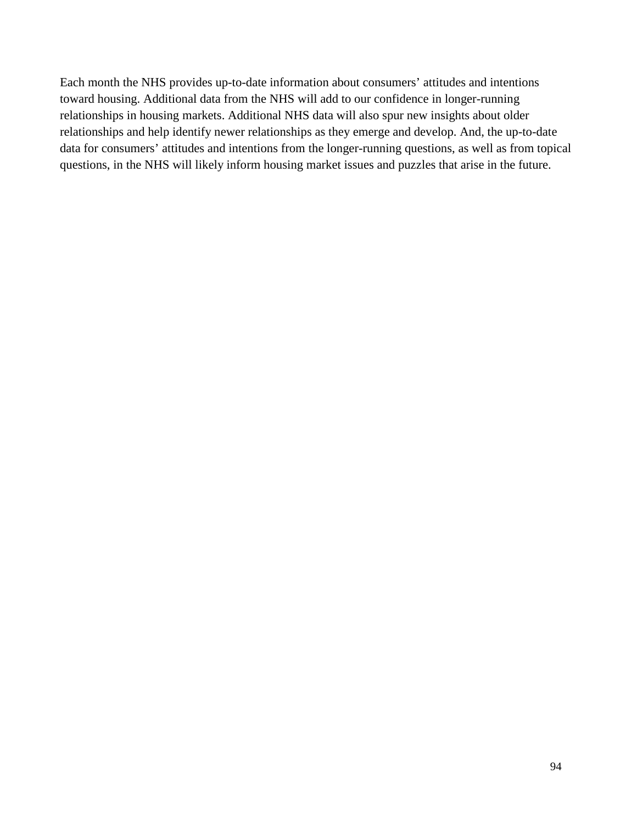Each month the NHS provides up-to-date information about consumers' attitudes and intentions toward housing. Additional data from the NHS will add to our confidence in longer-running relationships in housing markets. Additional NHS data will also spur new insights about older relationships and help identify newer relationships as they emerge and develop. And, the up-to-date data for consumers' attitudes and intentions from the longer-running questions, as well as from topical questions, in the NHS will likely inform housing market issues and puzzles that arise in the future.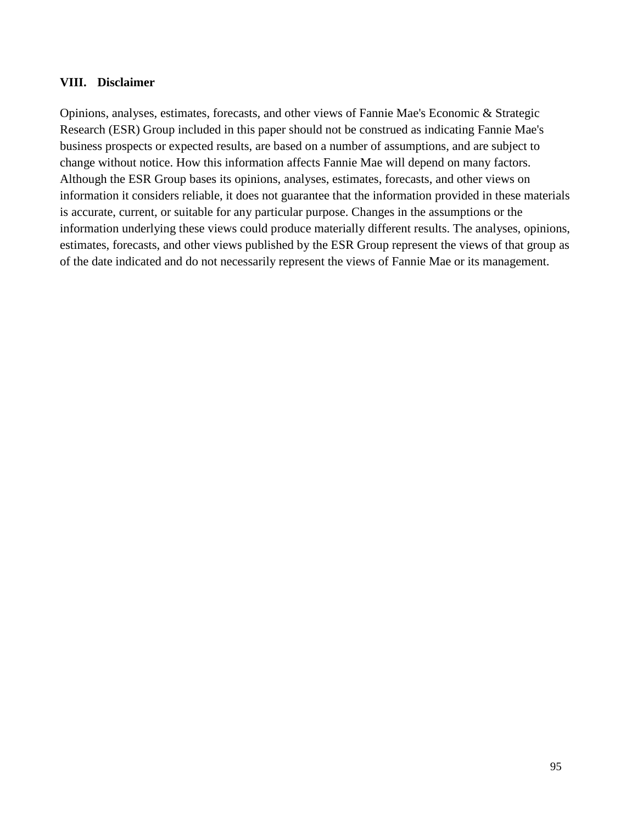### **VIII. Disclaimer**

Opinions, analyses, estimates, forecasts, and other views of Fannie Mae's Economic & Strategic Research (ESR) Group included in this paper should not be construed as indicating Fannie Mae's business prospects or expected results, are based on a number of assumptions, and are subject to change without notice. How this information affects Fannie Mae will depend on many factors. Although the ESR Group bases its opinions, analyses, estimates, forecasts, and other views on information it considers reliable, it does not guarantee that the information provided in these materials is accurate, current, or suitable for any particular purpose. Changes in the assumptions or the information underlying these views could produce materially different results. The analyses, opinions, estimates, forecasts, and other views published by the ESR Group represent the views of that group as of the date indicated and do not necessarily represent the views of Fannie Mae or its management.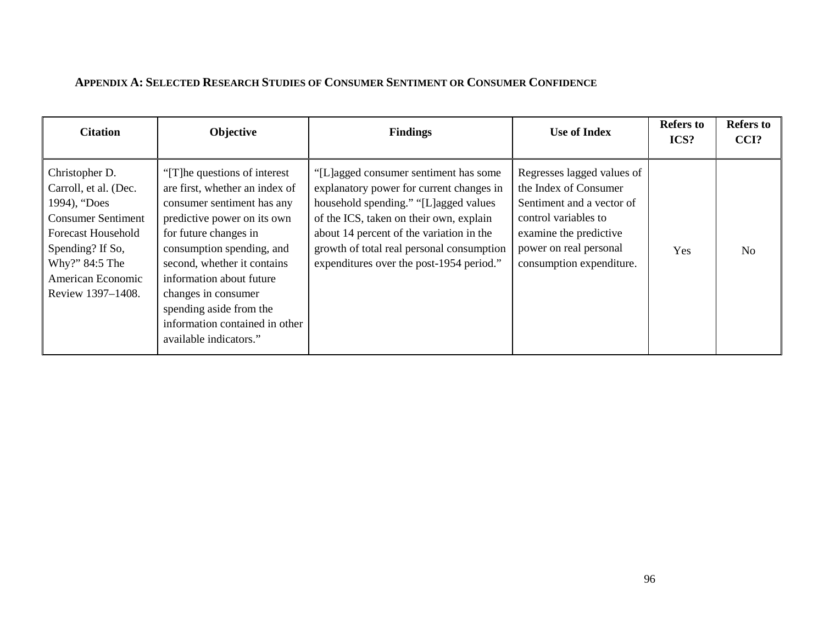# **APPENDIX A: SELECTED RESEARCH STUDIES OF CONSUMER SENTIMENT OR CONSUMER CONFIDENCE**

| <b>Citation</b>                                                                                                                                                                                   | <b>Objective</b>                                                                                                                                                                                                                                                                                                                                             | <b>Findings</b>                                                                                                                                                                                                                                                                                            | <b>Use of Index</b>                                                                                                                                                                      | <b>Refers to</b><br>ICS? | <b>Refers to</b><br>CCI? |
|---------------------------------------------------------------------------------------------------------------------------------------------------------------------------------------------------|--------------------------------------------------------------------------------------------------------------------------------------------------------------------------------------------------------------------------------------------------------------------------------------------------------------------------------------------------------------|------------------------------------------------------------------------------------------------------------------------------------------------------------------------------------------------------------------------------------------------------------------------------------------------------------|------------------------------------------------------------------------------------------------------------------------------------------------------------------------------------------|--------------------------|--------------------------|
| Christopher D.<br>Carroll, et al. (Dec.<br>1994), "Does<br><b>Consumer Sentiment</b><br><b>Forecast Household</b><br>Spending? If So,<br>Why?" 84:5 The<br>American Economic<br>Review 1397-1408. | "[T] he questions of interest"<br>are first, whether an index of<br>consumer sentiment has any<br>predictive power on its own<br>for future changes in<br>consumption spending, and<br>second, whether it contains<br>information about future<br>changes in consumer<br>spending aside from the<br>information contained in other<br>available indicators." | "[L]agged consumer sentiment has some<br>explanatory power for current changes in<br>household spending." "[L]agged values<br>of the ICS, taken on their own, explain<br>about 14 percent of the variation in the<br>growth of total real personal consumption<br>expenditures over the post-1954 period." | Regresses lagged values of<br>the Index of Consumer<br>Sentiment and a vector of<br>control variables to<br>examine the predictive<br>power on real personal<br>consumption expenditure. | Yes                      | N <sub>o</sub>           |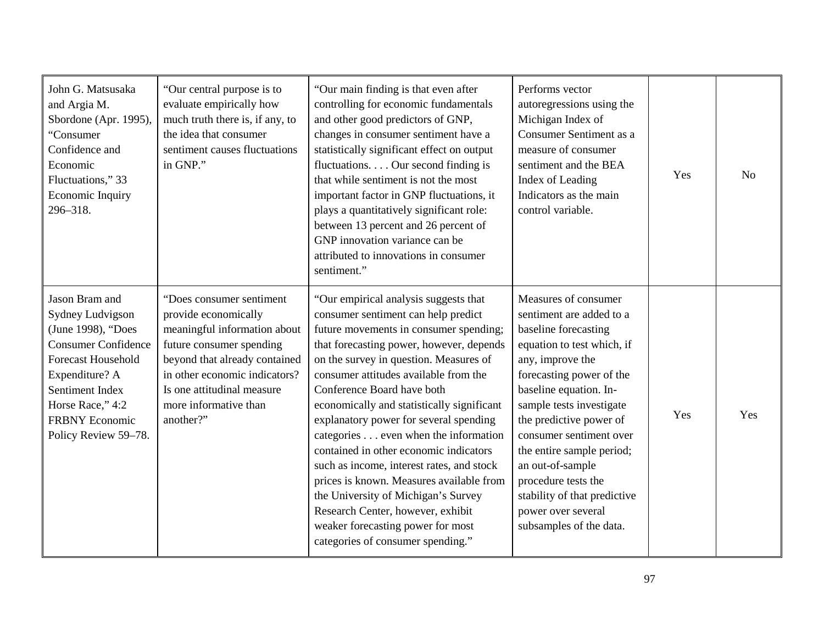| John G. Matsusaka<br>and Argia M.<br>Sbordone (Apr. 1995),<br>"Consumer<br>Confidence and<br>Economic<br>Fluctuations," 33<br>Economic Inquiry<br>296-318.                                                                    | "Our central purpose is to<br>evaluate empirically how<br>much truth there is, if any, to<br>the idea that consumer<br>sentiment causes fluctuations<br>in GNP."                                                                                   | "Our main finding is that even after<br>controlling for economic fundamentals<br>and other good predictors of GNP,<br>changes in consumer sentiment have a<br>statistically significant effect on output<br>fluctuations Our second finding is<br>that while sentiment is not the most<br>important factor in GNP fluctuations, it<br>plays a quantitatively significant role:<br>between 13 percent and 26 percent of<br>GNP innovation variance can be<br>attributed to innovations in consumer<br>sentiment."                                                                                                                                                                                             | Performs vector<br>autoregressions using the<br>Michigan Index of<br>Consumer Sentiment as a<br>measure of consumer<br>sentiment and the BEA<br>Index of Leading<br>Indicators as the main<br>control variable.                                                                                                                                                                                                             | Yes | No  |
|-------------------------------------------------------------------------------------------------------------------------------------------------------------------------------------------------------------------------------|----------------------------------------------------------------------------------------------------------------------------------------------------------------------------------------------------------------------------------------------------|--------------------------------------------------------------------------------------------------------------------------------------------------------------------------------------------------------------------------------------------------------------------------------------------------------------------------------------------------------------------------------------------------------------------------------------------------------------------------------------------------------------------------------------------------------------------------------------------------------------------------------------------------------------------------------------------------------------|-----------------------------------------------------------------------------------------------------------------------------------------------------------------------------------------------------------------------------------------------------------------------------------------------------------------------------------------------------------------------------------------------------------------------------|-----|-----|
| Jason Bram and<br>Sydney Ludvigson<br>(June 1998), "Does<br><b>Consumer Confidence</b><br><b>Forecast Household</b><br>Expenditure? A<br>Sentiment Index<br>Horse Race," 4:2<br><b>FRBNY Economic</b><br>Policy Review 59-78. | "Does consumer sentiment<br>provide economically<br>meaningful information about<br>future consumer spending<br>beyond that already contained<br>in other economic indicators?<br>Is one attitudinal measure<br>more informative than<br>another?" | "Our empirical analysis suggests that<br>consumer sentiment can help predict<br>future movements in consumer spending;<br>that forecasting power, however, depends<br>on the survey in question. Measures of<br>consumer attitudes available from the<br>Conference Board have both<br>economically and statistically significant<br>explanatory power for several spending<br>categories even when the information<br>contained in other economic indicators<br>such as income, interest rates, and stock<br>prices is known. Measures available from<br>the University of Michigan's Survey<br>Research Center, however, exhibit<br>weaker forecasting power for most<br>categories of consumer spending." | Measures of consumer<br>sentiment are added to a<br>baseline forecasting<br>equation to test which, if<br>any, improve the<br>forecasting power of the<br>baseline equation. In-<br>sample tests investigate<br>the predictive power of<br>consumer sentiment over<br>the entire sample period;<br>an out-of-sample<br>procedure tests the<br>stability of that predictive<br>power over several<br>subsamples of the data. | Yes | Yes |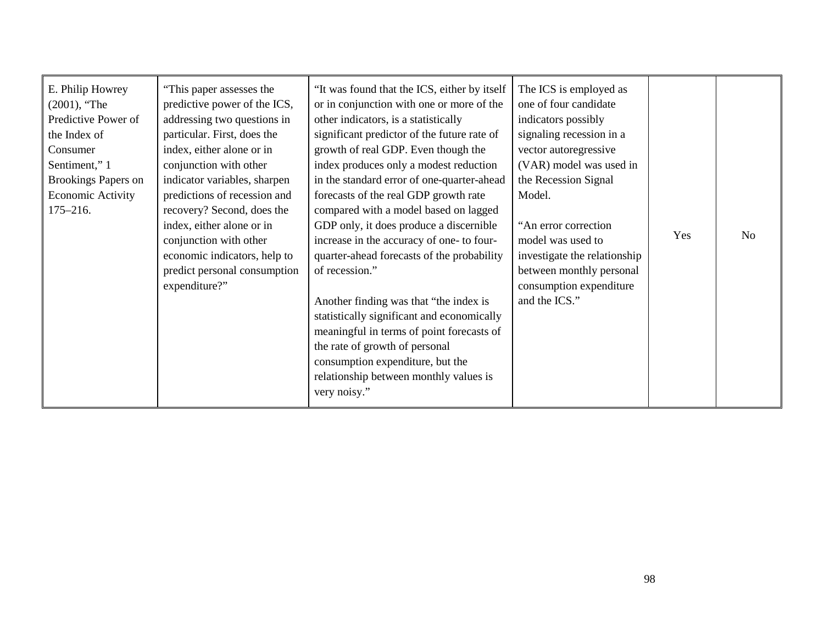| E. Philip Howrey<br>$(2001)$ , "The<br>Predictive Power of<br>the Index of<br>Consumer<br>Sentiment," 1<br><b>Brookings Papers on</b><br><b>Economic Activity</b><br>$175 - 216.$ | "This paper assesses the<br>predictive power of the ICS,<br>addressing two questions in<br>particular. First, does the<br>index, either alone or in<br>conjunction with other<br>indicator variables, sharpen<br>predictions of recession and<br>recovery? Second, does the<br>index, either alone or in<br>conjunction with other<br>economic indicators, help to<br>predict personal consumption<br>expenditure?" | "It was found that the ICS, either by itself<br>or in conjunction with one or more of the<br>other indicators, is a statistically<br>significant predictor of the future rate of<br>growth of real GDP. Even though the<br>index produces only a modest reduction<br>in the standard error of one-quarter-ahead<br>forecasts of the real GDP growth rate<br>compared with a model based on lagged<br>GDP only, it does produce a discernible<br>increase in the accuracy of one- to four-<br>quarter-ahead forecasts of the probability<br>of recession."<br>Another finding was that "the index is<br>statistically significant and economically<br>meaningful in terms of point forecasts of<br>the rate of growth of personal<br>consumption expenditure, but the<br>relationship between monthly values is<br>very noisy." | The ICS is employed as<br>one of four candidate<br>indicators possibly<br>signaling recession in a<br>vector autoregressive<br>(VAR) model was used in<br>the Recession Signal<br>Model.<br>"An error correction<br>model was used to<br>investigate the relationship<br>between monthly personal<br>consumption expenditure<br>and the ICS." | Yes | N <sub>0</sub> |
|-----------------------------------------------------------------------------------------------------------------------------------------------------------------------------------|---------------------------------------------------------------------------------------------------------------------------------------------------------------------------------------------------------------------------------------------------------------------------------------------------------------------------------------------------------------------------------------------------------------------|--------------------------------------------------------------------------------------------------------------------------------------------------------------------------------------------------------------------------------------------------------------------------------------------------------------------------------------------------------------------------------------------------------------------------------------------------------------------------------------------------------------------------------------------------------------------------------------------------------------------------------------------------------------------------------------------------------------------------------------------------------------------------------------------------------------------------------|-----------------------------------------------------------------------------------------------------------------------------------------------------------------------------------------------------------------------------------------------------------------------------------------------------------------------------------------------|-----|----------------|
|-----------------------------------------------------------------------------------------------------------------------------------------------------------------------------------|---------------------------------------------------------------------------------------------------------------------------------------------------------------------------------------------------------------------------------------------------------------------------------------------------------------------------------------------------------------------------------------------------------------------|--------------------------------------------------------------------------------------------------------------------------------------------------------------------------------------------------------------------------------------------------------------------------------------------------------------------------------------------------------------------------------------------------------------------------------------------------------------------------------------------------------------------------------------------------------------------------------------------------------------------------------------------------------------------------------------------------------------------------------------------------------------------------------------------------------------------------------|-----------------------------------------------------------------------------------------------------------------------------------------------------------------------------------------------------------------------------------------------------------------------------------------------------------------------------------------------|-----|----------------|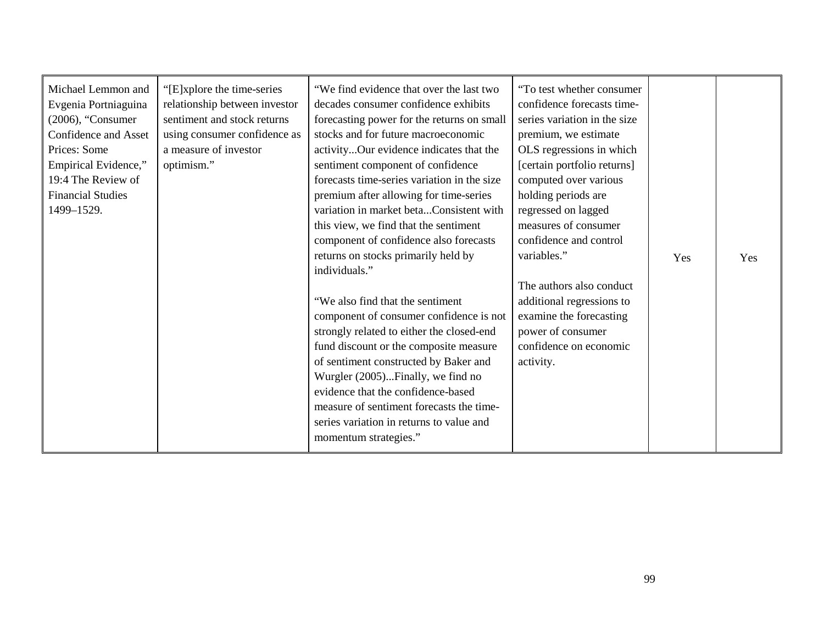| Michael Lemmon and<br>Evgenia Portniaguina<br>$(2006)$ , "Consumer<br>Confidence and Asset<br>Prices: Some<br>Empirical Evidence,"<br>19:4 The Review of<br><b>Financial Studies</b><br>1499-1529. | "[E]xplore the time-series"<br>relationship between investor<br>sentiment and stock returns<br>using consumer confidence as<br>a measure of investor<br>optimism." | "We find evidence that over the last two<br>decades consumer confidence exhibits<br>forecasting power for the returns on small<br>stocks and for future macroeconomic<br>activityOur evidence indicates that the<br>sentiment component of confidence<br>forecasts time-series variation in the size<br>premium after allowing for time-series<br>variation in market betaConsistent with<br>this view, we find that the sentiment<br>component of confidence also forecasts<br>returns on stocks primarily held by<br>individuals."<br>"We also find that the sentiment<br>component of consumer confidence is not<br>strongly related to either the closed-end<br>fund discount or the composite measure<br>of sentiment constructed by Baker and<br>Wurgler (2005)Finally, we find no<br>evidence that the confidence-based<br>measure of sentiment forecasts the time-<br>series variation in returns to value and<br>momentum strategies." | "To test whether consumer"<br>confidence forecasts time-<br>series variation in the size<br>premium, we estimate<br>OLS regressions in which<br>[certain portfolio returns]<br>computed over various<br>holding periods are<br>regressed on lagged<br>measures of consumer<br>confidence and control<br>variables."<br>The authors also conduct<br>additional regressions to<br>examine the forecasting<br>power of consumer<br>confidence on economic<br>activity. | Yes | Yes |
|----------------------------------------------------------------------------------------------------------------------------------------------------------------------------------------------------|--------------------------------------------------------------------------------------------------------------------------------------------------------------------|-------------------------------------------------------------------------------------------------------------------------------------------------------------------------------------------------------------------------------------------------------------------------------------------------------------------------------------------------------------------------------------------------------------------------------------------------------------------------------------------------------------------------------------------------------------------------------------------------------------------------------------------------------------------------------------------------------------------------------------------------------------------------------------------------------------------------------------------------------------------------------------------------------------------------------------------------|---------------------------------------------------------------------------------------------------------------------------------------------------------------------------------------------------------------------------------------------------------------------------------------------------------------------------------------------------------------------------------------------------------------------------------------------------------------------|-----|-----|
|----------------------------------------------------------------------------------------------------------------------------------------------------------------------------------------------------|--------------------------------------------------------------------------------------------------------------------------------------------------------------------|-------------------------------------------------------------------------------------------------------------------------------------------------------------------------------------------------------------------------------------------------------------------------------------------------------------------------------------------------------------------------------------------------------------------------------------------------------------------------------------------------------------------------------------------------------------------------------------------------------------------------------------------------------------------------------------------------------------------------------------------------------------------------------------------------------------------------------------------------------------------------------------------------------------------------------------------------|---------------------------------------------------------------------------------------------------------------------------------------------------------------------------------------------------------------------------------------------------------------------------------------------------------------------------------------------------------------------------------------------------------------------------------------------------------------------|-----|-----|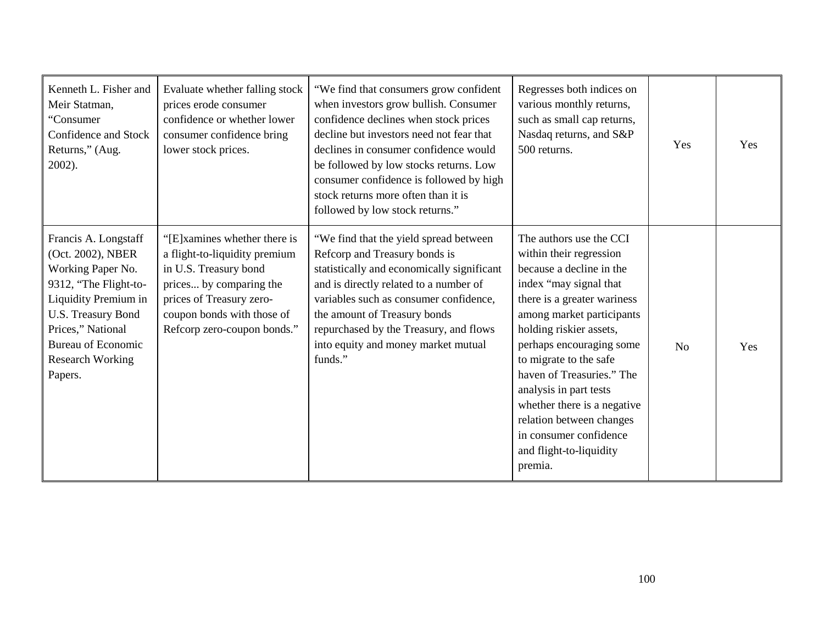| Kenneth L. Fisher and<br>Meir Statman,<br>"Consumer"<br>Confidence and Stock<br>Returns," (Aug.<br>$2002$ ).                                                                                                                  | Evaluate whether falling stock<br>prices erode consumer<br>confidence or whether lower<br>consumer confidence bring<br>lower stock prices.                                                                 | "We find that consumers grow confident<br>when investors grow bullish. Consumer<br>confidence declines when stock prices<br>decline but investors need not fear that<br>declines in consumer confidence would<br>be followed by low stocks returns. Low<br>consumer confidence is followed by high<br>stock returns more often than it is<br>followed by low stock returns." | Regresses both indices on<br>various monthly returns,<br>such as small cap returns,<br>Nasdaq returns, and S&P<br>500 returns.                                                                                                                                                                                                                                                                                                          | Yes            | Yes |
|-------------------------------------------------------------------------------------------------------------------------------------------------------------------------------------------------------------------------------|------------------------------------------------------------------------------------------------------------------------------------------------------------------------------------------------------------|------------------------------------------------------------------------------------------------------------------------------------------------------------------------------------------------------------------------------------------------------------------------------------------------------------------------------------------------------------------------------|-----------------------------------------------------------------------------------------------------------------------------------------------------------------------------------------------------------------------------------------------------------------------------------------------------------------------------------------------------------------------------------------------------------------------------------------|----------------|-----|
| Francis A. Longstaff<br>(Oct. 2002), NBER<br>Working Paper No.<br>9312, "The Flight-to-<br>Liquidity Premium in<br>U.S. Treasury Bond<br>Prices," National<br><b>Bureau of Economic</b><br><b>Research Working</b><br>Papers. | "[E]xamines whether there is<br>a flight-to-liquidity premium<br>in U.S. Treasury bond<br>prices by comparing the<br>prices of Treasury zero-<br>coupon bonds with those of<br>Refcorp zero-coupon bonds." | "We find that the yield spread between<br>Refcorp and Treasury bonds is<br>statistically and economically significant<br>and is directly related to a number of<br>variables such as consumer confidence,<br>the amount of Treasury bonds<br>repurchased by the Treasury, and flows<br>into equity and money market mutual<br>funds."                                        | The authors use the CCI<br>within their regression<br>because a decline in the<br>index "may signal that<br>there is a greater wariness<br>among market participants<br>holding riskier assets,<br>perhaps encouraging some<br>to migrate to the safe<br>haven of Treasuries." The<br>analysis in part tests<br>whether there is a negative<br>relation between changes<br>in consumer confidence<br>and flight-to-liquidity<br>premia. | N <sub>o</sub> | Yes |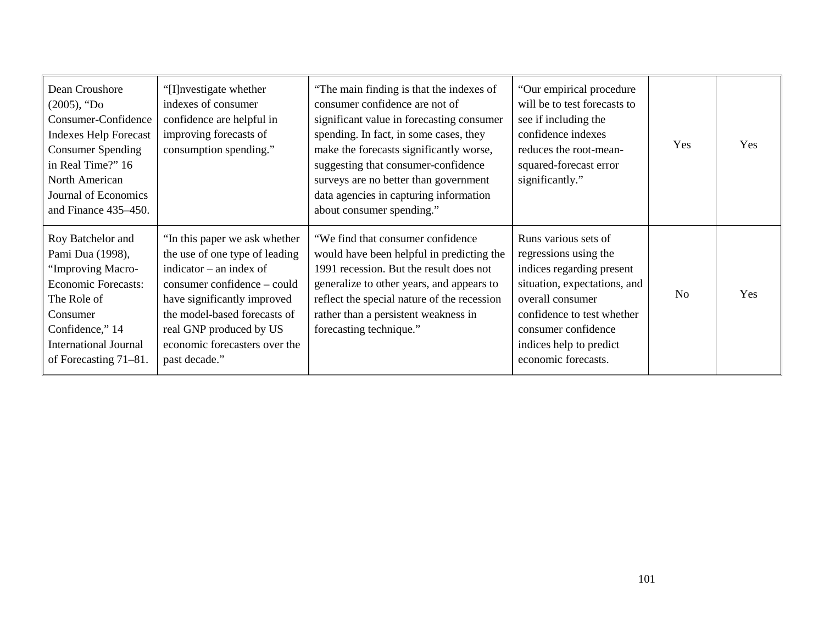| Dean Croushore<br>$(2005)$ , "Do<br>Consumer-Confidence<br><b>Indexes Help Forecast</b><br><b>Consumer Spending</b><br>in Real Time?" 16<br>North American<br>Journal of Economics<br>and Finance 435–450. | "[I] nvestigate whether<br>indexes of consumer<br>confidence are helpful in<br>improving forecasts of<br>consumption spending."                                                                                                                                         | "The main finding is that the indexes of<br>consumer confidence are not of<br>significant value in forecasting consumer<br>spending. In fact, in some cases, they<br>make the forecasts significantly worse,<br>suggesting that consumer-confidence<br>surveys are no better than government<br>data agencies in capturing information<br>about consumer spending." | "Our empirical procedure"<br>will be to test forecasts to<br>see if including the<br>confidence indexes<br>reduces the root-mean-<br>squared-forecast error<br>significantly."                                                        | <b>Yes</b>     | Yes |
|------------------------------------------------------------------------------------------------------------------------------------------------------------------------------------------------------------|-------------------------------------------------------------------------------------------------------------------------------------------------------------------------------------------------------------------------------------------------------------------------|---------------------------------------------------------------------------------------------------------------------------------------------------------------------------------------------------------------------------------------------------------------------------------------------------------------------------------------------------------------------|---------------------------------------------------------------------------------------------------------------------------------------------------------------------------------------------------------------------------------------|----------------|-----|
| Roy Batchelor and<br>Pami Dua (1998),<br>"Improving Macro-<br><b>Economic Forecasts:</b><br>The Role of<br>Consumer<br>Confidence," 14<br><b>International Journal</b><br>of Forecasting 71–81.            | "In this paper we ask whether<br>the use of one type of leading<br>indicator $-$ an index of<br>consumer confidence – could<br>have significantly improved<br>the model-based forecasts of<br>real GNP produced by US<br>economic forecasters over the<br>past decade." | "We find that consumer confidence"<br>would have been helpful in predicting the<br>1991 recession. But the result does not<br>generalize to other years, and appears to<br>reflect the special nature of the recession<br>rather than a persistent weakness in<br>forecasting technique."                                                                           | Runs various sets of<br>regressions using the<br>indices regarding present<br>situation, expectations, and<br>overall consumer<br>confidence to test whether<br>consumer confidence<br>indices help to predict<br>economic forecasts. | N <sub>0</sub> | Yes |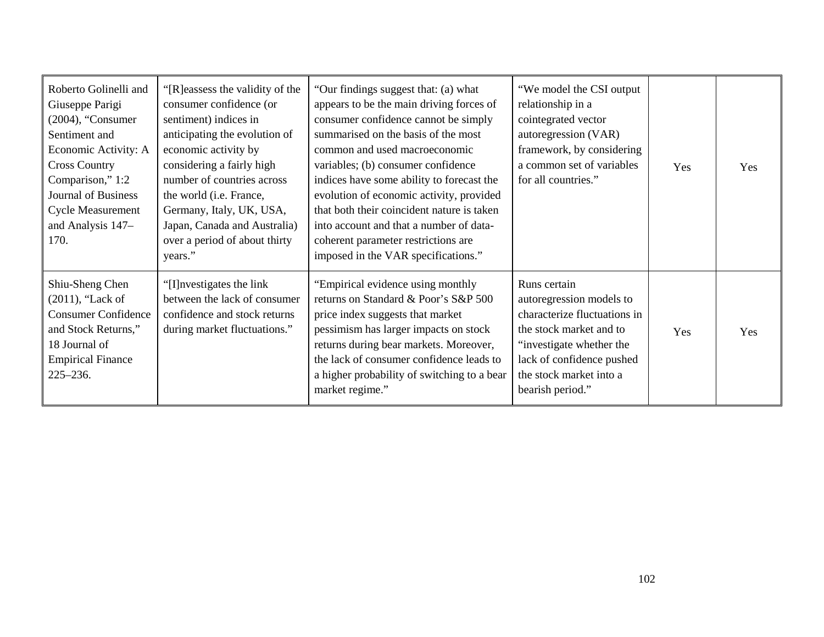| Roberto Golinelli and<br>Giuseppe Parigi<br>$(2004)$ , "Consumer<br>Sentiment and<br>Economic Activity: A<br><b>Cross Country</b><br>Comparison," 1:2<br><b>Journal of Business</b><br><b>Cycle Measurement</b><br>and Analysis 147-<br>170. | "[R] eassess the validity of the<br>consumer confidence (or<br>sentiment) indices in<br>anticipating the evolution of<br>economic activity by<br>considering a fairly high<br>number of countries across<br>the world (i.e. France,<br>Germany, Italy, UK, USA,<br>Japan, Canada and Australia)<br>over a period of about thirty<br>years." | "Our findings suggest that: (a) what<br>appears to be the main driving forces of<br>consumer confidence cannot be simply<br>summarised on the basis of the most<br>common and used macroeconomic<br>variables; (b) consumer confidence<br>indices have some ability to forecast the<br>evolution of economic activity, provided<br>that both their coincident nature is taken<br>into account and that a number of data-<br>coherent parameter restrictions are<br>imposed in the VAR specifications." | "We model the CSI output<br>relationship in a<br>cointegrated vector<br>autoregression (VAR)<br>framework, by considering<br>a common set of variables<br>for all countries."                               | Yes | <b>Yes</b> |
|----------------------------------------------------------------------------------------------------------------------------------------------------------------------------------------------------------------------------------------------|---------------------------------------------------------------------------------------------------------------------------------------------------------------------------------------------------------------------------------------------------------------------------------------------------------------------------------------------|--------------------------------------------------------------------------------------------------------------------------------------------------------------------------------------------------------------------------------------------------------------------------------------------------------------------------------------------------------------------------------------------------------------------------------------------------------------------------------------------------------|-------------------------------------------------------------------------------------------------------------------------------------------------------------------------------------------------------------|-----|------------|
| Shiu-Sheng Chen<br>$(2011)$ , "Lack of<br><b>Consumer Confidence</b><br>and Stock Returns,"<br>18 Journal of<br><b>Empirical Finance</b><br>$225 - 236.$                                                                                     | "[I] nvestigates the link"<br>between the lack of consumer<br>confidence and stock returns<br>during market fluctuations."                                                                                                                                                                                                                  | "Empirical evidence using monthly<br>returns on Standard & Poor's S&P 500<br>price index suggests that market<br>pessimism has larger impacts on stock<br>returns during bear markets. Moreover,<br>the lack of consumer confidence leads to<br>a higher probability of switching to a bear<br>market regime."                                                                                                                                                                                         | Runs certain<br>autoregression models to<br>characterize fluctuations in<br>the stock market and to<br>"investigate whether the<br>lack of confidence pushed<br>the stock market into a<br>bearish period." | Yes | Yes        |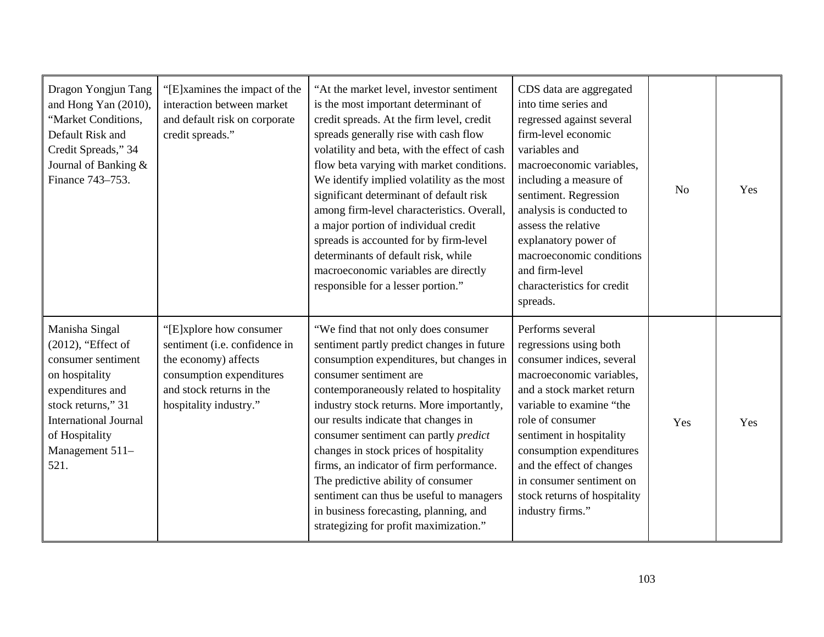| Dragon Yongjun Tang<br>and Hong Yan (2010),<br>"Market Conditions,<br>Default Risk and<br>Credit Spreads," 34<br>Journal of Banking &<br>Finance 743-753.                                           | "[E]xamines the impact of the<br>interaction between market<br>and default risk on corporate<br>credit spreads."                                                   | "At the market level, investor sentiment<br>is the most important determinant of<br>credit spreads. At the firm level, credit<br>spreads generally rise with cash flow<br>volatility and beta, with the effect of cash<br>flow beta varying with market conditions.<br>We identify implied volatility as the most<br>significant determinant of default risk<br>among firm-level characteristics. Overall,<br>a major portion of individual credit<br>spreads is accounted for by firm-level<br>determinants of default risk, while<br>macroeconomic variables are directly<br>responsible for a lesser portion." | CDS data are aggregated<br>into time series and<br>regressed against several<br>firm-level economic<br>variables and<br>macroeconomic variables,<br>including a measure of<br>sentiment. Regression<br>analysis is conducted to<br>assess the relative<br>explanatory power of<br>macroeconomic conditions<br>and firm-level<br>characteristics for credit<br>spreads. | N <sub>0</sub> | Yes |
|-----------------------------------------------------------------------------------------------------------------------------------------------------------------------------------------------------|--------------------------------------------------------------------------------------------------------------------------------------------------------------------|-------------------------------------------------------------------------------------------------------------------------------------------------------------------------------------------------------------------------------------------------------------------------------------------------------------------------------------------------------------------------------------------------------------------------------------------------------------------------------------------------------------------------------------------------------------------------------------------------------------------|------------------------------------------------------------------------------------------------------------------------------------------------------------------------------------------------------------------------------------------------------------------------------------------------------------------------------------------------------------------------|----------------|-----|
| Manisha Singal<br>(2012), "Effect of<br>consumer sentiment<br>on hospitality<br>expenditures and<br>stock returns," 31<br><b>International Journal</b><br>of Hospitality<br>Management 511-<br>521. | "[E]xplore how consumer<br>sentiment (i.e. confidence in<br>the economy) affects<br>consumption expenditures<br>and stock returns in the<br>hospitality industry." | "We find that not only does consumer<br>sentiment partly predict changes in future<br>consumption expenditures, but changes in<br>consumer sentiment are<br>contemporaneously related to hospitality<br>industry stock returns. More importantly,<br>our results indicate that changes in<br>consumer sentiment can partly <i>predict</i><br>changes in stock prices of hospitality<br>firms, an indicator of firm performance.<br>The predictive ability of consumer<br>sentiment can thus be useful to managers<br>in business forecasting, planning, and<br>strategizing for profit maximization."             | Performs several<br>regressions using both<br>consumer indices, several<br>macroeconomic variables,<br>and a stock market return<br>variable to examine "the<br>role of consumer<br>sentiment in hospitality<br>consumption expenditures<br>and the effect of changes<br>in consumer sentiment on<br>stock returns of hospitality<br>industry firms."                  | Yes            | Yes |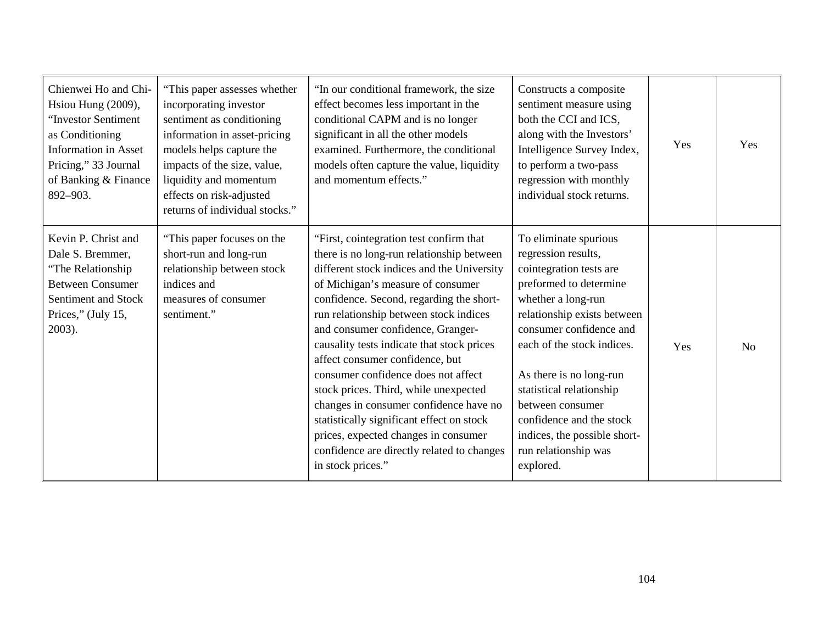| Chienwei Ho and Chi-<br>Hsiou Hung (2009),<br>"Investor Sentiment<br>as Conditioning<br><b>Information</b> in Asset<br>Pricing," 33 Journal<br>of Banking & Finance<br>892-903. | "This paper assesses whether<br>incorporating investor<br>sentiment as conditioning<br>information in asset-pricing<br>models helps capture the<br>impacts of the size, value,<br>liquidity and momentum<br>effects on risk-adjusted<br>returns of individual stocks." | "In our conditional framework, the size<br>effect becomes less important in the<br>conditional CAPM and is no longer<br>significant in all the other models<br>examined. Furthermore, the conditional<br>models often capture the value, liquidity<br>and momentum effects."                                                                                                                                                                                                                                                                                                                                                                                          | Constructs a composite<br>sentiment measure using<br>both the CCI and ICS,<br>along with the Investors'<br>Intelligence Survey Index,<br>to perform a two-pass<br>regression with monthly<br>individual stock returns.                                                                                                                                                                      | Yes | Yes            |
|---------------------------------------------------------------------------------------------------------------------------------------------------------------------------------|------------------------------------------------------------------------------------------------------------------------------------------------------------------------------------------------------------------------------------------------------------------------|-----------------------------------------------------------------------------------------------------------------------------------------------------------------------------------------------------------------------------------------------------------------------------------------------------------------------------------------------------------------------------------------------------------------------------------------------------------------------------------------------------------------------------------------------------------------------------------------------------------------------------------------------------------------------|---------------------------------------------------------------------------------------------------------------------------------------------------------------------------------------------------------------------------------------------------------------------------------------------------------------------------------------------------------------------------------------------|-----|----------------|
| Kevin P. Christ and<br>Dale S. Bremmer,<br>"The Relationship"<br><b>Between Consumer</b><br>Sentiment and Stock<br>Prices," (July 15,<br>$2003$ ).                              | "This paper focuses on the<br>short-run and long-run<br>relationship between stock<br>indices and<br>measures of consumer<br>sentiment."                                                                                                                               | "First, cointegration test confirm that<br>there is no long-run relationship between<br>different stock indices and the University<br>of Michigan's measure of consumer<br>confidence. Second, regarding the short-<br>run relationship between stock indices<br>and consumer confidence, Granger-<br>causality tests indicate that stock prices<br>affect consumer confidence, but<br>consumer confidence does not affect<br>stock prices. Third, while unexpected<br>changes in consumer confidence have no<br>statistically significant effect on stock<br>prices, expected changes in consumer<br>confidence are directly related to changes<br>in stock prices." | To eliminate spurious<br>regression results,<br>cointegration tests are<br>preformed to determine<br>whether a long-run<br>relationship exists between<br>consumer confidence and<br>each of the stock indices.<br>As there is no long-run<br>statistical relationship<br>between consumer<br>confidence and the stock<br>indices, the possible short-<br>run relationship was<br>explored. | Yes | N <sub>0</sub> |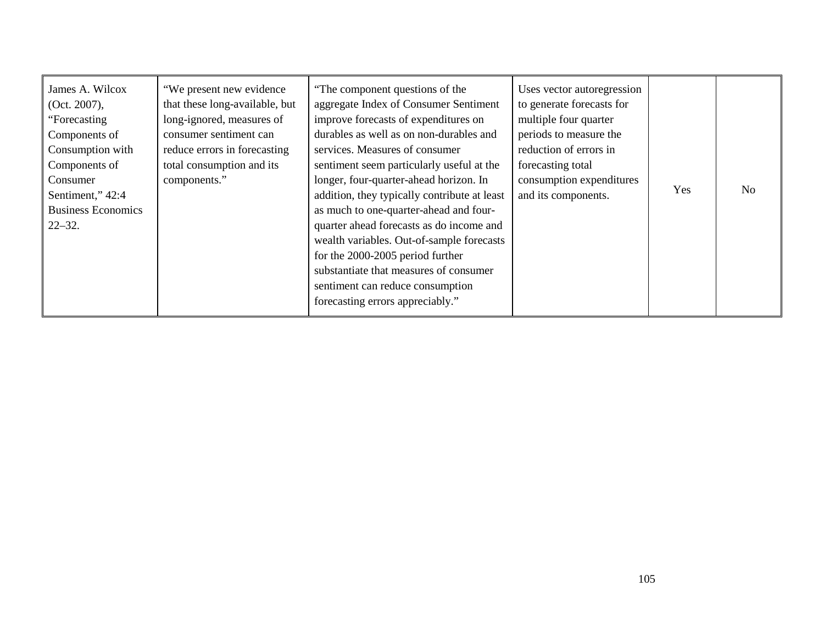| James A. Wilcox<br>(Oct. 2007),<br>"Forecasting<br>Components of<br>Consumption with<br>Components of<br>Consumer<br>Sentiment," 42:4<br><b>Business Economics</b><br>$22 - 32$ . | "We present new evidence"<br>that these long-available, but<br>long-ignored, measures of<br>consumer sentiment can<br>reduce errors in forecasting<br>total consumption and its<br>components." | "The component questions of the<br>aggregate Index of Consumer Sentiment<br>improve forecasts of expenditures on<br>durables as well as on non-durables and<br>services. Measures of consumer<br>sentiment seem particularly useful at the<br>longer, four-quarter-ahead horizon. In<br>addition, they typically contribute at least<br>as much to one-quarter-ahead and four-<br>quarter ahead forecasts as do income and<br>wealth variables. Out-of-sample forecasts<br>for the 2000-2005 period further<br>substantiate that measures of consumer<br>sentiment can reduce consumption<br>forecasting errors appreciably." | Uses vector autoregression<br>to generate forecasts for<br>multiple four quarter<br>periods to measure the<br>reduction of errors in<br>forecasting total<br>consumption expenditures<br>and its components. | Yes | N <sub>O</sub> |
|-----------------------------------------------------------------------------------------------------------------------------------------------------------------------------------|-------------------------------------------------------------------------------------------------------------------------------------------------------------------------------------------------|-------------------------------------------------------------------------------------------------------------------------------------------------------------------------------------------------------------------------------------------------------------------------------------------------------------------------------------------------------------------------------------------------------------------------------------------------------------------------------------------------------------------------------------------------------------------------------------------------------------------------------|--------------------------------------------------------------------------------------------------------------------------------------------------------------------------------------------------------------|-----|----------------|
|-----------------------------------------------------------------------------------------------------------------------------------------------------------------------------------|-------------------------------------------------------------------------------------------------------------------------------------------------------------------------------------------------|-------------------------------------------------------------------------------------------------------------------------------------------------------------------------------------------------------------------------------------------------------------------------------------------------------------------------------------------------------------------------------------------------------------------------------------------------------------------------------------------------------------------------------------------------------------------------------------------------------------------------------|--------------------------------------------------------------------------------------------------------------------------------------------------------------------------------------------------------------|-----|----------------|